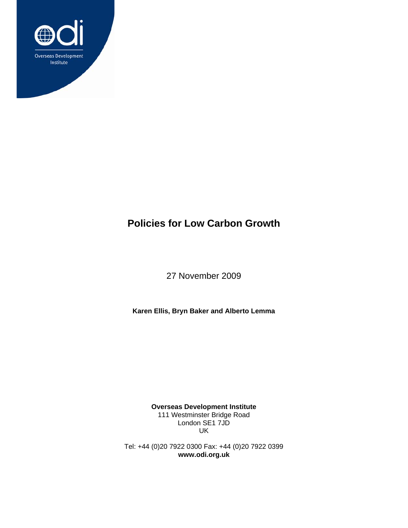

# **Policies for Low Carbon Growth**

27 November 2009

**Karen Ellis, Bryn Baker and Alberto Lemma** 

**Overseas Development Institute**  111 Westminster Bridge Road London SE1 7JD UK

Tel: +44 (0)20 7922 0300 Fax: +44 (0)20 7922 0399 **www.odi.org.uk**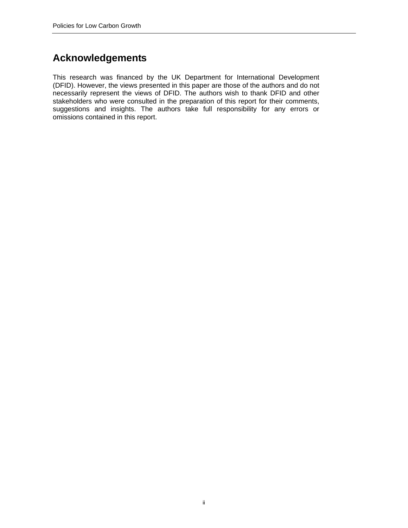# **Acknowledgements**

This research was financed by the UK Department for International Development (DFID). However, the views presented in this paper are those of the authors and do not necessarily represent the views of DFID. The authors wish to thank DFID and other stakeholders who were consulted in the preparation of this report for their comments, suggestions and insights. The authors take full responsibility for any errors or omissions contained in this report.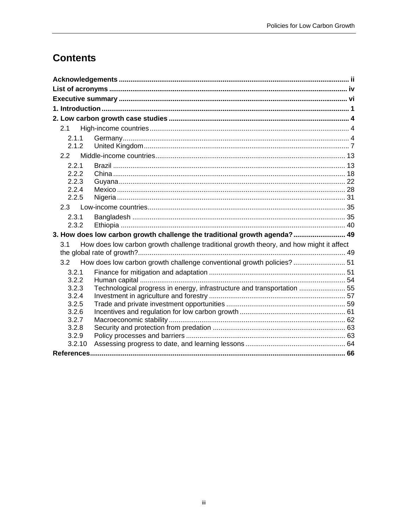# **Contents**

| 2.1            |                                                                                         |  |
|----------------|-----------------------------------------------------------------------------------------|--|
| 2.1.1          |                                                                                         |  |
| 2.1.2          |                                                                                         |  |
| 2.2            |                                                                                         |  |
| 2.2.1          |                                                                                         |  |
| 2.2.2          |                                                                                         |  |
| 2.2.3          |                                                                                         |  |
| 2.2.4          |                                                                                         |  |
| 2.2.5          |                                                                                         |  |
|                |                                                                                         |  |
| 2.3.1          |                                                                                         |  |
| 2.3.2          |                                                                                         |  |
|                | 3. How does low carbon growth challenge the traditional growth agenda? 49               |  |
| 3.1            | How does low carbon growth challenge traditional growth theory, and how might it affect |  |
|                |                                                                                         |  |
|                | 3.2 How does low carbon growth challenge conventional growth policies?  51              |  |
| 3.2.1          |                                                                                         |  |
| 3.2.2          |                                                                                         |  |
| 3.2.3          | Technological progress in energy, infrastructure and transportation  55                 |  |
| 3.2.4          |                                                                                         |  |
| 3.2.5<br>3.2.6 |                                                                                         |  |
| 3.2.7          |                                                                                         |  |
| 3.2.8          |                                                                                         |  |
| 3.2.9          |                                                                                         |  |
| 3.2.10         |                                                                                         |  |
|                |                                                                                         |  |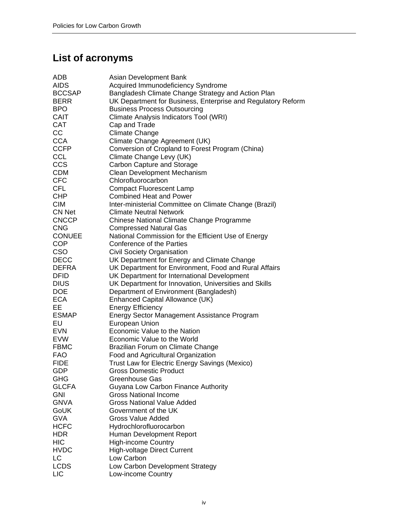# **List of acronyms**

| ADB           | Asian Development Bank                                       |
|---------------|--------------------------------------------------------------|
| <b>AIDS</b>   | Acquired Immunodeficiency Syndrome                           |
| <b>BCCSAP</b> | Bangladesh Climate Change Strategy and Action Plan           |
| <b>BERR</b>   | UK Department for Business, Enterprise and Regulatory Reform |
| <b>BPO</b>    | <b>Business Process Outsourcing</b>                          |
| CAIT          | Climate Analysis Indicators Tool (WRI)                       |
|               |                                                              |
| <b>CAT</b>    | Cap and Trade                                                |
| CC            | <b>Climate Change</b>                                        |
| <b>CCA</b>    | Climate Change Agreement (UK)                                |
| <b>CCFP</b>   | Conversion of Cropland to Forest Program (China)             |
| <b>CCL</b>    | Climate Change Levy (UK)                                     |
| CCS           | Carbon Capture and Storage                                   |
| <b>CDM</b>    | Clean Development Mechanism                                  |
| <b>CFC</b>    | Chlorofluorocarbon                                           |
| <b>CFL</b>    | <b>Compact Fluorescent Lamp</b>                              |
| <b>CHP</b>    | <b>Combined Heat and Power</b>                               |
| <b>CIM</b>    | Inter-ministerial Committee on Climate Change (Brazil)       |
| CN Net        | <b>Climate Neutral Network</b>                               |
| <b>CNCCP</b>  | Chinese National Climate Change Programme                    |
| <b>CNG</b>    | <b>Compressed Natural Gas</b>                                |
| <b>CONUEE</b> | National Commission for the Efficient Use of Energy          |
|               |                                                              |
| <b>COP</b>    | Conference of the Parties                                    |
| <b>CSO</b>    | <b>Civil Society Organisation</b>                            |
| <b>DECC</b>   | UK Department for Energy and Climate Change                  |
| DEFRA         | UK Department for Environment, Food and Rural Affairs        |
| <b>DFID</b>   | UK Department for International Development                  |
| <b>DIUS</b>   | UK Department for Innovation, Universities and Skills        |
| <b>DOE</b>    | Department of Environment (Bangladesh)                       |
| <b>ECA</b>    | Enhanced Capital Allowance (UK)                              |
| EE.           | <b>Energy Efficiency</b>                                     |
| <b>ESMAP</b>  | Energy Sector Management Assistance Program                  |
| EU            | European Union                                               |
| <b>EVN</b>    | Economic Value to the Nation                                 |
| <b>EVW</b>    | Economic Value to the World                                  |
| <b>FBMC</b>   |                                                              |
|               | Brazilian Forum on Climate Change                            |
| <b>FAO</b>    | Food and Agricultural Organization                           |
| <b>FIDE</b>   | Trust Law for Electric Energy Savings (Mexico)               |
| GDP           | <b>Gross Domestic Product</b>                                |
| <b>GHG</b>    | Greenhouse Gas                                               |
| <b>GLCFA</b>  | Guyana Low Carbon Finance Authority                          |
| <b>GNI</b>    | <b>Gross National Income</b>                                 |
| <b>GNVA</b>   | <b>Gross National Value Added</b>                            |
| GoUK          | Government of the UK                                         |
| <b>GVA</b>    | <b>Gross Value Added</b>                                     |
| <b>HCFC</b>   | Hydrochlorofluorocarbon                                      |
| <b>HDR</b>    | Human Development Report                                     |
| <b>HIC</b>    |                                                              |
|               | <b>High-income Country</b>                                   |
| <b>HVDC</b>   | <b>High-voltage Direct Current</b>                           |
| LC            | Low Carbon                                                   |
| <b>LCDS</b>   | Low Carbon Development Strategy                              |
| <b>LIC</b>    | Low-income Country                                           |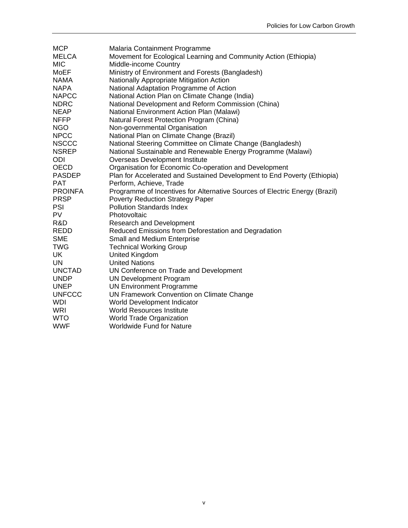| <b>MCP</b>     | Malaria Containment Programme                                               |
|----------------|-----------------------------------------------------------------------------|
| MELCA          | Movement for Ecological Learning and Community Action (Ethiopia)            |
| <b>MIC</b>     | Middle-income Country                                                       |
| MoEF           | Ministry of Environment and Forests (Bangladesh)                            |
| <b>NAMA</b>    | Nationally Appropriate Mitigation Action                                    |
| <b>NAPA</b>    | National Adaptation Programme of Action                                     |
| <b>NAPCC</b>   | National Action Plan on Climate Change (India)                              |
| <b>NDRC</b>    | National Development and Reform Commission (China)                          |
| <b>NEAP</b>    | National Environment Action Plan (Malawi)                                   |
| <b>NFFP</b>    | Natural Forest Protection Program (China)                                   |
| NGO            | Non-governmental Organisation                                               |
| <b>NPCC</b>    | National Plan on Climate Change (Brazil)                                    |
| <b>NSCCC</b>   | National Steering Committee on Climate Change (Bangladesh)                  |
| <b>NSREP</b>   | National Sustainable and Renewable Energy Programme (Malawi)                |
| ODI            | Overseas Development Institute                                              |
| <b>OECD</b>    | Organisation for Economic Co-operation and Development                      |
| <b>PASDEP</b>  | Plan for Accelerated and Sustained Development to End Poverty (Ethiopia)    |
| <b>PAT</b>     | Perform, Achieve, Trade                                                     |
| <b>PROINFA</b> | Programme of Incentives for Alternative Sources of Electric Energy (Brazil) |
| <b>PRSP</b>    | Poverty Reduction Strategy Paper                                            |
| <b>PSI</b>     | <b>Pollution Standards Index</b>                                            |
| <b>PV</b>      | Photovoltaic                                                                |
| R&D            | <b>Research and Development</b>                                             |
| REDD           | Reduced Emissions from Deforestation and Degradation                        |
| <b>SME</b>     | <b>Small and Medium Enterprise</b>                                          |
| <b>TWG</b>     | <b>Technical Working Group</b>                                              |
| UK             | <b>United Kingdom</b>                                                       |
| UN             | <b>United Nations</b>                                                       |
| <b>UNCTAD</b>  | UN Conference on Trade and Development                                      |
| <b>UNDP</b>    | <b>UN Development Program</b>                                               |
| <b>UNEP</b>    | <b>UN Environment Programme</b>                                             |
| <b>UNFCCC</b>  | UN Framework Convention on Climate Change                                   |
| <b>WDI</b>     | World Development Indicator                                                 |
| WRI            | <b>World Resources Institute</b>                                            |
| <b>WTO</b>     | <b>World Trade Organization</b>                                             |
| <b>WWF</b>     | <b>Worldwide Fund for Nature</b>                                            |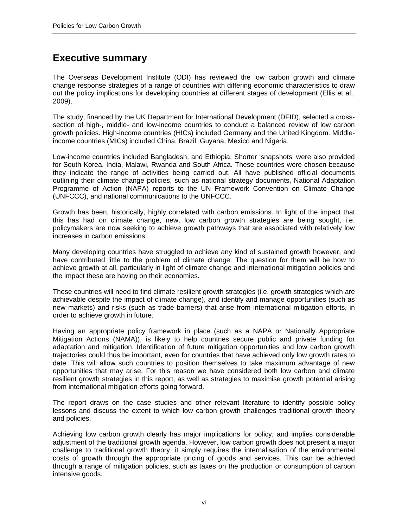# **Executive summary**

The Overseas Development Institute (ODI) has reviewed the low carbon growth and climate change response strategies of a range of countries with differing economic characteristics to draw out the policy implications for developing countries at different stages of development (Ellis et al., 2009).

The study, financed by the UK Department for International Development (DFID), selected a crosssection of high-, middle- and low-income countries to conduct a balanced review of low carbon growth policies. High-income countries (HICs) included Germany and the United Kingdom. Middleincome countries (MICs) included China, Brazil, Guyana, Mexico and Nigeria.

Low-income countries included Bangladesh, and Ethiopia. Shorter 'snapshots' were also provided for South Korea, India, Malawi, Rwanda and South Africa. These countries were chosen because they indicate the range of activities being carried out. All have published official documents outlining their climate change policies, such as national strategy documents, National Adaptation Programme of Action (NAPA) reports to the UN Framework Convention on Climate Change (UNFCCC), and national communications to the UNFCCC.

Growth has been, historically, highly correlated with carbon emissions. In light of the impact that this has had on climate change, new, low carbon growth strategies are being sought, i.e. policymakers are now seeking to achieve growth pathways that are associated with relatively low increases in carbon emissions.

Many developing countries have struggled to achieve any kind of sustained growth however, and have contributed little to the problem of climate change. The question for them will be how to achieve growth at all, particularly in light of climate change and international mitigation policies and the impact these are having on their economies.

These countries will need to find climate resilient growth strategies (i.e. growth strategies which are achievable despite the impact of climate change), and identify and manage opportunities (such as new markets) and risks (such as trade barriers) that arise from international mitigation efforts, in order to achieve growth in future.

Having an appropriate policy framework in place (such as a NAPA or Nationally Appropriate Mitigation Actions (NAMA)), is likely to help countries secure public and private funding for adaptation and mitigation. Identification of future mitigation opportunities and low carbon growth trajectories could thus be important, even for countries that have achieved only low growth rates to date. This will allow such countries to position themselves to take maximum advantage of new opportunities that may arise. For this reason we have considered both low carbon and climate resilient growth strategies in this report, as well as strategies to maximise growth potential arising from international mitigation efforts going forward.

The report draws on the case studies and other relevant literature to identify possible policy lessons and discuss the extent to which low carbon growth challenges traditional growth theory and policies.

Achieving low carbon growth clearly has major implications for policy, and implies considerable adjustment of the traditional growth agenda. However, low carbon growth does not present a major challenge to traditional growth theory, it simply requires the internalisation of the environmental costs of growth through the appropriate pricing of goods and services. This can be achieved through a range of mitigation policies, such as taxes on the production or consumption of carbon intensive goods.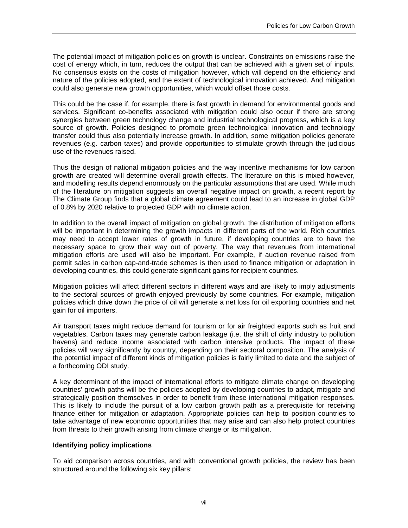The potential impact of mitigation policies on growth is unclear. Constraints on emissions raise the cost of energy which, in turn, reduces the output that can be achieved with a given set of inputs. No consensus exists on the costs of mitigation however, which will depend on the efficiency and nature of the policies adopted, and the extent of technological innovation achieved. And mitigation could also generate new growth opportunities, which would offset those costs.

This could be the case if, for example, there is fast growth in demand for environmental goods and services. Significant co-benefits associated with mitigation could also occur if there are strong synergies between green technology change and industrial technological progress, which is a key source of growth. Policies designed to promote green technological innovation and technology transfer could thus also potentially increase growth. In addition, some mitigation policies generate revenues (e.g. carbon taxes) and provide opportunities to stimulate growth through the judicious use of the revenues raised.

Thus the design of national mitigation policies and the way incentive mechanisms for low carbon growth are created will determine overall growth effects. The literature on this is mixed however, and modelling results depend enormously on the particular assumptions that are used. While much of the literature on mitigation suggests an overall negative impact on growth, a recent report by The Climate Group finds that a global climate agreement could lead to an increase in global GDP of 0.8% by 2020 relative to projected GDP with no climate action.

In addition to the overall impact of mitigation on global growth, the distribution of mitigation efforts will be important in determining the growth impacts in different parts of the world. Rich countries may need to accept lower rates of growth in future, if developing countries are to have the necessary space to grow their way out of poverty. The way that revenues from international mitigation efforts are used will also be important. For example, if auction revenue raised from permit sales in carbon cap-and-trade schemes is then used to finance mitigation or adaptation in developing countries, this could generate significant gains for recipient countries.

Mitigation policies will affect different sectors in different ways and are likely to imply adjustments to the sectoral sources of growth enjoyed previously by some countries. For example, mitigation policies which drive down the price of oil will generate a net loss for oil exporting countries and net gain for oil importers.

Air transport taxes might reduce demand for tourism or for air freighted exports such as fruit and vegetables. Carbon taxes may generate carbon leakage (i.e. the shift of dirty industry to pollution havens) and reduce income associated with carbon intensive products. The impact of these policies will vary significantly by country, depending on their sectoral composition. The analysis of the potential impact of different kinds of mitigation policies is fairly limited to date and the subject of a forthcoming ODI study.

A key determinant of the impact of international efforts to mitigate climate change on developing countries' growth paths will be the policies adopted by developing countries to adapt, mitigate and strategically position themselves in order to benefit from these international mitigation responses. This is likely to include the pursuit of a low carbon growth path as a prerequisite for receiving finance either for mitigation or adaptation. Appropriate policies can help to position countries to take advantage of new economic opportunities that may arise and can also help protect countries from threats to their growth arising from climate change or its mitigation.

#### **Identifying policy implications**

To aid comparison across countries, and with conventional growth policies, the review has been structured around the following six key pillars: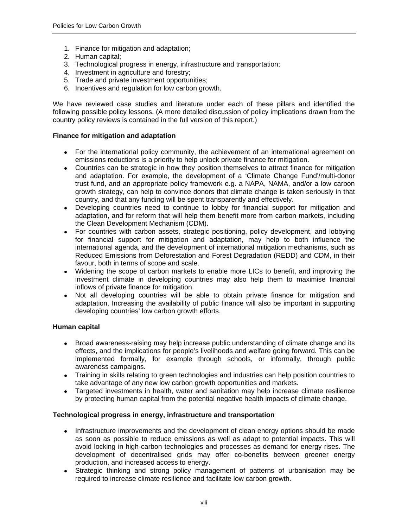- 1. Finance for mitigation and adaptation;
- 2. Human capital;
- 3. Technological progress in energy, infrastructure and transportation;
- 4. Investment in agriculture and forestry;
- 5. Trade and private investment opportunities;
- 6. Incentives and regulation for low carbon growth.

We have reviewed case studies and literature under each of these pillars and identified the following possible policy lessons. (A more detailed discussion of policy implications drawn from the country policy reviews is contained in the full version of this report.)

#### **Finance for mitigation and adaptation**

- For the international policy community, the achievement of an international agreement on emissions reductions is a priority to help unlock private finance for mitigation.
- Countries can be strategic in how they position themselves to attract finance for mitigation and adaptation. For example, the development of a 'Climate Change Fund'/multi-donor trust fund, and an appropriate policy framework e.g. a NAPA, NAMA, and/or a low carbon growth strategy, can help to convince donors that climate change is taken seriously in that country, and that any funding will be spent transparently and effectively.
- Developing countries need to continue to lobby for financial support for mitigation and adaptation, and for reform that will help them benefit more from carbon markets, including the Clean Development Mechanism (CDM).
- For countries with carbon assets, strategic positioning, policy development, and lobbying for financial support for mitigation and adaptation, may help to both influence the international agenda, and the development of international mitigation mechanisms, such as Reduced Emissions from Deforestation and Forest Degradation (REDD) and CDM, in their favour, both in terms of scope and scale.
- Widening the scope of carbon markets to enable more LICs to benefit, and improving the investment climate in developing countries may also help them to maximise financial inflows of private finance for mitigation.
- Not all developing countries will be able to obtain private finance for mitigation and adaptation. Increasing the availability of public finance will also be important in supporting developing countries' low carbon growth efforts.

# **Human capital**

- Broad awareness-raising may help increase public understanding of climate change and its effects, and the implications for people's livelihoods and welfare going forward. This can be implemented formally, for example through schools, or informally, through public awareness campaigns.
- Training in skills relating to green technologies and industries can help position countries to take advantage of any new low carbon growth opportunities and markets.
- Targeted investments in health, water and sanitation may help increase climate resilience by protecting human capital from the potential negative health impacts of climate change.

# **Technological progress in energy, infrastructure and transportation**

- Infrastructure improvements and the development of clean energy options should be made as soon as possible to reduce emissions as well as adapt to potential impacts. This will avoid locking in high-carbon technologies and processes as demand for energy rises. The development of decentralised grids may offer co-benefits between greener energy production, and increased access to energy.
- Strategic thinking and strong policy management of patterns of urbanisation may be required to increase climate resilience and facilitate low carbon growth.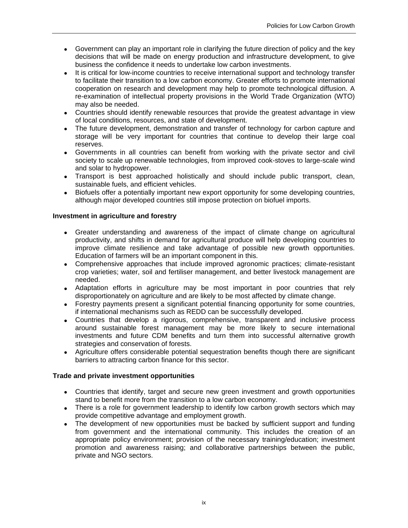- Government can play an important role in clarifying the future direction of policy and the key decisions that will be made on energy production and infrastructure development, to give business the confidence it needs to undertake low carbon investments.
- It is critical for low-income countries to receive international support and technology transfer to facilitate their transition to a low carbon economy. Greater efforts to promote international cooperation on research and development may help to promote technological diffusion. A re-examination of intellectual property provisions in the World Trade Organization (WTO) may also be needed.
- Countries should identify renewable resources that provide the greatest advantage in view of local conditions, resources, and state of development.
- The future development, demonstration and transfer of technology for carbon capture and storage will be very important for countries that continue to develop their large coal reserves.
- Governments in all countries can benefit from working with the private sector and civil society to scale up renewable technologies, from improved cook-stoves to large-scale wind and solar to hydropower.
- Transport is best approached holistically and should include public transport, clean, sustainable fuels, and efficient vehicles.
- Biofuels offer a potentially important new export opportunity for some developing countries, although major developed countries still impose protection on biofuel imports.

# **Investment in agriculture and forestry**

- Greater understanding and awareness of the impact of climate change on agricultural productivity, and shifts in demand for agricultural produce will help developing countries to improve climate resilience and take advantage of possible new growth opportunities. Education of farmers will be an important component in this.
- Comprehensive approaches that include improved agronomic practices; climate-resistant crop varieties; water, soil and fertiliser management, and better livestock management are needed.
- Adaptation efforts in agriculture may be most important in poor countries that rely disproportionately on agriculture and are likely to be most affected by climate change.
- Forestry payments present a significant potential financing opportunity for some countries, if international mechanisms such as REDD can be successfully developed.
- Countries that develop a rigorous, comprehensive, transparent and inclusive process around sustainable forest management may be more likely to secure international investments and future CDM benefits and turn them into successful alternative growth strategies and conservation of forests.
- Agriculture offers considerable potential sequestration benefits though there are significant barriers to attracting carbon finance for this sector.

# **Trade and private investment opportunities**

- Countries that identify, target and secure new green investment and growth opportunities stand to benefit more from the transition to a low carbon economy.
- There is a role for government leadership to identify low carbon growth sectors which may provide competitive advantage and employment growth.
- The development of new opportunities must be backed by sufficient support and funding from government and the international community. This includes the creation of an appropriate policy environment; provision of the necessary training/education; investment promotion and awareness raising; and collaborative partnerships between the public, private and NGO sectors.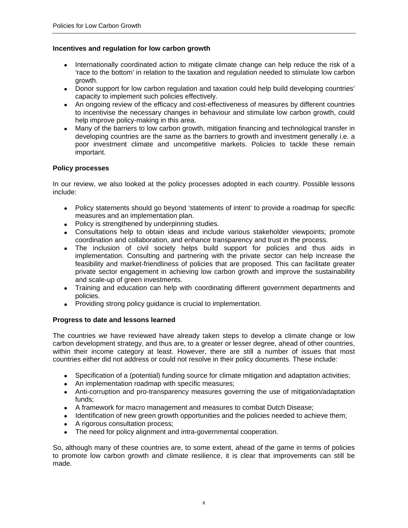#### **Incentives and regulation for low carbon growth**

- Internationally coordinated action to mitigate climate change can help reduce the risk of a 'race to the bottom' in relation to the taxation and regulation needed to stimulate low carbon growth.
- Donor support for low carbon regulation and taxation could help build developing countries' capacity to implement such policies effectively.
- An ongoing review of the efficacy and cost-effectiveness of measures by different countries to incentivise the necessary changes in behaviour and stimulate low carbon growth, could help improve policy-making in this area.
- Many of the barriers to low carbon growth, mitigation financing and technological transfer in developing countries are the same as the barriers to growth and investment generally i.e. a poor investment climate and uncompetitive markets. Policies to tackle these remain important.

#### **Policy processes**

In our review, we also looked at the policy processes adopted in each country. Possible lessons include:

- Policy statements should go beyond 'statements of intent' to provide a roadmap for specific measures and an implementation plan.
- Policy is strengthened by underpinning studies.
- Consultations help to obtain ideas and include various stakeholder viewpoints; promote coordination and collaboration, and enhance transparency and trust in the process.
- The inclusion of civil society helps build support for policies and thus aids in implementation. Consulting and partnering with the private sector can help increase the feasibility and market-friendliness of policies that are proposed. This can facilitate greater private sector engagement in achieving low carbon growth and improve the sustainability and scale-up of green investments.
- Training and education can help with coordinating different government departments and policies.
- Providing strong policy guidance is crucial to implementation.

# **Progress to date and lessons learned**

The countries we have reviewed have already taken steps to develop a climate change or low carbon development strategy, and thus are, to a greater or lesser degree, ahead of other countries, within their income category at least. However, there are still a number of issues that most countries either did not address or could not resolve in their policy documents. These include:

- Specification of a (potential) funding source for climate mitigation and adaptation activities;
- An implementation roadmap with specific measures;
- Anti-corruption and pro-transparency measures governing the use of mitigation/adaptation funds;
- A framework for macro management and measures to combat Dutch Disease;
- Identification of new green growth opportunities and the policies needed to achieve them;
- A rigorous consultation process;
- The need for policy alignment and intra-governmental cooperation.

So, although many of these countries are, to some extent, ahead of the game in terms of policies to promote low carbon growth and climate resilience, it is clear that improvements can still be made.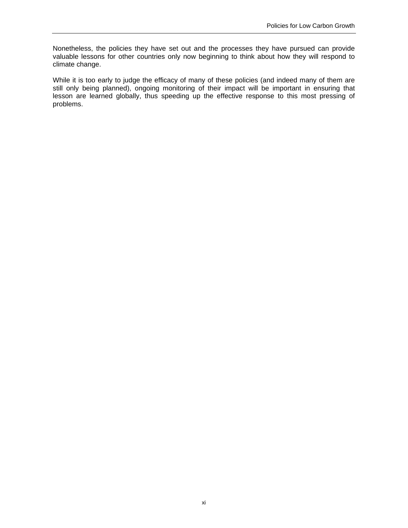Nonetheless, the policies they have set out and the processes they have pursued can provide valuable lessons for other countries only now beginning to think about how they will respond to climate change.

While it is too early to judge the efficacy of many of these policies (and indeed many of them are still only being planned), ongoing monitoring of their impact will be important in ensuring that lesson are learned globally, thus speeding up the effective response to this most pressing of problems.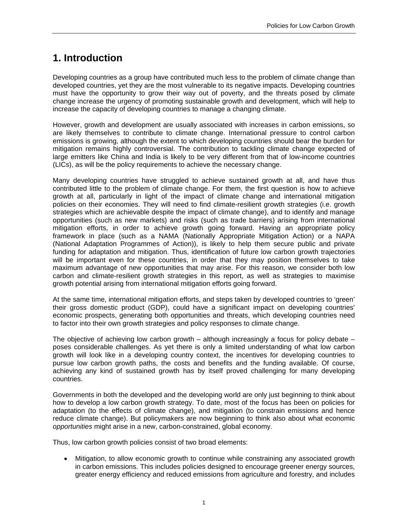# **1. Introduction**

Developing countries as a group have contributed much less to the problem of climate change than developed countries, yet they are the most vulnerable to its negative impacts. Developing countries must have the opportunity to grow their way out of poverty, and the threats posed by climate change increase the urgency of promoting sustainable growth and development, which will help to increase the capacity of developing countries to manage a changing climate.

However, growth and development are usually associated with increases in carbon emissions, so are likely themselves to contribute to climate change. International pressure to control carbon emissions is growing, although the extent to which developing countries should bear the burden for mitigation remains highly controversial. The contribution to tackling climate change expected of large emitters like China and India is likely to be very different from that of low-income countries (LICs), as will be the policy requirements to achieve the necessary change.

Many developing countries have struggled to achieve sustained growth at all, and have thus contributed little to the problem of climate change. For them, the first question is how to achieve growth at all, particularly in light of the impact of climate change and international mitigation policies on their economies. They will need to find climate-resilient growth strategies (i.e. growth strategies which are achievable despite the impact of climate change), and to identify and manage opportunities (such as new markets) and risks (such as trade barriers) arising from international mitigation efforts, in order to achieve growth going forward. Having an appropriate policy framework in place (such as a NAMA (Nationally Appropriate Mitigation Action) or a NAPA (National Adaptation Programmes of Action)), is likely to help them secure public and private funding for adaptation and mitigation. Thus, identification of future low carbon growth trajectories will be important even for these countries, in order that they may position themselves to take maximum advantage of new opportunities that may arise. For this reason, we consider both low carbon and climate-resilient growth strategies in this report, as well as strategies to maximise growth potential arising from international mitigation efforts going forward.

At the same time, international mitigation efforts, and steps taken by developed countries to 'green' their gross domestic product (GDP), could have a significant impact on developing countries' economic prospects, generating both opportunities and threats, which developing countries need to factor into their own growth strategies and policy responses to climate change.

The objective of achieving low carbon growth – although increasingly a focus for policy debate – poses considerable challenges. As yet there is only a limited understanding of what low carbon growth will look like in a developing country context, the incentives for developing countries to pursue low carbon growth paths, the costs and benefits and the funding available. Of course, achieving any kind of sustained growth has by itself proved challenging for many developing countries.

Governments in both the developed and the developing world are only just beginning to think about how to develop a low carbon growth strategy. To date, most of the focus has been on policies for adaptation (to the effects of climate change), and mitigation (to constrain emissions and hence reduce climate change). But policymakers are now beginning to think also about what economic *opportunities* might arise in a new, carbon-constrained, global economy.

Thus, low carbon growth policies consist of two broad elements:

• Mitigation, to allow economic growth to continue while constraining any associated growth in carbon emissions. This includes policies designed to encourage greener energy sources, greater energy efficiency and reduced emissions from agriculture and forestry, and includes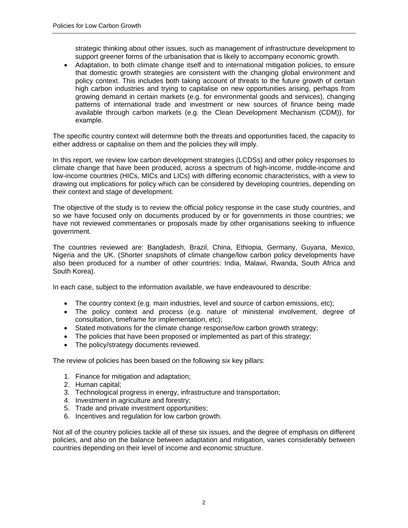strategic thinking about other issues, such as management of infrastructure development to support greener forms of the urbanisation that is likely to accompany economic growth.

• Adaptation, to both climate change itself and to international mitigation policies, to ensure that domestic growth strategies are consistent with the changing global environment and policy context. This includes both taking account of threats to the future growth of certain high carbon industries and trying to capitalise on new opportunities arising, perhaps from growing demand in certain markets (e.g. for environmental goods and services), changing patterns of international trade and investment or new sources of finance being made available through carbon markets (e.g. the Clean Development Mechanism (CDM)), for example.

The specific country context will determine both the threats and opportunities faced, the capacity to either address or capitalise on them and the policies they will imply.

In this report, we review low carbon development strategies (LCDSs) and other policy responses to climate change that have been produced, across a spectrum of high-income, middle-income and low-income countries (HICs, MICs and LICs) with differing economic characteristics, with a view to drawing out implications for policy which can be considered by developing countries, depending on their context and stage of development.

The objective of the study is to review the official policy response in the case study countries, and so we have focused only on documents produced by or for governments in those countries; we have not reviewed commentaries or proposals made by other organisations seeking to influence government.

The countries reviewed are: Bangladesh, Brazil, China, Ethiopia, Germany, Guyana, Mexico, Nigeria and the UK. (Shorter snapshots of climate change/low carbon policy developments have also been produced for a number of other countries: India, Malawi, Rwanda, South Africa and South Korea).

In each case, subject to the information available, we have endeavoured to describe:

- The country context (e.g. main industries, level and source of carbon emissions, etc);
- The policy context and process (e.g. nature of ministerial involvement, degree of consultation, timeframe for implementation, etc);
- Stated motivations for the climate change response/low carbon growth strategy;
- The policies that have been proposed or implemented as part of this strategy;
- The policy/strategy documents reviewed.

The review of policies has been based on the following six key pillars:

- 1. Finance for mitigation and adaptation;
- 2. Human capital;
- 3. Technological progress in energy, infrastructure and transportation;
- 4. Investment in agriculture and forestry;
- 5. Trade and private investment opportunities;
- 6. Incentives and regulation for low carbon growth.

Not all of the country policies tackle all of these six issues, and the degree of emphasis on different policies, and also on the balance between adaptation and mitigation, varies considerably between countries depending on their level of income and economic structure.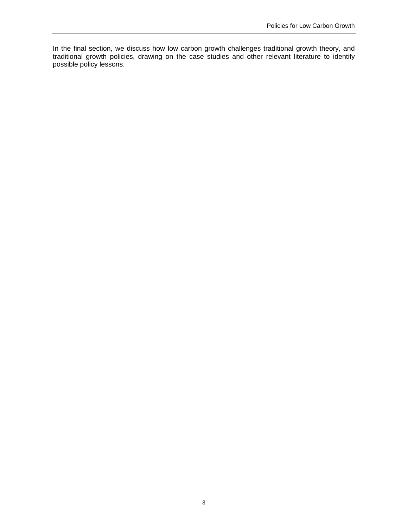In the final section, we discuss how low carbon growth challenges traditional growth theory, and traditional growth policies, drawing on the case studies and other relevant literature to identify possible policy lessons.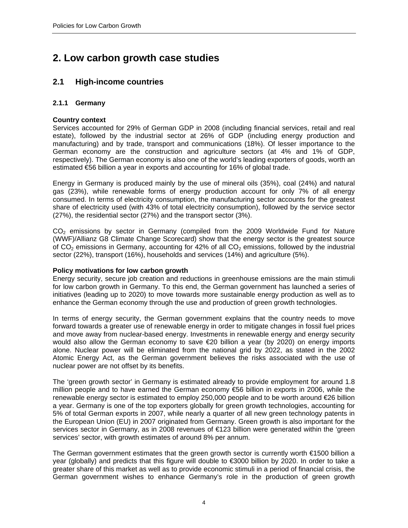# **2. Low carbon growth case studies**

# **2.1 High-income countries**

# **2.1.1 Germany**

# **Country context**

Services accounted for 29% of German GDP in 2008 (including financial services, retail and real estate), followed by the industrial sector at 26% of GDP (including energy production and manufacturing) and by trade, transport and communications (18%). Of lesser importance to the German economy are the construction and agriculture sectors (at 4% and 1% of GDP, respectively). The German economy is also one of the world's leading exporters of goods, worth an estimated €56 billion a year in exports and accounting for 16% of global trade.

Energy in Germany is produced mainly by the use of mineral oils (35%), coal (24%) and natural gas (23%), while renewable forms of energy production account for only 7% of all energy consumed. In terms of electricity consumption, the manufacturing sector accounts for the greatest share of electricity used (with 43% of total electricity consumption), followed by the service sector (27%), the residential sector (27%) and the transport sector (3%).

 $CO<sub>2</sub>$  emissions by sector in Germany (compiled from the 2009 Worldwide Fund for Nature (WWF)/Allianz G8 Climate Change Scorecard) show that the energy sector is the greatest source of  $CO<sub>2</sub>$  emissions in Germany, accounting for 42% of all  $CO<sub>2</sub>$  emissions, followed by the industrial sector (22%), transport (16%), households and services (14%) and agriculture (5%).

# **Policy motivations for low carbon growth**

Energy security, secure job creation and reductions in greenhouse emissions are the main stimuli for low carbon growth in Germany. To this end, the German government has launched a series of initiatives (leading up to 2020) to move towards more sustainable energy production as well as to enhance the German economy through the use and production of green growth technologies.

In terms of energy security, the German government explains that the country needs to move forward towards a greater use of renewable energy in order to mitigate changes in fossil fuel prices and move away from nuclear-based energy. Investments in renewable energy and energy security would also allow the German economy to save €20 billion a year (by 2020) on energy imports alone. Nuclear power will be eliminated from the national grid by 2022, as stated in the 2002 Atomic Energy Act, as the German government believes the risks associated with the use of nuclear power are not offset by its benefits.

The 'green growth sector' in Germany is estimated already to provide employment for around 1.8 million people and to have earned the German economy €56 billion in exports in 2006, while the renewable energy sector is estimated to employ 250,000 people and to be worth around €26 billion a year. Germany is one of the top exporters globally for green growth technologies, accounting for 5% of total German exports in 2007, while nearly a quarter of all new green technology patents in the European Union (EU) in 2007 originated from Germany. Green growth is also important for the services sector in Germany, as in 2008 revenues of €123 billion were generated within the 'green services' sector, with growth estimates of around 8% per annum.

The German government estimates that the green growth sector is currently worth €1500 billion a year (globally) and predicts that this figure will double to €3000 billion by 2020. In order to take a greater share of this market as well as to provide economic stimuli in a period of financial crisis, the German government wishes to enhance Germany's role in the production of green growth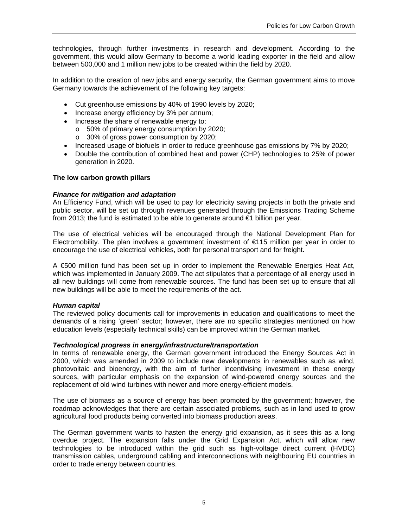technologies, through further investments in research and development. According to the government, this would allow Germany to become a world leading exporter in the field and allow between 500,000 and 1 million new jobs to be created within the field by 2020.

In addition to the creation of new jobs and energy security, the German government aims to move Germany towards the achievement of the following key targets:

- Cut greenhouse emissions by 40% of 1990 levels by 2020;
- Increase energy efficiency by 3% per annum;
- Increase the share of renewable energy to:
	- o 50% of primary energy consumption by 2020;
	- o 30% of gross power consumption by 2020;
- Increased usage of biofuels in order to reduce greenhouse gas emissions by 7% by 2020;
- Double the contribution of combined heat and power (CHP) technologies to 25% of power generation in 2020.

#### **The low carbon growth pillars**

#### *Finance for mitigation and adaptation*

An Efficiency Fund, which will be used to pay for electricity saving projects in both the private and public sector, will be set up through revenues generated through the Emissions Trading Scheme from 2013; the fund is estimated to be able to generate around €1 billion per year.

The use of electrical vehicles will be encouraged through the National Development Plan for Electromobility. The plan involves a government investment of €115 million per year in order to encourage the use of electrical vehicles, both for personal transport and for freight.

A €500 million fund has been set up in order to implement the Renewable Energies Heat Act, which was implemented in January 2009. The act stipulates that a percentage of all energy used in all new buildings will come from renewable sources. The fund has been set up to ensure that all new buildings will be able to meet the requirements of the act.

#### *Human capital*

The reviewed policy documents call for improvements in education and qualifications to meet the demands of a rising 'green' sector; however, there are no specific strategies mentioned on how education levels (especially technical skills) can be improved within the German market.

#### *Technological progress in energy/infrastructure/transportation*

In terms of renewable energy, the German government introduced the Energy Sources Act in 2000, which was amended in 2009 to include new developments in renewables such as wind, photovoltaic and bioenergy, with the aim of further incentivising investment in these energy sources, with particular emphasis on the expansion of wind-powered energy sources and the replacement of old wind turbines with newer and more energy-efficient models.

The use of biomass as a source of energy has been promoted by the government; however, the roadmap acknowledges that there are certain associated problems, such as in land used to grow agricultural food products being converted into biomass production areas.

The German government wants to hasten the energy grid expansion, as it sees this as a long overdue project. The expansion falls under the Grid Expansion Act, which will allow new technologies to be introduced within the grid such as high-voltage direct current (HVDC) transmission cables, underground cabling and interconnections with neighbouring EU countries in order to trade energy between countries.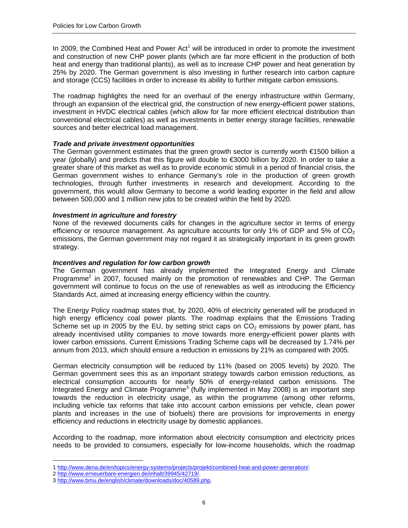In 2009, the Combined Heat and Power Act<sup>1</sup> will be introduced in order to promote the investment and construction of new CHP power plants (which are far more efficient in the production of both heat and energy than traditional plants), as well as to increase CHP power and heat generation by 25% by 2020. The German government is also investing in further research into carbon capture and storage (CCS) facilities in order to increase its ability to further mitigate carbon emissions.

The roadmap highlights the need for an overhaul of the energy infrastructure within Germany, through an expansion of the electrical grid, the construction of new energy-efficient power stations, investment in HVDC electrical cables (which allow for far more efficient electrical distribution than conventional electrical cables) as well as investments in better energy storage facilities, renewable sources and better electrical load management.

# *Trade and private investment opportunities*

The German government estimates that the green growth sector is currently worth €1500 billion a year (globally) and predicts that this figure will double to €3000 billion by 2020. In order to take a greater share of this market as well as to provide economic stimuli in a period of financial crisis, the German government wishes to enhance Germany's role in the production of green growth technologies, through further investments in research and development. According to the government, this would allow Germany to become a world leading exporter in the field and allow between 500,000 and 1 million new jobs to be created within the field by 2020.

# *Investment in agriculture and forestry*

None of the reviewed documents calls for changes in the agriculture sector in terms of energy efficiency or resource management. As agriculture accounts for only 1% of GDP and 5% of  $CO<sub>2</sub>$ emissions, the German government may not regard it as strategically important in its green growth strategy.

# *Incentives and regulation for low carbon growth*

The German government has already implemented the Integrated Energy and Climate Programme<sup>2</sup> in 2007, focused mainly on the promotion of renewables and CHP. The German government will continue to focus on the use of renewables as well as introducing the Efficiency Standards Act, aimed at increasing energy efficiency within the country.

The Energy Policy roadmap states that, by 2020, 40% of electricity generated will be produced in high energy efficiency coal power plants. The roadmap explains that the Emissions Trading Scheme set up in 2005 by the EU, by setting strict caps on  $CO<sub>2</sub>$  emissions by power plant, has already incentivised utility companies to move towards more energy-efficient power plants with lower carbon emissions. Current Emissions Trading Scheme caps will be decreased by 1.74% per annum from 2013, which should ensure a reduction in emissions by 21% as compared with 2005.

German electricity consumption will be reduced by 11% (based on 2005 levels) by 2020. The German government sees this as an important strategy towards carbon emission reductions, as electrical consumption accounts for nearly 50% of energy-related carbon emissions. The Integrated Energy and Climate Programme<sup>3</sup> (fully implemented in May 2008) is an important step towards the reduction in electricity usage, as within the programme (among other reforms, including vehicle tax reforms that take into account carbon emissions per vehicle, clean power plants and increases in the use of biofuels) there are provisions for improvements in energy efficiency and reductions in electricity usage by domestic appliances.

According to the roadmap, more information about electricity consumption and electricity prices needs to be provided to consumers, especially for low-income households, which the roadmap

 $\overline{a}$ 

<sup>1</sup> http://www.dena.de/en/topics/energy-systems/projects/projekt/combined-heat-and-power-generation/.

<sup>2</sup> http://www.erneuerbare-energien.de/inhalt/39945/42719/.

<sup>3</sup> http://www.bmu.de/english/climate/downloads/doc/40589.php.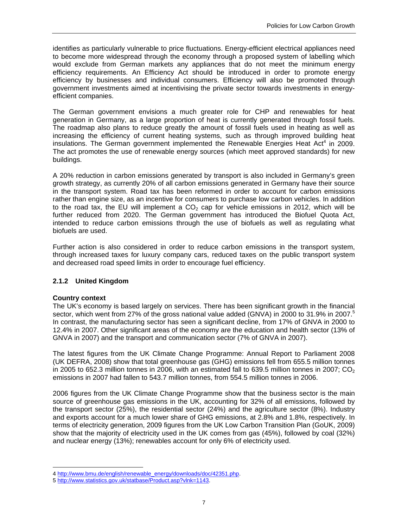identifies as particularly vulnerable to price fluctuations. Energy-efficient electrical appliances need to become more widespread through the economy through a proposed system of labelling which would exclude from German markets any appliances that do not meet the minimum energy efficiency requirements. An Efficiency Act should be introduced in order to promote energy efficiency by businesses and individual consumers. Efficiency will also be promoted through government investments aimed at incentivising the private sector towards investments in energyefficient companies.

The German government envisions a much greater role for CHP and renewables for heat generation in Germany, as a large proportion of heat is currently generated through fossil fuels. The roadmap also plans to reduce greatly the amount of fossil fuels used in heating as well as increasing the efficiency of current heating systems, such as through improved building heat insulations. The German government implemented the Renewable Energies Heat Act<sup>4</sup> in 2009. The act promotes the use of renewable energy sources (which meet approved standards) for new buildings.

A 20% reduction in carbon emissions generated by transport is also included in Germany's green growth strategy, as currently 20% of all carbon emissions generated in Germany have their source in the transport system. Road tax has been reformed in order to account for carbon emissions rather than engine size, as an incentive for consumers to purchase low carbon vehicles. In addition to the road tax, the EU will implement a  $CO<sub>2</sub>$  cap for vehicle emissions in 2012, which will be further reduced from 2020. The German government has introduced the Biofuel Quota Act, intended to reduce carbon emissions through the use of biofuels as well as regulating what biofuels are used.

Further action is also considered in order to reduce carbon emissions in the transport system, through increased taxes for luxury company cars, reduced taxes on the public transport system and decreased road speed limits in order to encourage fuel efficiency.

# **2.1.2 United Kingdom**

# **Country context**

The UK's economy is based largely on services. There has been significant growth in the financial sector, which went from 27% of the gross national value added (GNVA) in 2000 to 31.9% in 2007.<sup>5</sup> In contrast, the manufacturing sector has seen a significant decline, from 17% of GNVA in 2000 to 12.4% in 2007. Other significant areas of the economy are the education and health sector (13% of GNVA in 2007) and the transport and communication sector (7% of GNVA in 2007).

The latest figures from the UK Climate Change Programme: Annual Report to Parliament 2008 (UK DEFRA, 2008) show that total greenhouse gas (GHG) emissions fell from 655.5 million tonnes in 2005 to 652.3 million tonnes in 2006, with an estimated fall to 639.5 million tonnes in 2007; CO<sub>2</sub> emissions in 2007 had fallen to 543.7 million tonnes, from 554.5 million tonnes in 2006.

2006 figures from the UK Climate Change Programme show that the business sector is the main source of greenhouse gas emissions in the UK, accounting for 32% of all emissions, followed by the transport sector (25%), the residential sector (24%) and the agriculture sector (8%). Industry and exports account for a much lower share of GHG emissions, at 2.8% and 1.8%, respectively. In terms of electricity generation, 2009 figures from the UK Low Carbon Transition Plan (GoUK, 2009) show that the majority of electricity used in the UK comes from gas (45%), followed by coal (32%) and nuclear energy (13%); renewables account for only 6% of electricity used.

 $\overline{a}$ 4 http://www.bmu.de/english/renewable\_energy/downloads/doc/42351.php.

<sup>5</sup> http://www.statistics.gov.uk/statbase/Product.asp?vlnk=1143.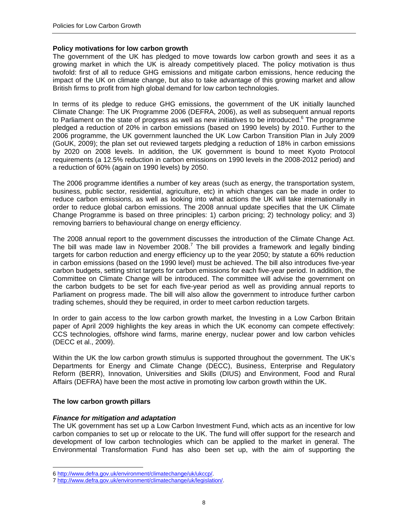#### **Policy motivations for low carbon growth**

The government of the UK has pledged to move towards low carbon growth and sees it as a growing market in which the UK is already competitively placed. The policy motivation is thus twofold: first of all to reduce GHG emissions and mitigate carbon emissions, hence reducing the impact of the UK on climate change, but also to take advantage of this growing market and allow British firms to profit from high global demand for low carbon technologies.

In terms of its pledge to reduce GHG emissions, the government of the UK initially launched Climate Change: The UK Programme 2006 (DEFRA, 2006), as well as subsequent annual reports to Parliament on the state of progress as well as new initiatives to be introduced.<sup>6</sup> The programme pledged a reduction of 20% in carbon emissions (based on 1990 levels) by 2010. Further to the 2006 programme, the UK government launched the UK Low Carbon Transition Plan in July 2009 (GoUK, 2009); the plan set out reviewed targets pledging a reduction of 18% in carbon emissions by 2020 on 2008 levels. In addition, the UK government is bound to meet Kyoto Protocol requirements (a 12.5% reduction in carbon emissions on 1990 levels in the 2008-2012 period) and a reduction of 60% (again on 1990 levels) by 2050.

The 2006 programme identifies a number of key areas (such as energy, the transportation system, business, public sector, residential, agriculture, etc) in which changes can be made in order to reduce carbon emissions, as well as looking into what actions the UK will take internationally in order to reduce global carbon emissions. The 2008 annual update specifies that the UK Climate Change Programme is based on three principles: 1) carbon pricing; 2) technology policy; and 3) removing barriers to behavioural change on energy efficiency.

The 2008 annual report to the government discusses the introduction of the Climate Change Act. The bill was made law in November 2008.<sup>7</sup> The bill provides a framework and legally binding targets for carbon reduction and energy efficiency up to the year 2050; by statute a 60% reduction in carbon emissions (based on the 1990 level) must be achieved. The bill also introduces five-year carbon budgets, setting strict targets for carbon emissions for each five-year period. In addition, the Committee on Climate Change will be introduced. The committee will advise the government on the carbon budgets to be set for each five-year period as well as providing annual reports to Parliament on progress made. The bill will also allow the government to introduce further carbon trading schemes, should they be required, in order to meet carbon reduction targets.

In order to gain access to the low carbon growth market, the Investing in a Low Carbon Britain paper of April 2009 highlights the key areas in which the UK economy can compete effectively: CCS technologies, offshore wind farms, marine energy, nuclear power and low carbon vehicles (DECC et al., 2009).

Within the UK the low carbon growth stimulus is supported throughout the government. The UK's Departments for Energy and Climate Change (DECC), Business, Enterprise and Regulatory Reform (BERR), Innovation, Universities and Skills (DIUS) and Environment, Food and Rural Affairs (DEFRA) have been the most active in promoting low carbon growth within the UK.

# **The low carbon growth pillars**

 $\overline{a}$ 

# *Finance for mitigation and adaptation*

The UK government has set up a Low Carbon Investment Fund, which acts as an incentive for low carbon companies to set up or relocate to the UK. The fund will offer support for the research and development of low carbon technologies which can be applied to the market in general. The Environmental Transformation Fund has also been set up, with the aim of supporting the

<sup>6</sup> http://www.defra.gov.uk/environment/climatechange/uk/ukccp/.

<sup>7</sup> http://www.defra.gov.uk/environment/climatechange/uk/legislation/.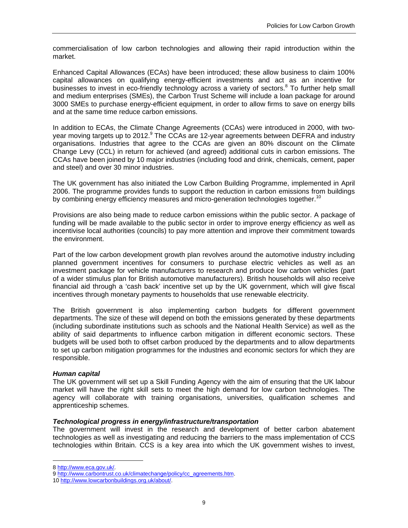commercialisation of low carbon technologies and allowing their rapid introduction within the market.

Enhanced Capital Allowances (ECAs) have been introduced; these allow business to claim 100% capital allowances on qualifying energy-efficient investments and act as an incentive for businesses to invest in eco-friendly technology across a variety of sectors.<sup>8</sup> To further help small and medium enterprises (SMEs), the Carbon Trust Scheme will include a loan package for around 3000 SMEs to purchase energy-efficient equipment, in order to allow firms to save on energy bills and at the same time reduce carbon emissions.

In addition to ECAs, the Climate Change Agreements (CCAs) were introduced in 2000, with twoyear moving targets up to 2012.<sup>9</sup> The CCAs are 12-year agreements between DEFRA and industry organisations. Industries that agree to the CCAs are given an 80% discount on the Climate Change Levy (CCL) in return for achieved (and agreed) additional cuts in carbon emissions. The CCAs have been joined by 10 major industries (including food and drink, chemicals, cement, paper and steel) and over 30 minor industries.

The UK government has also initiated the Low Carbon Building Programme, implemented in April 2006. The programme provides funds to support the reduction in carbon emissions from buildings by combining energy efficiency measures and micro-generation technologies together.<sup>10</sup>

Provisions are also being made to reduce carbon emissions within the public sector. A package of funding will be made available to the public sector in order to improve energy efficiency as well as incentivise local authorities (councils) to pay more attention and improve their commitment towards the environment.

Part of the low carbon development growth plan revolves around the automotive industry including planned government incentives for consumers to purchase electric vehicles as well as an investment package for vehicle manufacturers to research and produce low carbon vehicles (part of a wider stimulus plan for British automotive manufacturers). British households will also receive financial aid through a 'cash back' incentive set up by the UK government, which will give fiscal incentives through monetary payments to households that use renewable electricity.

The British government is also implementing carbon budgets for different government departments. The size of these will depend on both the emissions generated by these departments (including subordinate institutions such as schools and the National Health Service) as well as the ability of said departments to influence carbon mitigation in different economic sectors. These budgets will be used both to offset carbon produced by the departments and to allow departments to set up carbon mitigation programmes for the industries and economic sectors for which they are responsible.

# *Human capital*

The UK government will set up a Skill Funding Agency with the aim of ensuring that the UK labour market will have the right skill sets to meet the high demand for low carbon technologies. The agency will collaborate with training organisations, universities, qualification schemes and apprenticeship schemes.

# *Technological progress in energy/infrastructure/transportation*

The government will invest in the research and development of better carbon abatement technologies as well as investigating and reducing the barriers to the mass implementation of CCS technologies within Britain. CCS is a key area into which the UK government wishes to invest,

 $\overline{a}$ 

<sup>8</sup> http://www.eca.gov.uk/.

<sup>9</sup> http://www.carbontrust.co.uk/climatechange/policy/cc\_agreements.htm.

<sup>10</sup> http://www.lowcarbonbuildings.org.uk/about/.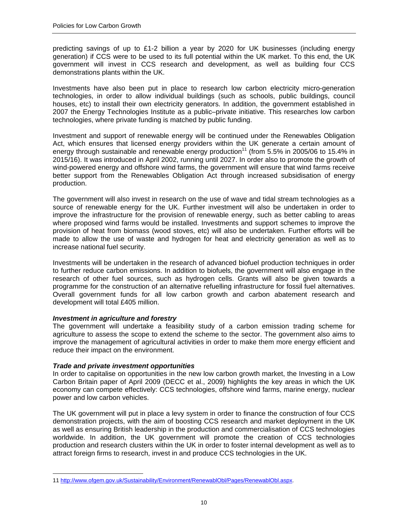predicting savings of up to £1-2 billion a year by 2020 for UK businesses (including energy generation) if CCS were to be used to its full potential within the UK market. To this end, the UK government will invest in CCS research and development, as well as building four CCS demonstrations plants within the UK.

Investments have also been put in place to research low carbon electricity micro-generation technologies, in order to allow individual buildings (such as schools, public buildings, council houses, etc) to install their own electricity generators. In addition, the government established in 2007 the Energy Technologies Institute as a public–private initiative. This researches low carbon technologies, where private funding is matched by public funding.

Investment and support of renewable energy will be continued under the Renewables Obligation Act, which ensures that licensed energy providers within the UK generate a certain amount of energy through sustainable and renewable energy production<sup>11</sup> (from 5.5% in 2005/06 to 15.4% in 2015/16). It was introduced in April 2002, running until 2027. In order also to promote the growth of wind-powered energy and offshore wind farms, the government will ensure that wind farms receive better support from the Renewables Obligation Act through increased subsidisation of energy production.

The government will also invest in research on the use of wave and tidal stream technologies as a source of renewable energy for the UK. Further investment will also be undertaken in order to improve the infrastructure for the provision of renewable energy, such as better cabling to areas where proposed wind farms would be installed. Investments and support schemes to improve the provision of heat from biomass (wood stoves, etc) will also be undertaken. Further efforts will be made to allow the use of waste and hydrogen for heat and electricity generation as well as to increase national fuel security.

Investments will be undertaken in the research of advanced biofuel production techniques in order to further reduce carbon emissions. In addition to biofuels, the government will also engage in the research of other fuel sources, such as hydrogen cells. Grants will also be given towards a programme for the construction of an alternative refuelling infrastructure for fossil fuel alternatives. Overall government funds for all low carbon growth and carbon abatement research and development will total £405 million.

# *Investment in agriculture and forestry*

The government will undertake a feasibility study of a carbon emission trading scheme for agriculture to assess the scope to extend the scheme to the sector. The government also aims to improve the management of agricultural activities in order to make them more energy efficient and reduce their impact on the environment.

# *Trade and private investment opportunities*

 $\overline{a}$ 

In order to capitalise on opportunities in the new low carbon growth market, the Investing in a Low Carbon Britain paper of April 2009 (DECC et al., 2009) highlights the key areas in which the UK economy can compete effectively: CCS technologies, offshore wind farms, marine energy, nuclear power and low carbon vehicles.

The UK government will put in place a levy system in order to finance the construction of four CCS demonstration projects, with the aim of boosting CCS research and market deployment in the UK as well as ensuring British leadership in the production and commercialisation of CCS technologies worldwide. In addition, the UK government will promote the creation of CCS technologies production and research clusters within the UK in order to foster internal development as well as to attract foreign firms to research, invest in and produce CCS technologies in the UK.

<sup>11</sup> http://www.ofgem.gov.uk/Sustainability/Environment/RenewablObl/Pages/RenewablObl.aspx.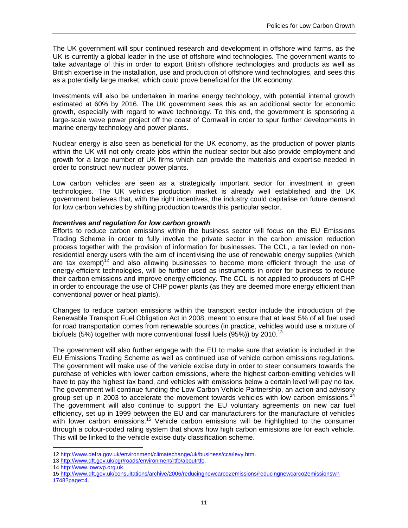The UK government will spur continued research and development in offshore wind farms, as the UK is currently a global leader in the use of offshore wind technologies. The government wants to take advantage of this in order to export British offshore technologies and products as well as British expertise in the installation, use and production of offshore wind technologies, and sees this as a potentially large market, which could prove beneficial for the UK economy.

Investments will also be undertaken in marine energy technology, with potential internal growth estimated at 60% by 2016. The UK government sees this as an additional sector for economic growth, especially with regard to wave technology. To this end, the government is sponsoring a large-scale wave power project off the coast of Cornwall in order to spur further developments in marine energy technology and power plants.

Nuclear energy is also seen as beneficial for the UK economy, as the production of power plants within the UK will not only create jobs within the nuclear sector but also provide employment and growth for a large number of UK firms which can provide the materials and expertise needed in order to construct new nuclear power plants.

Low carbon vehicles are seen as a strategically important sector for investment in green technologies. The UK vehicles production market is already well established and the UK government believes that, with the right incentives, the industry could capitalise on future demand for low carbon vehicles by shifting production towards this particular sector.

#### *Incentives and regulation for low carbon growth*

Efforts to reduce carbon emissions within the business sector will focus on the EU Emissions Trading Scheme in order to fully involve the private sector in the carbon emission reduction process together with the provision of information for businesses. The CCL, a tax levied on nonresidential energy users with the aim of incentivising the use of renewable energy supplies (which are tax exempt)<sup>12</sup> and also allowing businesses to become more efficient through the use of energy-efficient technologies, will be further used as instruments in order for business to reduce their carbon emissions and improve energy efficiency. The CCL is not applied to producers of CHP in order to encourage the use of CHP power plants (as they are deemed more energy efficient than conventional power or heat plants).

Changes to reduce carbon emissions within the transport sector include the introduction of the Renewable Transport Fuel Obligation Act in 2008, meant to ensure that at least 5% of all fuel used for road transportation comes from renewable sources (in practice, vehicles would use a mixture of biofuels (5%) together with more conventional fossil fuels (95%)) by 2010.<sup>13</sup>

The government will also further engage with the EU to make sure that aviation is included in the EU Emissions Trading Scheme as well as continued use of vehicle carbon emissions regulations. The government will make use of the vehicle excise duty in order to steer consumers towards the purchase of vehicles with lower carbon emissions, where the highest carbon-emitting vehicles will have to pay the highest tax band, and vehicles with emissions below a certain level will pay no tax. The government will continue funding the Low Carbon Vehicle Partnership, an action and advisory group set up in 2003 to accelerate the movement towards vehicles with low carbon emissions.<sup>14</sup> The government will also continue to support the EU voluntary agreements on new car fuel efficiency, set up in 1999 between the EU and car manufacturers for the manufacture of vehicles with lower carbon emissions.<sup>15</sup> Vehicle carbon emissions will be highlighted to the consumer through a colour-coded rating system that shows how high carbon emissions are for each vehicle. This will be linked to the vehicle excise duty classification scheme.

 $\overline{a}$ 

<sup>12</sup> http://www.defra.gov.uk/environment/climatechange/uk/business/cca/levy.htm.

<sup>13</sup> http://www.dft.gov.uk/pgr/roads/environment/rtfo/aboutrtfo.

<sup>14</sup> http://www.lowcvp.org.uk.

<sup>15</sup> http://www.dft.gov.uk/consultations/archive/2006/reducingnewcarco2emissions/reducingnewcarco2emissionswh 1748?page=4.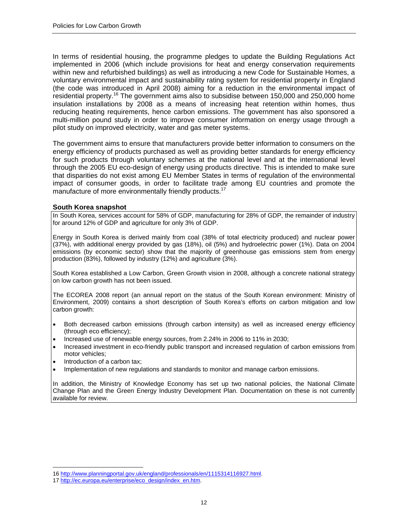In terms of residential housing, the programme pledges to update the Building Regulations Act implemented in 2006 (which include provisions for heat and energy conservation requirements within new and refurbished buildings) as well as introducing a new Code for Sustainable Homes, a voluntary environmental impact and sustainability rating system for residential property in England (the code was introduced in April 2008) aiming for a reduction in the environmental impact of residential property.<sup>16</sup> The government aims also to subsidise between 150,000 and 250,000 home insulation installations by 2008 as a means of increasing heat retention within homes, thus reducing heating requirements, hence carbon emissions. The government has also sponsored a multi-million pound study in order to improve consumer information on energy usage through a pilot study on improved electricity, water and gas meter systems.

The government aims to ensure that manufacturers provide better information to consumers on the energy efficiency of products purchased as well as providing better standards for energy efficiency for such products through voluntary schemes at the national level and at the international level through the 2005 EU eco-design of energy using products directive. This is intended to make sure that disparities do not exist among EU Member States in terms of regulation of the environmental impact of consumer goods, in order to facilitate trade among EU countries and promote the manufacture of more environmentally friendly products.<sup>17</sup>

#### **South Korea snapshot**

In South Korea, services account for 58% of GDP, manufacturing for 28% of GDP, the remainder of industry for around 12% of GDP and agriculture for only 3% of GDP.

Energy in South Korea is derived mainly from coal (38% of total electricity produced) and nuclear power (37%), with additional energy provided by gas (18%), oil (5%) and hydroelectric power (1%). Data on 2004 emissions (by economic sector) show that the majority of greenhouse gas emissions stem from energy production (83%), followed by industry (12%) and agriculture (3%).

South Korea established a Low Carbon, Green Growth vision in 2008, although a concrete national strategy on low carbon growth has not been issued.

The ECOREA 2008 report (an annual report on the status of the South Korean environment: Ministry of Environment, 2009) contains a short description of South Korea's efforts on carbon mitigation and low carbon growth:

- Both decreased carbon emissions (through carbon intensity) as well as increased energy efficiency (through eco efficiency);
- Increased use of renewable energy sources, from 2.24% in 2006 to 11% in 2030;
- Increased investment in eco-friendly public transport and increased regulation of carbon emissions from motor vehicles;
- Introduction of a carbon tax;

 $\overline{a}$ 

• Implementation of new regulations and standards to monitor and manage carbon emissions.

In addition, the Ministry of Knowledge Economy has set up two national policies, the National Climate Change Plan and the Green Energy Industry Development Plan. Documentation on these is not currently available for review.

<sup>16</sup> http://www.planningportal.gov.uk/england/professionals/en/1115314116927.html.

<sup>17</sup> http://ec.europa.eu/enterprise/eco\_design/index\_en.htm.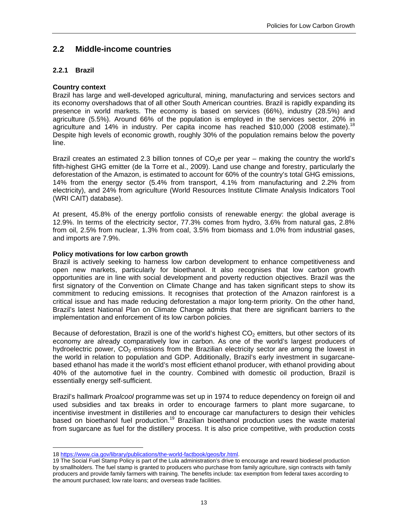# **2.2 Middle-income countries**

# **2.2.1 Brazil**

# **Country context**

Brazil has large and well-developed agricultural, mining, manufacturing and services sectors and its economy overshadows that of all other South American countries. Brazil is rapidly expanding its presence in world markets. The economy is based on services (66%), industry (28.5%) and agriculture (5.5%). Around 66% of the population is employed in the services sector, 20% in agriculture and 14% in industry. Per capita income has reached \$10,000 (2008 estimate).<sup>18</sup> Despite high levels of economic growth, roughly 30% of the population remains below the poverty line.

Brazil creates an estimated 2.3 billion tonnes of  $CO<sub>2</sub>e$  per year – making the country the world's fifth-highest GHG emitter (de la Torre et al., 2009). Land use change and forestry, particularly the deforestation of the Amazon, is estimated to account for 60% of the country's total GHG emissions, 14% from the energy sector (5.4% from transport, 4.1% from manufacturing and 2.2% from electricity), and 24% from agriculture (World Resources Institute Climate Analysis Indicators Tool (WRI CAIT) database).

At present, 45.8% of the energy portfolio consists of renewable energy: the global average is 12.9%. In terms of the electricity sector, 77.3% comes from hydro, 3.6% from natural gas, 2.8% from oil, 2.5% from nuclear, 1.3% from coal, 3.5% from biomass and 1.0% from industrial gases, and imports are 7.9%.

# **Policy motivations for low carbon growth**

Brazil is actively seeking to harness low carbon development to enhance competitiveness and open new markets, particularly for bioethanol. It also recognises that low carbon growth opportunities are in line with social development and poverty reduction objectives. Brazil was the first signatory of the Convention on Climate Change and has taken significant steps to show its commitment to reducing emissions. It recognises that protection of the Amazon rainforest is a critical issue and has made reducing deforestation a major long-term priority. On the other hand, Brazil's latest National Plan on Climate Change admits that there are significant barriers to the implementation and enforcement of its low carbon policies.

Because of deforestation, Brazil is one of the world's highest  $CO<sub>2</sub>$  emitters, but other sectors of its economy are already comparatively low in carbon. As one of the world's largest producers of hydroelectric power,  $CO<sub>2</sub>$  emissions from the Brazilian electricity sector are among the lowest in the world in relation to population and GDP. Additionally, Brazil's early investment in sugarcanebased ethanol has made it the world's most efficient ethanol producer, with ethanol providing about 40% of the automotive fuel in the country. Combined with domestic oil production, Brazil is essentially energy self-sufficient.

Brazil's hallmark *Proalcool* programme was set up in 1974 to reduce dependency on foreign oil and used subsidies and tax breaks in order to encourage farmers to plant more sugarcane, to incentivise investment in distilleries and to encourage car manufacturers to design their vehicles based on bioethanol fuel production.<sup>19</sup> Brazilian bioethanol production uses the waste material from sugarcane as fuel for the distillery process. It is also price competitive, with production costs

 $\overline{a}$ 18 https://www.cia.gov/library/publications/the-world-factbook/geos/br.html.

<sup>19</sup> The Social Fuel Stamp Policy is part of the Lula administration's drive to encourage and reward biodiesel production by smallholders. The fuel stamp is granted to producers who purchase from family agriculture, sign contracts with family producers and provide family farmers with training. The benefits include: tax exemption from federal taxes according to the amount purchased; low rate loans; and overseas trade facilities.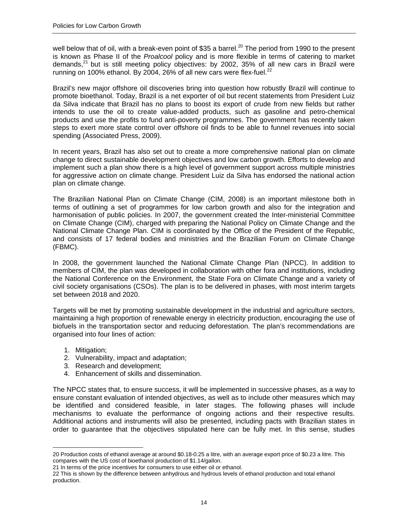well below that of oil, with a break-even point of \$35 a barrel.<sup>20</sup> The period from 1990 to the present is known as Phase II of the *Proalcool* policy and is more flexible in terms of catering to market demands, $^{21}$  but is still meeting policy objectives: by 2002, 35% of all new cars in Brazil were running on 100% ethanol. By 2004, 26% of all new cars were flex-fuel.<sup>22</sup>

Brazil's new major offshore oil discoveries bring into question how robustly Brazil will continue to promote bioethanol. Today, Brazil is a net exporter of oil but recent statements from President Luiz da Silva indicate that Brazil has no plans to boost its export of crude from new fields but rather intends to use the oil to create value-added products, such as gasoline and petro-chemical products and use the profits to fund anti-poverty programmes. The government has recently taken steps to exert more state control over offshore oil finds to be able to funnel revenues into social spending (Associated Press, 2009).

In recent years, Brazil has also set out to create a more comprehensive national plan on climate change to direct sustainable development objectives and low carbon growth. Efforts to develop and implement such a plan show there is a high level of government support across multiple ministries for aggressive action on climate change. President Luiz da Silva has endorsed the national action plan on climate change.

The Brazilian National Plan on Climate Change (CIM, 2008) is an important milestone both in terms of outlining a set of programmes for low carbon growth and also for the integration and harmonisation of public policies. In 2007, the government created the Inter-ministerial Committee on Climate Change (CIM), charged with preparing the National Policy on Climate Change and the National Climate Change Plan. CIM is coordinated by the Office of the President of the Republic, and consists of 17 federal bodies and ministries and the Brazilian Forum on Climate Change (FBMC).

In 2008, the government launched the National Climate Change Plan (NPCC). In addition to members of CIM, the plan was developed in collaboration with other fora and institutions, including the National Conference on the Environment, the State Fora on Climate Change and a variety of civil society organisations (CSOs). The plan is to be delivered in phases, with most interim targets set between 2018 and 2020.

Targets will be met by promoting sustainable development in the industrial and agriculture sectors, maintaining a high proportion of renewable energy in electricity production, encouraging the use of biofuels in the transportation sector and reducing deforestation. The plan's recommendations are organised into four lines of action:

1. Mitigation;

 $\overline{a}$ 

- 2. Vulnerability, impact and adaptation;
- 3. Research and development;
- 4. Enhancement of skills and dissemination.

The NPCC states that, to ensure success, it will be implemented in successive phases, as a way to ensure constant evaluation of intended objectives, as well as to include other measures which may be identified and considered feasible, in later stages. The following phases will include mechanisms to evaluate the performance of ongoing actions and their respective results. Additional actions and instruments will also be presented, including pacts with Brazilian states in order to guarantee that the objectives stipulated here can be fully met. In this sense, studies

<sup>20</sup> Production costs of ethanol average at around \$0.18-0.25 a litre, with an average export price of \$0.23 a litre. This compares with the US cost of bioethanol production of \$1.14/gallon.

<sup>21</sup> In terms of the price incentives for consumers to use either oil or ethanol.

<sup>22</sup> This is shown by the difference between anhydrous and hydrous levels of ethanol production and total ethanol production.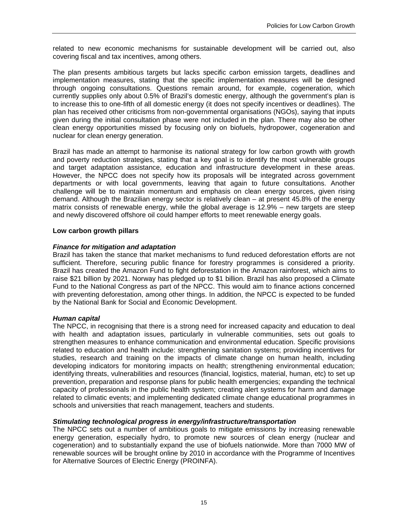related to new economic mechanisms for sustainable development will be carried out, also covering fiscal and tax incentives, among others.

The plan presents ambitious targets but lacks specific carbon emission targets, deadlines and implementation measures, stating that the specific implementation measures will be designed through ongoing consultations. Questions remain around, for example, cogeneration, which currently supplies only about 0.5% of Brazil's domestic energy, although the government's plan is to increase this to one-fifth of all domestic energy (it does not specify incentives or deadlines). The plan has received other criticisms from non-governmental organisations (NGOs), saying that inputs given during the initial consultation phase were not included in the plan. There may also be other clean energy opportunities missed by focusing only on biofuels, hydropower, cogeneration and nuclear for clean energy generation.

Brazil has made an attempt to harmonise its national strategy for low carbon growth with growth and poverty reduction strategies, stating that a key goal is to identify the most vulnerable groups and target adaptation assistance, education and infrastructure development in these areas. However, the NPCC does not specify how its proposals will be integrated across government departments or with local governments, leaving that again to future consultations. Another challenge will be to maintain momentum and emphasis on clean energy sources, given rising demand. Although the Brazilian energy sector is relatively clean – at present 45.8% of the energy matrix consists of renewable energy, while the global average is 12.9% – new targets are steep and newly discovered offshore oil could hamper efforts to meet renewable energy goals.

# **Low carbon growth pillars**

# *Finance for mitigation and adaptation*

Brazil has taken the stance that market mechanisms to fund reduced deforestation efforts are not sufficient. Therefore, securing public finance for forestry programmes is considered a priority. Brazil has created the Amazon Fund to fight deforestation in the Amazon rainforest, which aims to raise \$21 billion by 2021. Norway has pledged up to \$1 billion. Brazil has also proposed a Climate Fund to the National Congress as part of the NPCC. This would aim to finance actions concerned with preventing deforestation, among other things. In addition, the NPCC is expected to be funded by the National Bank for Social and Economic Development.

# *Human capital*

The NPCC, in recognising that there is a strong need for increased capacity and education to deal with health and adaptation issues, particularly in vulnerable communities, sets out goals to strengthen measures to enhance communication and environmental education. Specific provisions related to education and health include: strengthening sanitation systems; providing incentives for studies, research and training on the impacts of climate change on human health, including developing indicators for monitoring impacts on health; strengthening environmental education; identifying threats, vulnerabilities and resources (financial, logistics, material, human, etc) to set up prevention, preparation and response plans for public health emergencies; expanding the technical capacity of professionals in the public health system; creating alert systems for harm and damage related to climatic events; and implementing dedicated climate change educational programmes in schools and universities that reach management, teachers and students.

# *Stimulating technological progress in energy/infrastructure/transportation*

The NPCC sets out a number of ambitious goals to mitigate emissions by increasing renewable energy generation, especially hydro, to promote new sources of clean energy (nuclear and cogeneration) and to substantially expand the use of biofuels nationwide. More than 7000 MW of renewable sources will be brought online by 2010 in accordance with the Programme of Incentives for Alternative Sources of Electric Energy (PROINFA).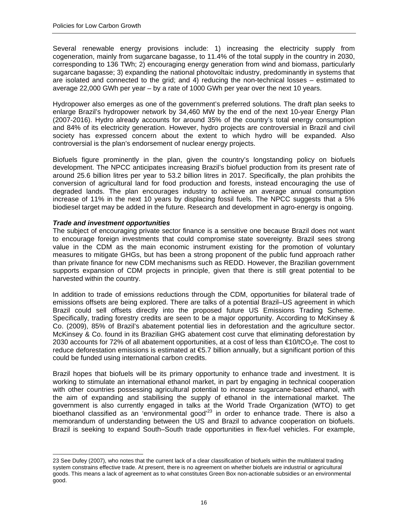Several renewable energy provisions include: 1) increasing the electricity supply from cogeneration, mainly from sugarcane bagasse, to 11.4% of the total supply in the country in 2030, corresponding to 136 TWh; 2) encouraging energy generation from wind and biomass, particularly sugarcane bagasse; 3) expanding the national photovoltaic industry, predominantly in systems that are isolated and connected to the grid; and 4) reducing the non-technical losses – estimated to average 22,000 GWh per year – by a rate of 1000 GWh per year over the next 10 years.

Hydropower also emerges as one of the government's preferred solutions. The draft plan seeks to enlarge Brazil's hydropower network by 34,460 MW by the end of the next 10-year Energy Plan (2007-2016). Hydro already accounts for around 35% of the country's total energy consumption and 84% of its electricity generation. However, hydro projects are controversial in Brazil and civil society has expressed concern about the extent to which hydro will be expanded. Also controversial is the plan's endorsement of nuclear energy projects.

Biofuels figure prominently in the plan, given the country's longstanding policy on biofuels development. The NPCC anticipates increasing Brazil's biofuel production from its present rate of around 25.6 billion litres per year to 53.2 billion litres in 2017. Specifically, the plan prohibits the conversion of agricultural land for food production and forests, instead encouraging the use of degraded lands. The plan encourages industry to achieve an average annual consumption increase of 11% in the next 10 years by displacing fossil fuels. The NPCC suggests that a 5% biodiesel target may be added in the future. Research and development in agro-energy is ongoing.

# *Trade and investment opportunities*

 $\overline{a}$ 

The subject of encouraging private sector finance is a sensitive one because Brazil does not want to encourage foreign investments that could compromise state sovereignty. Brazil sees strong value in the CDM as the main economic instrument existing for the promotion of voluntary measures to mitigate GHGs, but has been a strong proponent of the public fund approach rather than private finance for new CDM mechanisms such as REDD. However, the Brazilian government supports expansion of CDM projects in principle, given that there is still great potential to be harvested within the country.

In addition to trade of emissions reductions through the CDM, opportunities for bilateral trade of emissions offsets are being explored. There are talks of a potential Brazil–US agreement in which Brazil could sell offsets directly into the proposed future US Emissions Trading Scheme. Specifically, trading forestry credits are seen to be a major opportunity. According to McKinsey & Co. (2009), 85% of Brazil's abatement potential lies in deforestation and the agriculture sector. McKinsey & Co. found in its Brazilian GHG abatement cost curve that eliminating deforestation by 2030 accounts for 72% of all abatement opportunities, at a cost of less than  $\epsilon$ 10/tCO<sub>2</sub>e. The cost to reduce deforestation emissions is estimated at €5.7 billion annually, but a significant portion of this could be funded using international carbon credits.

Brazil hopes that biofuels will be its primary opportunity to enhance trade and investment. It is working to stimulate an international ethanol market, in part by engaging in technical cooperation with other countries possessing agricultural potential to increase sugarcane-based ethanol, with the aim of expanding and stabilising the supply of ethanol in the international market. The government is also currently engaged in talks at the World Trade Organization (WTO) to get bioethanol classified as an 'environmental good'<sup>23</sup> in order to enhance trade. There is also a memorandum of understanding between the US and Brazil to advance cooperation on biofuels. Brazil is seeking to expand South–South trade opportunities in flex-fuel vehicles. For example,

<sup>23</sup> See Dufey (2007), who notes that the current lack of a clear classification of biofuels within the multilateral trading system constrains effective trade. At present, there is no agreement on whether biofuels are industrial or agricultural goods. This means a lack of agreement as to what constitutes Green Box non-actionable subsidies or an environmental good.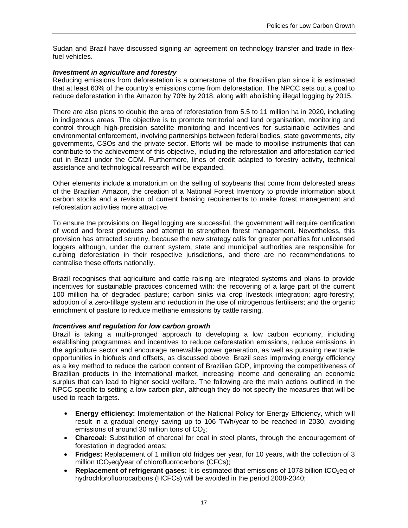Sudan and Brazil have discussed signing an agreement on technology transfer and trade in flexfuel vehicles.

#### *Investment in agriculture and forestry*

Reducing emissions from deforestation is a cornerstone of the Brazilian plan since it is estimated that at least 60% of the country's emissions come from deforestation. The NPCC sets out a goal to reduce deforestation in the Amazon by 70% by 2018, along with abolishing illegal logging by 2015.

There are also plans to double the area of reforestation from 5.5 to 11 million ha in 2020, including in indigenous areas. The objective is to promote territorial and land organisation, monitoring and control through high-precision satellite monitoring and incentives for sustainable activities and environmental enforcement, involving partnerships between federal bodies, state governments, city governments, CSOs and the private sector. Efforts will be made to mobilise instruments that can contribute to the achievement of this objective, including the reforestation and afforestation carried out in Brazil under the CDM. Furthermore, lines of credit adapted to forestry activity, technical assistance and technological research will be expanded.

Other elements include a moratorium on the selling of soybeans that come from deforested areas of the Brazilian Amazon, the creation of a National Forest Inventory to provide information about carbon stocks and a revision of current banking requirements to make forest management and reforestation activities more attractive.

To ensure the provisions on illegal logging are successful, the government will require certification of wood and forest products and attempt to strengthen forest management. Nevertheless, this provision has attracted scrutiny, because the new strategy calls for greater penalties for unlicensed loggers although, under the current system, state and municipal authorities are responsible for curbing deforestation in their respective jurisdictions, and there are no recommendations to centralise these efforts nationally.

Brazil recognises that agriculture and cattle raising are integrated systems and plans to provide incentives for sustainable practices concerned with: the recovering of a large part of the current 100 million ha of degraded pasture; carbon sinks via crop livestock integration; agro-forestry; adoption of a zero-tillage system and reduction in the use of nitrogenous fertilisers; and the organic enrichment of pasture to reduce methane emissions by cattle raising.

# *Incentives and regulation for low carbon growth*

Brazil is taking a multi-pronged approach to developing a low carbon economy, including establishing programmes and incentives to reduce deforestation emissions, reduce emissions in the agriculture sector and encourage renewable power generation, as well as pursuing new trade opportunities in biofuels and offsets, as discussed above. Brazil sees improving energy efficiency as a key method to reduce the carbon content of Brazilian GDP, improving the competitiveness of Brazilian products in the international market, increasing income and generating an economic surplus that can lead to higher social welfare. The following are the main actions outlined in the NPCC specific to setting a low carbon plan, although they do not specify the measures that will be used to reach targets.

- **• Energy efficiency:** Implementation of the National Policy for Energy Efficiency, which will result in a gradual energy saving up to 106 TWh/year to be reached in 2030, avoiding emissions of around 30 million tons of  $CO<sub>2</sub>$ ;
- **Charcoal:** Substitution of charcoal for coal in steel plants, through the encouragement of forestation in degraded areas;
- **Fridges:** Replacement of 1 million old fridges per year, for 10 years, with the collection of 3 million  $tCO_2$ eq/year of chlorofluorocarbons (CFCs);
- **Replacement of refrigerant gases:** It is estimated that emissions of 1078 billion tCO<sub>2</sub>eq of hydrochlorofluorocarbons (HCFCs) will be avoided in the period 2008-2040;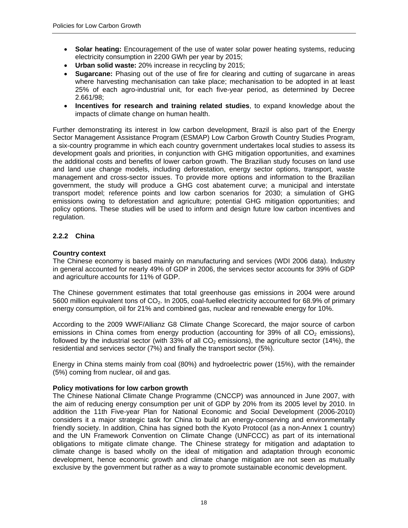- **Solar heating:** Encouragement of the use of water solar power heating systems, reducing electricity consumption in 2200 GWh per year by 2015;
- **Urban solid waste:** 20% increase in recycling by 2015;
- **Sugarcane:** Phasing out of the use of fire for clearing and cutting of sugarcane in areas where harvesting mechanisation can take place; mechanisation to be adopted in at least 25% of each agro-industrial unit, for each five-year period, as determined by Decree 2.661/98;
- **Incentives for research and training related studies**, to expand knowledge about the impacts of climate change on human health.

Further demonstrating its interest in low carbon development, Brazil is also part of the Energy Sector Management Assistance Program (ESMAP) Low Carbon Growth Country Studies Program, a six-country programme in which each country government undertakes local studies to assess its development goals and priorities, in conjunction with GHG mitigation opportunities, and examines the additional costs and benefits of lower carbon growth. The Brazilian study focuses on land use and land use change models, including deforestation, energy sector options, transport, waste management and cross-sector issues. To provide more options and information to the Brazilian government, the study will produce a GHG cost abatement curve; a municipal and interstate transport model; reference points and low carbon scenarios for 2030; a simulation of GHG emissions owing to deforestation and agriculture; potential GHG mitigation opportunities; and policy options. These studies will be used to inform and design future low carbon incentives and regulation.

# **2.2.2 China**

# **Country context**

The Chinese economy is based mainly on manufacturing and services (WDI 2006 data). Industry in general accounted for nearly 49% of GDP in 2006, the services sector accounts for 39% of GDP and agriculture accounts for 11% of GDP.

The Chinese government estimates that total greenhouse gas emissions in 2004 were around 5600 million equivalent tons of  $CO<sub>2</sub>$ . In 2005, coal-fuelled electricity accounted for 68.9% of primary energy consumption, oil for 21% and combined gas, nuclear and renewable energy for 10%.

According to the 2009 WWF/Allianz G8 Climate Change Scorecard, the major source of carbon emissions in China comes from energy production (accounting for 39% of all  $CO<sub>2</sub>$  emissions), followed by the industrial sector (with 33% of all  $CO<sub>2</sub>$  emissions), the agriculture sector (14%), the residential and services sector (7%) and finally the transport sector (5%).

Energy in China stems mainly from coal (80%) and hydroelectric power (15%), with the remainder (5%) coming from nuclear, oil and gas.

#### **Policy motivations for low carbon growth**

The Chinese National Climate Change Programme (CNCCP) was announced in June 2007, with the aim of reducing energy consumption per unit of GDP by 20% from its 2005 level by 2010. In addition the 11th Five-year Plan for National Economic and Social Development (2006-2010) considers it a major strategic task for China to build an energy-conserving and environmentally friendly society. In addition, China has signed both the Kyoto Protocol (as a non-Annex 1 country) and the UN Framework Convention on Climate Change (UNFCCC) as part of its international obligations to mitigate climate change. The Chinese strategy for mitigation and adaptation to climate change is based wholly on the ideal of mitigation and adaptation through economic development, hence economic growth and climate change mitigation are not seen as mutually exclusive by the government but rather as a way to promote sustainable economic development.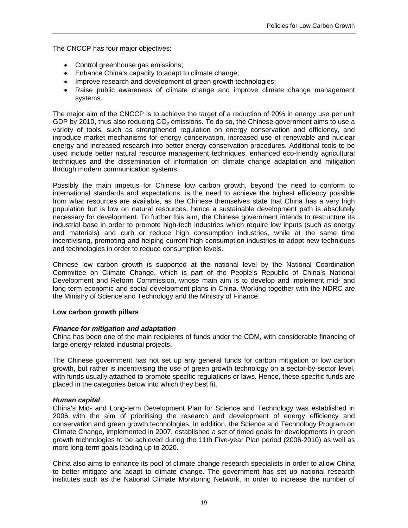The CNCCP has four major objectives:

- Control greenhouse gas emissions;
- Enhance China's capacity to adapt to climate change;
- Improve research and development of green growth technologies;
- Raise public awareness of climate change and improve climate change management systems.

The major aim of the CNCCP is to achieve the target of a reduction of 20% in energy use per unit GDP by 2010, thus also reducing  $CO<sub>2</sub>$  emissions. To do so, the Chinese government aims to use a variety of tools, such as strengthened regulation on energy conservation and efficiency, and introduce market mechanisms for energy conservation, increased use of renewable and nuclear energy and increased research into better energy conservation procedures. Additional tools to be used include better natural resource management techniques, enhanced eco-friendly agricultural techniques and the dissemination of information on climate change adaptation and mitigation through modern communication systems.

Possibly the main impetus for Chinese low carbon growth, beyond the need to conform to international standards and expectations, is the need to achieve the highest efficiency possible from what resources are available, as the Chinese themselves state that China has a very high population but is low on natural resources, hence a sustainable development path is absolutely necessary for development. To further this aim, the Chinese government intends to restructure its industrial base in order to promote high-tech industries which require low inputs (such as energy and materials) and curb or reduce high consumption industries, while at the same time incentivising, promoting and helping current high consumption industries to adopt new techniques and technologies in order to reduce consumption levels.

Chinese low carbon growth is supported at the national level by the National Coordination Committee on Climate Change, which is part of the People's Republic of China's National Development and Reform Commission, whose main aim is to develop and implement mid- and long-term economic and social development plans in China. Working together with the NDRC are the Ministry of Science and Technology and the Ministry of Finance.

# **Low carbon growth pillars**

# *Finance for mitigation and adaptation*

China has been one of the main recipients of funds under the CDM, with considerable financing of large energy-related industrial projects.

The Chinese government has not set up any general funds for carbon mitigation or low carbon growth, but rather is incentivising the use of green growth technology on a sector-by-sector level, with funds usually attached to promote specific regulations or laws. Hence, these specific funds are placed in the categories below into which they best fit.

#### *Human capital*

China's Mid- and Long-term Development Plan for Science and Technology was established in 2006 with the aim of prioritising the research and development of energy efficiency and conservation and green growth technologies. In addition, the Science and Technology Program on Climate Change, implemented in 2007, established a set of timed goals for developments in green growth technologies to be achieved during the 11th Five-year Plan period (2006-2010) as well as more long-term goals leading up to 2020.

China also aims to enhance its pool of climate change research specialists in order to allow China to better mitigate and adapt to climate change. The government has set up national research institutes such as the National Climate Monitoring Network, in order to increase the number of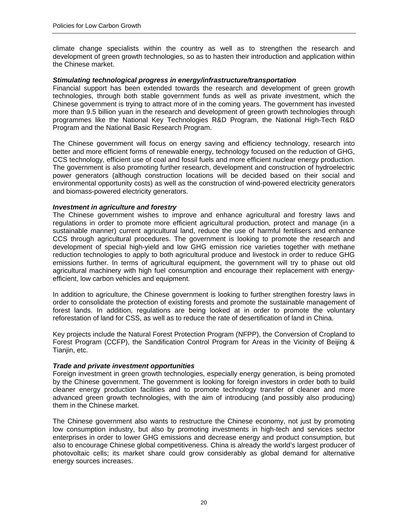climate change specialists within the country as well as to strengthen the research and development of green growth technologies, so as to hasten their introduction and application within the Chinese market.

#### *Stimulating technological progress in energy/infrastructure/transportation*

Financial support has been extended towards the research and development of green growth technologies, through both stable government funds as well as private investment, which the Chinese government is trying to attract more of in the coming years. The government has invested more than 9.5 billion yuan in the research and development of green growth technologies through programmes like the National Key Technologies R&D Program, the National High-Tech R&D Program and the National Basic Research Program.

The Chinese government will focus on energy saving and efficiency technology, research into better and more efficient forms of renewable energy, technology focused on the reduction of GHG, CCS technology, efficient use of coal and fossil fuels and more efficient nuclear energy production. The government is also promoting further research, development and construction of hydroelectric power generators (although construction locations will be decided based on their social and environmental opportunity costs) as well as the construction of wind-powered electricity generators and biomass-powered electricity generators.

#### *Investment in agriculture and forestry*

The Chinese government wishes to improve and enhance agricultural and forestry laws and regulations in order to promote more efficient agricultural production, protect and manage (in a sustainable manner) current agricultural land, reduce the use of harmful fertilisers and enhance CCS through agricultural procedures. The government is looking to promote the research and development of special high-yield and low GHG emission rice varieties together with methane reduction technologies to apply to both agricultural produce and livestock in order to reduce GHG emissions further. In terms of agricultural equipment, the government will try to phase out old agricultural machinery with high fuel consumption and encourage their replacement with energyefficient, low carbon vehicles and equipment.

In addition to agriculture, the Chinese government is looking to further strengthen forestry laws in order to consolidate the protection of existing forests and promote the sustainable management of forest lands. In addition, regulations are being looked at in order to promote the voluntary reforestation of land for CSS, as well as to reduce the rate of desertification of land in China.

Key projects include the Natural Forest Protection Program (NFPP), the Conversion of Cropland to Forest Program (CCFP), the Sandification Control Program for Areas in the Vicinity of Beijing & Tianjin, etc.

#### *Trade and private investment opportunities*

Foreign investment in green growth technologies, especially energy generation, is being promoted by the Chinese government. The government is looking for foreign investors in order both to build cleaner energy production facilities and to promote technology transfer of cleaner and more advanced green growth technologies, with the aim of introducing (and possibly also producing) them in the Chinese market.

The Chinese government also wants to restructure the Chinese economy, not just by promoting low consumption industry, but also by promoting investments in high-tech and services sector enterprises in order to lower GHG emissions and decrease energy and product consumption, but also to encourage Chinese global competitiveness. China is already the world's largest producer of photovoltaic cells; its market share could grow considerably as global demand for alternative energy sources increases.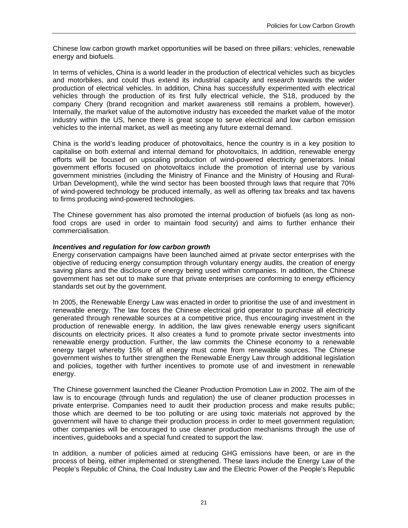Chinese low carbon growth market opportunities will be based on three pillars: vehicles, renewable energy and biofuels.

In terms of vehicles, China is a world leader in the production of electrical vehicles such as bicycles and motorbikes, and could thus extend its industrial capacity and research towards the wider production of electrical vehicles. In addition, China has successfully experimented with electrical vehicles through the production of its first fully electrical vehicle, the S18, produced by the company Chery (brand recognition and market awareness still remains a problem, however). Internally, the market value of the automotive industry has exceeded the market value of the motor industry within the US, hence there is great scope to serve electrical and low carbon emission vehicles to the internal market, as well as meeting any future external demand.

China is the world's leading producer of photovoltaics, hence the country is in a key position to capitalise on both external and internal demand for photovoltaics, In addition, renewable energy efforts will be focused on upscaling production of wind-powered electricity generators. Initial government efforts focused on photovoltaics include the promotion of internal use by various government ministries (including the Ministry of Finance and the Ministry of Housing and Rural-Urban Development), while the wind sector has been boosted through laws that require that 70% of wind-powered technology be produced internally, as well as offering tax breaks and tax havens to firms producing wind-powered technologies.

The Chinese government has also promoted the internal production of biofuels (as long as nonfood crops are used in order to maintain food security) and aims to further enhance their commercialisation.

#### *Incentives and regulation for low carbon growth*

Energy conservation campaigns have been launched aimed at private sector enterprises with the objective of reducing energy consumption through voluntary energy audits, the creation of energy saving plans and the disclosure of energy being used within companies. In addition, the Chinese government has set out to make sure that private enterprises are conforming to energy efficiency standards set out by the government.

In 2005, the Renewable Energy Law was enacted in order to prioritise the use of and investment in renewable energy. The law forces the Chinese electrical grid operator to purchase all electricity generated through renewable sources at a competitive price, thus encouraging investment in the production of renewable energy. In addition, the law gives renewable energy users significant discounts on electricity prices. It also creates a fund to promote private sector investments into renewable energy production. Further, the law commits the Chinese economy to a renewable energy target whereby 15% of all energy must come from renewable sources. The Chinese government wishes to further strengthen the Renewable Energy Law through additional legislation and policies, together with further incentives to promote use of and investment in renewable energy.

The Chinese government launched the Cleaner Production Promotion Law in 2002. The aim of the law is to encourage (through funds and regulation) the use of cleaner production processes in private enterprise. Companies need to audit their production process and make results public; those which are deemed to be too polluting or are using toxic materials not approved by the government will have to change their production process in order to meet government regulation; other companies will be encouraged to use cleaner production mechanisms through the use of incentives, guidebooks and a special fund created to support the law.

In addition, a number of policies aimed at reducing GHG emissions have been, or are in the process of being, either implemented or strengthened. These laws include the Energy Law of the People's Republic of China, the Coal Industry Law and the Electric Power of the People's Republic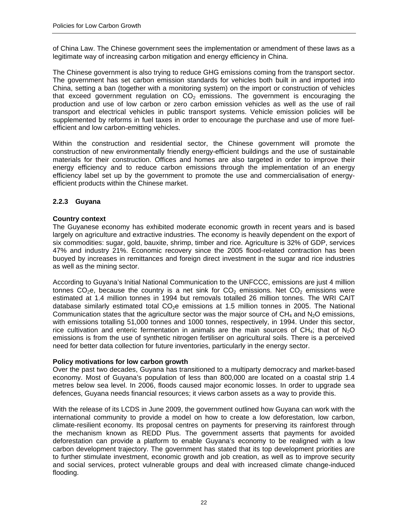of China Law. The Chinese government sees the implementation or amendment of these laws as a legitimate way of increasing carbon mitigation and energy efficiency in China.

The Chinese government is also trying to reduce GHG emissions coming from the transport sector. The government has set carbon emission standards for vehicles both built in and imported into China, setting a ban (together with a monitoring system) on the import or construction of vehicles that exceed government regulation on  $CO<sub>2</sub>$  emissions. The government is encouraging the production and use of low carbon or zero carbon emission vehicles as well as the use of rail transport and electrical vehicles in public transport systems. Vehicle emission policies will be supplemented by reforms in fuel taxes in order to encourage the purchase and use of more fuelefficient and low carbon-emitting vehicles.

Within the construction and residential sector, the Chinese government will promote the construction of new environmentally friendly energy-efficient buildings and the use of sustainable materials for their construction. Offices and homes are also targeted in order to improve their energy efficiency and to reduce carbon emissions through the implementation of an energy efficiency label set up by the government to promote the use and commercialisation of energyefficient products within the Chinese market.

# **2.2.3 Guyana**

#### **Country context**

The Guyanese economy has exhibited moderate economic growth in recent years and is based largely on agriculture and extractive industries. The economy is heavily dependent on the export of six commodities: sugar, gold, bauxite, shrimp, timber and rice. Agriculture is 32% of GDP, services 47% and industry 21%. Economic recovery since the 2005 flood-related contraction has been buoyed by increases in remittances and foreign direct investment in the sugar and rice industries as well as the mining sector.

According to Guyana's Initial National Communication to the UNFCCC, emissions are just 4 million tonnes CO<sub>2</sub>e, because the country is a net sink for CO<sub>2</sub> emissions. Net CO<sub>2</sub> emissions were estimated at 1.4 million tonnes in 1994 but removals totalled 26 million tonnes. The WRI CAIT database similarly estimated total  $CO<sub>2</sub>e$  emissions at 1.5 million tonnes in 2005. The National Communication states that the agriculture sector was the major source of  $CH_4$  and  $N_2O$  emissions, with emissions totalling 51,000 tonnes and 1000 tonnes, respectively, in 1994. Under this sector, rice cultivation and enteric fermentation in animals are the main sources of CH<sub>4</sub>; that of N<sub>2</sub>O emissions is from the use of synthetic nitrogen fertiliser on agricultural soils. There is a perceived need for better data collection for future inventories, particularly in the energy sector.

# **Policy motivations for low carbon growth**

Over the past two decades, Guyana has transitioned to a multiparty democracy and market-based economy. Most of Guyana's population of less than 800,000 are located on a coastal strip 1.4 metres below sea level. In 2006, floods caused major economic losses. In order to upgrade sea defences, Guyana needs financial resources; it views carbon assets as a way to provide this.

With the release of its LCDS in June 2009, the government outlined how Guyana can work with the international community to provide a model on how to create a low deforestation, low carbon, climate-resilient economy. Its proposal centres on payments for preserving its rainforest through the mechanism known as REDD Plus. The government asserts that payments for avoided deforestation can provide a platform to enable Guyana's economy to be realigned with a low carbon development trajectory. The government has stated that its top development priorities are to further stimulate investment, economic growth and job creation, as well as to improve security and social services, protect vulnerable groups and deal with increased climate change-induced flooding.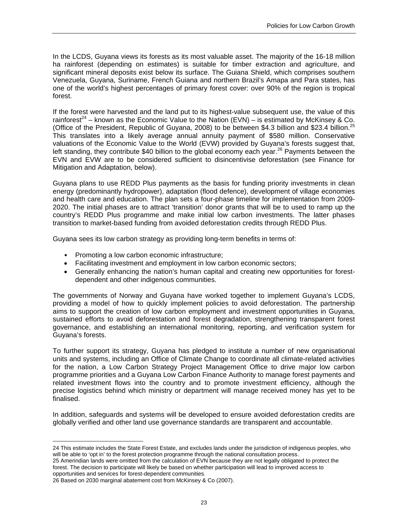In the LCDS, Guyana views its forests as its most valuable asset. The majority of the 16-18 million ha rainforest (depending on estimates) is suitable for timber extraction and agriculture, and significant mineral deposits exist below its surface. The Guiana Shield, which comprises southern Venezuela, Guyana, Suriname, French Guiana and northern Brazil's Amapa and Para states, has one of the world's highest percentages of primary forest cover: over 90% of the region is tropical forest.

If the forest were harvested and the land put to its highest-value subsequent use, the value of this rainforest<sup>24</sup> – known as the Economic Value to the Nation (EVN) – is estimated by McKinsey & Co. (Office of the President, Republic of Guyana, 2008) to be between \$4.3 billion and \$23.4 billion.<sup>25</sup> This translates into a likely average annual annuity payment of \$580 million. Conservative valuations of the Economic Value to the World (EVW) provided by Guyana's forests suggest that, left standing, they contribute \$40 billion to the global economy each year.<sup>26</sup> Payments between the EVN and EVW are to be considered sufficient to disincentivise deforestation (see Finance for Mitigation and Adaptation, below).

Guyana plans to use REDD Plus payments as the basis for funding priority investments in clean energy (predominantly hydropower), adaptation (flood defence), development of village economies and health care and education. The plan sets a four-phase timeline for implementation from 2009- 2020. The initial phases are to attract 'transition' donor grants that will be to used to ramp up the country's REDD Plus programme and make initial low carbon investments. The latter phases transition to market-based funding from avoided deforestation credits through REDD Plus.

Guyana sees its low carbon strategy as providing long-term benefits in terms of:

- Promoting a low carbon economic infrastructure;
- Facilitating investment and employment in low carbon economic sectors;
- Generally enhancing the nation's human capital and creating new opportunities for forestdependent and other indigenous communities.

The governments of Norway and Guyana have worked together to implement Guyana's LCDS, providing a model of how to quickly implement policies to avoid deforestation. The partnership aims to support the creation of low carbon employment and investment opportunities in Guyana, sustained efforts to avoid deforestation and forest degradation, strengthening transparent forest governance, and establishing an international monitoring, reporting, and verification system for Guyana's forests.

To further support its strategy, Guyana has pledged to institute a number of new organisational units and systems, including an Office of Climate Change to coordinate all climate-related activities for the nation, a Low Carbon Strategy Project Management Office to drive major low carbon programme priorities and a Guyana Low Carbon Finance Authority to manage forest payments and related investment flows into the country and to promote investment efficiency, although the precise logistics behind which ministry or department will manage received money has yet to be finalised.

In addition, safeguards and systems will be developed to ensure avoided deforestation credits are globally verified and other land use governance standards are transparent and accountable.

 $\overline{a}$ 

<sup>24</sup> This estimate includes the State Forest Estate, and excludes lands under the jurisdiction of indigenous peoples, who will be able to 'opt in' to the forest protection programme through the national consultation process.

<sup>25</sup> Amerindian lands were omitted from the calculation of EVN because they are not legally obligated to protect the forest. The decision to participate will likely be based on whether participation will lead to improved access to opportunities and services for forest-dependent communities.

<sup>26</sup> Based on 2030 marginal abatement cost from McKinsey & Co (2007).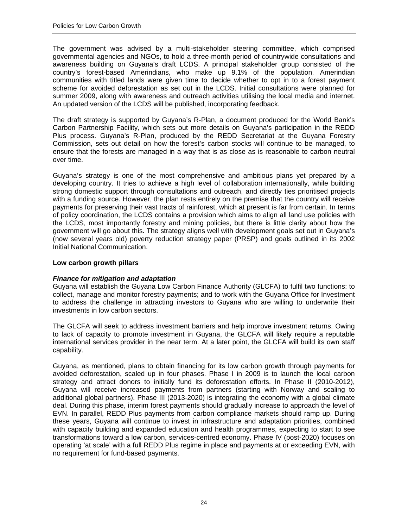The government was advised by a multi-stakeholder steering committee, which comprised governmental agencies and NGOs, to hold a three-month period of countrywide consultations and awareness building on Guyana's draft LCDS. A principal stakeholder group consisted of the country's forest-based Amerindians, who make up 9.1% of the population. Amerindian communities with titled lands were given time to decide whether to opt in to a forest payment scheme for avoided deforestation as set out in the LCDS. Initial consultations were planned for summer 2009, along with awareness and outreach activities utilising the local media and internet. An updated version of the LCDS will be published, incorporating feedback.

The draft strategy is supported by Guyana's R-Plan, a document produced for the World Bank's Carbon Partnership Facility, which sets out more details on Guyana's participation in the REDD Plus process. Guyana's R-Plan, produced by the REDD Secretariat at the Guyana Forestry Commission, sets out detail on how the forest's carbon stocks will continue to be managed, to ensure that the forests are managed in a way that is as close as is reasonable to carbon neutral over time.

Guyana's strategy is one of the most comprehensive and ambitious plans yet prepared by a developing country. It tries to achieve a high level of collaboration internationally, while building strong domestic support through consultations and outreach, and directly ties prioritised projects with a funding source. However, the plan rests entirely on the premise that the country will receive payments for preserving their vast tracts of rainforest, which at present is far from certain. In terms of policy coordination, the LCDS contains a provision which aims to align all land use policies with the LCDS, most importantly forestry and mining policies, but there is little clarity about how the government will go about this. The strategy aligns well with development goals set out in Guyana's (now several years old) poverty reduction strategy paper (PRSP) and goals outlined in its 2002 Initial National Communication.

#### **Low carbon growth pillars**

# *Finance for mitigation and adaptation*

Guyana will establish the Guyana Low Carbon Finance Authority (GLCFA) to fulfil two functions: to collect, manage and monitor forestry payments; and to work with the Guyana Office for Investment to address the challenge in attracting investors to Guyana who are willing to underwrite their investments in low carbon sectors.

The GLCFA will seek to address investment barriers and help improve investment returns. Owing to lack of capacity to promote investment in Guyana, the GLCFA will likely require a reputable international services provider in the near term. At a later point, the GLCFA will build its own staff capability.

Guyana, as mentioned, plans to obtain financing for its low carbon growth through payments for avoided deforestation, scaled up in four phases. Phase I in 2009 is to launch the local carbon strategy and attract donors to initially fund its deforestation efforts. In Phase II (2010-2012), Guyana will receive increased payments from partners (starting with Norway and scaling to additional global partners). Phase III (2013-2020) is integrating the economy with a global climate deal. During this phase, interim forest payments should gradually increase to approach the level of EVN. In parallel, REDD Plus payments from carbon compliance markets should ramp up. During these years, Guyana will continue to invest in infrastructure and adaptation priorities, combined with capacity building and expanded education and health programmes, expecting to start to see transformations toward a low carbon, services-centred economy. Phase IV (post-2020) focuses on operating 'at scale' with a full REDD Plus regime in place and payments at or exceeding EVN, with no requirement for fund-based payments.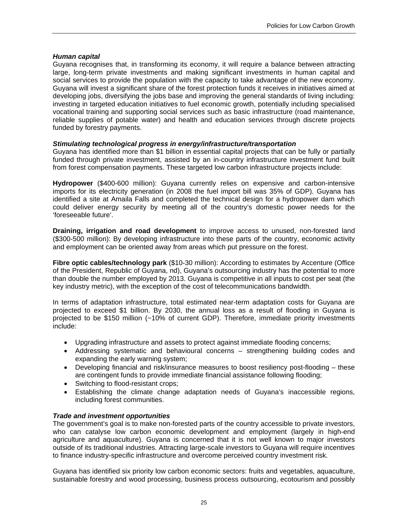#### *Human capital*

Guyana recognises that, in transforming its economy, it will require a balance between attracting large, long-term private investments and making significant investments in human capital and social services to provide the population with the capacity to take advantage of the new economy. Guyana will invest a significant share of the forest protection funds it receives in initiatives aimed at developing jobs, diversifying the jobs base and improving the general standards of living including: investing in targeted education initiatives to fuel economic growth, potentially including specialised vocational training and supporting social services such as basic infrastructure (road maintenance, reliable supplies of potable water) and health and education services through discrete projects funded by forestry payments.

#### *Stimulating technological progress in energy/infrastructure/transportation*

Guyana has identified more than \$1 billion in essential capital projects that can be fully or partially funded through private investment, assisted by an in-country infrastructure investment fund built from forest compensation payments. These targeted low carbon infrastructure projects include:

**Hydropower** (\$400-600 million): Guyana currently relies on expensive and carbon-intensive imports for its electricity generation (in 2008 the fuel import bill was 35% of GDP). Guyana has identified a site at Amaila Falls and completed the technical design for a hydropower dam which could deliver energy security by meeting all of the country's domestic power needs for the 'foreseeable future'.

**Draining, irrigation and road development** to improve access to unused, non-forested land (\$300-500 million): By developing infrastructure into these parts of the country, economic activity and employment can be oriented away from areas which put pressure on the forest.

**Fibre optic cables/technology park** (\$10-30 million): According to estimates by Accenture (Office of the President, Republic of Guyana, nd), Guyana's outsourcing industry has the potential to more than double the number employed by 2013. Guyana is competitive in all inputs to cost per seat (the key industry metric), with the exception of the cost of telecommunications bandwidth.

In terms of adaptation infrastructure, total estimated near-term adaptation costs for Guyana are projected to exceed \$1 billion. By 2030, the annual loss as a result of flooding in Guyana is projected to be \$150 million (~10% of current GDP). Therefore, immediate priority investments include:

- Upgrading infrastructure and assets to protect against immediate flooding concerns;
- Addressing systematic and behavioural concerns strengthening building codes and expanding the early warning system;
- Developing financial and risk/insurance measures to boost resiliency post-flooding these are contingent funds to provide immediate financial assistance following flooding;
- Switching to flood-resistant crops;
- Establishing the climate change adaptation needs of Guyana's inaccessible regions, including forest communities.

#### *Trade and investment opportunities*

The government's goal is to make non-forested parts of the country accessible to private investors, who can catalyse low carbon economic development and employment (largely in high-end agriculture and aquaculture). Guyana is concerned that it is not well known to major investors outside of its traditional industries. Attracting large-scale investors to Guyana will require incentives to finance industry-specific infrastructure and overcome perceived country investment risk.

Guyana has identified six priority low carbon economic sectors: fruits and vegetables, aquaculture, sustainable forestry and wood processing, business process outsourcing, ecotourism and possibly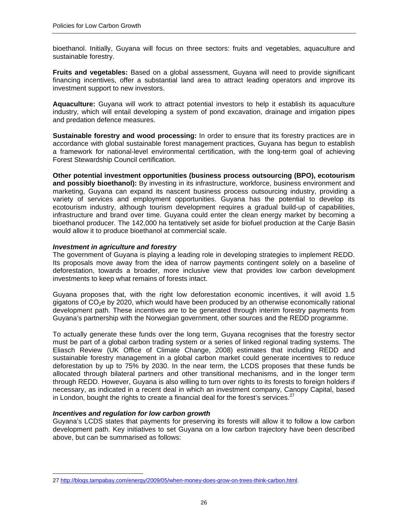bioethanol. Initially, Guyana will focus on three sectors: fruits and vegetables, aquaculture and sustainable forestry.

**Fruits and vegetables:** Based on a global assessment, Guyana will need to provide significant financing incentives, offer a substantial land area to attract leading operators and improve its investment support to new investors.

**Aquaculture:** Guyana will work to attract potential investors to help it establish its aquaculture industry, which will entail developing a system of pond excavation, drainage and irrigation pipes and predation defence measures.

**Sustainable forestry and wood processing:** In order to ensure that its forestry practices are in accordance with global sustainable forest management practices, Guyana has begun to establish a framework for national-level environmental certification, with the long-term goal of achieving Forest Stewardship Council certification.

**Other potential investment opportunities (business process outsourcing (BPO), ecotourism and possibly bioethanol):** By investing in its infrastructure, workforce, business environment and marketing, Guyana can expand its nascent business process outsourcing industry, providing a variety of services and employment opportunities. Guyana has the potential to develop its ecotourism industry, although tourism development requires a gradual build-up of capabilities, infrastructure and brand over time. Guyana could enter the clean energy market by becoming a bioethanol producer. The 142,000 ha tentatively set aside for biofuel production at the Canje Basin would allow it to produce bioethanol at commercial scale.

#### *Investment in agriculture and forestry*

The government of Guyana is playing a leading role in developing strategies to implement REDD. Its proposals move away from the idea of narrow payments contingent solely on a baseline of deforestation, towards a broader, more inclusive view that provides low carbon development investments to keep what remains of forests intact.

Guyana proposes that, with the right low deforestation economic incentives, it will avoid 1.5 gigatons of  $CO<sub>2</sub>e$  by 2020, which would have been produced by an otherwise economically rational development path. These incentives are to be generated through interim forestry payments from Guyana's partnership with the Norwegian government, other sources and the REDD programme.

To actually generate these funds over the long term, Guyana recognises that the forestry sector must be part of a global carbon trading system or a series of linked regional trading systems. The Eliasch Review (UK Office of Climate Change, 2008) estimates that including REDD and sustainable forestry management in a global carbon market could generate incentives to reduce deforestation by up to 75% by 2030. In the near term, the LCDS proposes that these funds be allocated through bilateral partners and other transitional mechanisms, and in the longer term through REDD. However, Guyana is also willing to turn over rights to its forests to foreign holders if necessary, as indicated in a recent deal in which an investment company, Canopy Capital, based in London, bought the rights to create a financial deal for the forest's services.<sup>27</sup>

#### *Incentives and regulation for low carbon growth*

 $\overline{a}$ 

Guyana's LCDS states that payments for preserving its forests will allow it to follow a low carbon development path. Key initiatives to set Guyana on a low carbon trajectory have been described above, but can be summarised as follows:

<sup>27</sup> http://blogs.tampabay.com/energy/2009/05/when-money-does-grow-on-trees-think-carbon.html.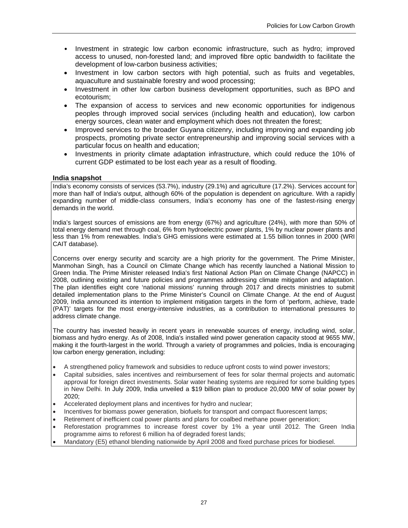- Investment in strategic low carbon economic infrastructure, such as hydro; improved access to unused, non-forested land; and improved fibre optic bandwidth to facilitate the development of low-carbon business activities;
- Investment in low carbon sectors with high potential, such as fruits and vegetables, aquaculture and sustainable forestry and wood processing;
- Investment in other low carbon business development opportunities, such as BPO and ecotourism;
- The expansion of access to services and new economic opportunities for indigenous peoples through improved social services (including health and education), low carbon energy sources, clean water and employment which does not threaten the forest;
- Improved services to the broader Guyana citizenry, including improving and expanding job prospects, promoting private sector entrepreneurship and improving social services with a particular focus on health and education;
- Investments in priority climate adaptation infrastructure, which could reduce the 10% of current GDP estimated to be lost each year as a result of flooding.

#### **India snapshot**

India's economy consists of services (53.7%), industry (29.1%) and agriculture (17.2%). Services account for more than half of India's output, although 60% of the population is dependent on agriculture. With a rapidly expanding number of middle-class consumers, India's economy has one of the fastest-rising energy demands in the world.

India's largest sources of emissions are from energy (67%) and agriculture (24%), with more than 50% of total energy demand met through coal, 6% from hydroelectric power plants, 1% by nuclear power plants and less than 1% from renewables. India's GHG emissions were estimated at 1.55 billion tonnes in 2000 (WRI CAIT database).

Concerns over energy security and scarcity are a high priority for the government. The Prime Minister, Manmohan Singh, has a Council on Climate Change which has recently launched a National Mission to Green India. The Prime Minister released India's first National Action Plan on Climate Change (NAPCC) in 2008, outlining existing and future policies and programmes addressing climate mitigation and adaptation. The plan identifies eight core 'national missions' running through 2017 and directs ministries to submit detailed implementation plans to the Prime Minister's Council on Climate Change. At the end of August 2009, India announced its intention to implement mitigation targets in the form of 'perform, achieve, trade (PAT)' targets for the most energy-intensive industries, as a contribution to international pressures to address climate change.

The country has invested heavily in recent years in renewable sources of energy, including wind, solar, biomass and hydro energy. As of 2008, India's installed wind power generation capacity stood at 9655 MW, making it the fourth-largest in the world. Through a variety of programmes and policies, India is encouraging low carbon energy generation, including:

- A strengthened policy framework and subsidies to reduce upfront costs to wind power investors;
- Capital subsidies, sales incentives and reimbursement of fees for solar thermal projects and automatic approval for foreign direct investments. Solar water heating systems are required for some building types in New Delhi. In July 2009, India unveiled a \$19 billion plan to produce 20,000 MW of solar power by 2020;
- Accelerated deployment plans and incentives for hydro and nuclear;
- Incentives for biomass power generation, biofuels for transport and compact fluorescent lamps;
- Retirement of inefficient coal power plants and plans for coalbed methane power generation;
- Reforestation programmes to increase forest cover by 1% a year until 2012. The Green India programme aims to reforest 6 million ha of degraded forest lands;
- Mandatory (E5) ethanol blending nationwide by April 2008 and fixed purchase prices for biodiesel.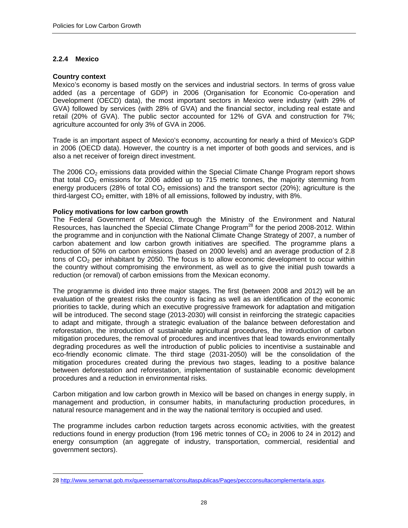## **2.2.4 Mexico**

#### **Country context**

 $\overline{a}$ 

Mexico's economy is based mostly on the services and industrial sectors. In terms of gross value added (as a percentage of GDP) in 2006 (Organisation for Economic Co-operation and Development (OECD) data), the most important sectors in Mexico were industry (with 29% of GVA) followed by services (with 28% of GVA) and the financial sector, including real estate and retail (20% of GVA). The public sector accounted for 12% of GVA and construction for 7%; agriculture accounted for only 3% of GVA in 2006.

Trade is an important aspect of Mexico's economy, accounting for nearly a third of Mexico's GDP in 2006 (OECD data). However, the country is a net importer of both goods and services, and is also a net receiver of foreign direct investment.

The 2006  $CO<sub>2</sub>$  emissions data provided within the Special Climate Change Program report shows that total  $CO<sub>2</sub>$  emissions for 2006 added up to 715 metric tonnes, the majority stemming from energy producers (28% of total  $CO<sub>2</sub>$  emissions) and the transport sector (20%); agriculture is the third-largest  $CO<sub>2</sub>$  emitter, with 18% of all emissions, followed by industry, with 8%.

#### **Policy motivations for low carbon growth**

The Federal Government of Mexico, through the Ministry of the Environment and Natural Resources, has launched the Special Climate Change Program<sup>28</sup> for the period 2008-2012. Within the programme and in conjunction with the National Climate Change Strategy of 2007, a number of carbon abatement and low carbon growth initiatives are specified. The programme plans a reduction of 50% on carbon emissions (based on 2000 levels) and an average production of 2.8 tons of  $CO<sub>2</sub>$  per inhabitant by 2050. The focus is to allow economic development to occur within the country without compromising the environment, as well as to give the initial push towards a reduction (or removal) of carbon emissions from the Mexican economy.

The programme is divided into three major stages. The first (between 2008 and 2012) will be an evaluation of the greatest risks the country is facing as well as an identification of the economic priorities to tackle, during which an executive progressive framework for adaptation and mitigation will be introduced. The second stage (2013-2030) will consist in reinforcing the strategic capacities to adapt and mitigate, through a strategic evaluation of the balance between deforestation and reforestation, the introduction of sustainable agricultural procedures, the introduction of carbon mitigation procedures, the removal of procedures and incentives that lead towards environmentally degrading procedures as well the introduction of public policies to incentivise a sustainable and eco-friendly economic climate. The third stage (2031-2050) will be the consolidation of the mitigation procedures created during the previous two stages, leading to a positive balance between deforestation and reforestation, implementation of sustainable economic development procedures and a reduction in environmental risks.

Carbon mitigation and low carbon growth in Mexico will be based on changes in energy supply, in management and production, in consumer habits, in manufacturing production procedures, in natural resource management and in the way the national territory is occupied and used.

The programme includes carbon reduction targets across economic activities, with the greatest reductions found in energy production (from 196 metric tonnes of  $CO<sub>2</sub>$  in 2006 to 24 in 2012) and energy consumption (an aggregate of industry, transportation, commercial, residential and government sectors).

<sup>28</sup> http://www.semarnat.gob.mx/queessemarnat/consultaspublicas/Pages/peccconsultacomplementaria.aspx.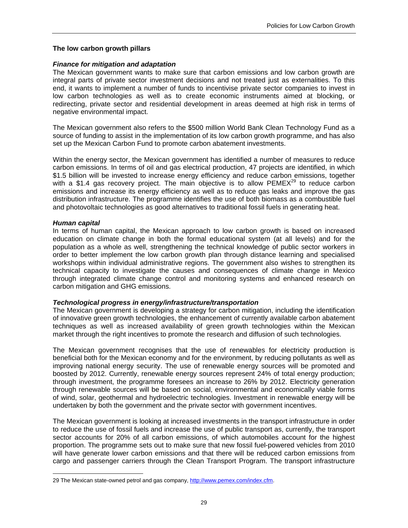#### **The low carbon growth pillars**

#### *Finance for mitigation and adaptation*

The Mexican government wants to make sure that carbon emissions and low carbon growth are integral parts of private sector investment decisions and not treated just as externalities. To this end, it wants to implement a number of funds to incentivise private sector companies to invest in low carbon technologies as well as to create economic instruments aimed at blocking, or redirecting, private sector and residential development in areas deemed at high risk in terms of negative environmental impact.

The Mexican government also refers to the \$500 million World Bank Clean Technology Fund as a source of funding to assist in the implementation of its low carbon growth programme, and has also set up the Mexican Carbon Fund to promote carbon abatement investments.

Within the energy sector, the Mexican government has identified a number of measures to reduce carbon emissions. In terms of oil and gas electrical production, 47 projects are identified, in which \$1.5 billion will be invested to increase energy efficiency and reduce carbon emissions, together with a \$1.4 gas recovery project. The main objective is to allow  $PEMEX<sup>29</sup>$  to reduce carbon emissions and increase its energy efficiency as well as to reduce gas leaks and improve the gas distribution infrastructure. The programme identifies the use of both biomass as a combustible fuel and photovoltaic technologies as good alternatives to traditional fossil fuels in generating heat.

#### *Human capital*

 $\overline{a}$ 

In terms of human capital, the Mexican approach to low carbon growth is based on increased education on climate change in both the formal educational system (at all levels) and for the population as a whole as well, strengthening the technical knowledge of public sector workers in order to better implement the low carbon growth plan through distance learning and specialised workshops within individual administrative regions. The government also wishes to strengthen its technical capacity to investigate the causes and consequences of climate change in Mexico through integrated climate change control and monitoring systems and enhanced research on carbon mitigation and GHG emissions.

#### *Technological progress in energy/infrastructure/transportation*

The Mexican government is developing a strategy for carbon mitigation, including the identification of innovative green growth technologies, the enhancement of currently available carbon abatement techniques as well as increased availability of green growth technologies within the Mexican market through the right incentives to promote the research and diffusion of such technologies.

The Mexican government recognises that the use of renewables for electricity production is beneficial both for the Mexican economy and for the environment, by reducing pollutants as well as improving national energy security. The use of renewable energy sources will be promoted and boosted by 2012. Currently, renewable energy sources represent 24% of total energy production; through investment, the programme foresees an increase to 26% by 2012. Electricity generation through renewable sources will be based on social, environmental and economically viable forms of wind, solar, geothermal and hydroelectric technologies. Investment in renewable energy will be undertaken by both the government and the private sector with government incentives.

The Mexican government is looking at increased investments in the transport infrastructure in order to reduce the use of fossil fuels and increase the use of public transport as, currently, the transport sector accounts for 20% of all carbon emissions, of which automobiles account for the highest proportion. The programme sets out to make sure that new fossil fuel-powered vehicles from 2010 will have generate lower carbon emissions and that there will be reduced carbon emissions from cargo and passenger carriers through the Clean Transport Program. The transport infrastructure

<sup>29</sup> The Mexican state-owned petrol and gas company, http://www.pemex.com/index.cfm.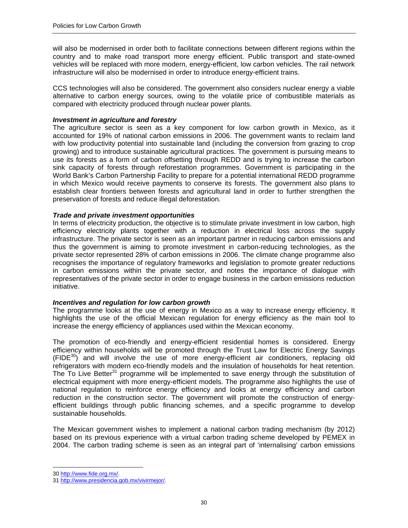will also be modernised in order both to facilitate connections between different regions within the country and to make road transport more energy efficient. Public transport and state-owned vehicles will be replaced with more modern, energy-efficient, low carbon vehicles. The rail network infrastructure will also be modernised in order to introduce energy-efficient trains.

CCS technologies will also be considered. The government also considers nuclear energy a viable alternative to carbon energy sources, owing to the volatile price of combustible materials as compared with electricity produced through nuclear power plants.

#### *Investment in agriculture and forestry*

The agriculture sector is seen as a key component for low carbon growth in Mexico, as it accounted for 19% of national carbon emissions in 2006. The government wants to reclaim land with low productivity potential into sustainable land (including the conversion from grazing to crop growing) and to introduce sustainable agricultural practices. The government is pursuing means to use its forests as a form of carbon offsetting through REDD and is trying to increase the carbon sink capacity of forests through reforestation programmes. Government is participating in the World Bank's Carbon Partnership Facility to prepare for a potential international REDD programme in which Mexico would receive payments to conserve its forests. The government also plans to establish clear frontiers between forests and agricultural land in order to further strengthen the preservation of forests and reduce illegal deforestation.

#### *Trade and private investment opportunities*

In terms of electricity production, the objective is to stimulate private investment in low carbon, high efficiency electricity plants together with a reduction in electrical loss across the supply infrastructure. The private sector is seen as an important partner in reducing carbon emissions and thus the government is aiming to promote investment in carbon-reducing technologies, as the private sector represented 28% of carbon emissions in 2006. The climate change programme also recognises the importance of regulatory frameworks and legislation to promote greater reductions in carbon emissions within the private sector, and notes the importance of dialogue with representatives of the private sector in order to engage business in the carbon emissions reduction initiative.

#### *Incentives and regulation for low carbon growth*

The programme looks at the use of energy in Mexico as a way to increase energy efficiency. It highlights the use of the official Mexican regulation for energy efficiency as the main tool to increase the energy efficiency of appliances used within the Mexican economy.

The promotion of eco-friendly and energy-efficient residential homes is considered. Energy efficiency within households will be promoted through the Trust Law for Electric Energy Savings  $(FIDE<sup>30</sup>)$  and will involve the use of more energy-efficient air conditioners, replacing old refrigerators with modern eco-friendly models and the insulation of households for heat retention. The To Live Better<sup>31</sup> programme will be implemented to save energy through the substitution of electrical equipment with more energy-efficient models. The programme also highlights the use of national regulation to reinforce energy efficiency and looks at energy efficiency and carbon reduction in the construction sector. The government will promote the construction of energyefficient buildings through public financing schemes, and a specific programme to develop sustainable households.

The Mexican government wishes to implement a national carbon trading mechanism (by 2012) based on its previous experience with a virtual carbon trading scheme developed by PEMEX in 2004. The carbon trading scheme is seen as an integral part of 'internalising' carbon emissions

<sup>30</sup> http://www.fide.org.mx/.

<sup>31</sup> http://www.presidencia.gob.mx/vivirmejor/.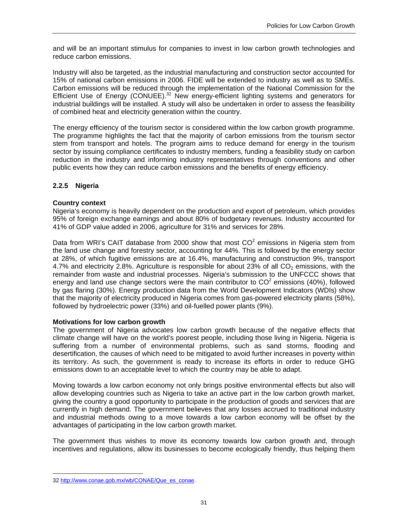and will be an important stimulus for companies to invest in low carbon growth technologies and reduce carbon emissions.

Industry will also be targeted, as the industrial manufacturing and construction sector accounted for 15% of national carbon emissions in 2006. FIDE will be extended to industry as well as to SMEs. Carbon emissions will be reduced through the implementation of the National Commission for the Efficient Use of Energy (CONUEE).<sup>32</sup> New energy-efficient lighting systems and generators for industrial buildings will be installed. A study will also be undertaken in order to assess the feasibility of combined heat and electricity generation within the country.

The energy efficiency of the tourism sector is considered within the low carbon growth programme. The programme highlights the fact that the majority of carbon emissions from the tourism sector stem from transport and hotels. The program aims to reduce demand for energy in the tourism sector by issuing compliance certificates to industry members, funding a feasibility study on carbon reduction in the industry and informing industry representatives through conventions and other public events how they can reduce carbon emissions and the benefits of energy efficiency.

## **2.2.5 Nigeria**

#### **Country context**

Nigeria's economy is heavily dependent on the production and export of petroleum, which provides 95% of foreign exchange earnings and about 80% of budgetary revenues. Industry accounted for 41% of GDP value added in 2006, agriculture for 31% and services for 28%.

Data from WRI's CAIT database from 2000 show that most  $CO<sup>2</sup>$  emissions in Nigeria stem from the land use change and forestry sector, accounting for 44%. This is followed by the energy sector at 28%, of which fugitive emissions are at 16.4%, manufacturing and construction 9%, transport 4.7% and electricity 2.8%. Agriculture is responsible for about 23% of all  $CO<sub>2</sub>$  emissions, with the remainder from waste and industrial processes. Nigeria's submission to the UNFCCC shows that energy and land use change sectors were the main contributor to  $CO^2$  emissions (40%), followed by gas flaring (30%). Energy production data from the World Development Indicators (WDIs) show that the majority of electricity produced in Nigeria comes from gas-powered electricity plants (58%), followed by hydroelectric power (33%) and oil-fuelled power plants (9%).

#### **Motivations for low carbon growth**

The government of Nigeria advocates low carbon growth because of the negative effects that climate change will have on the world's poorest people, including those living in Nigeria. Nigeria is suffering from a number of environmental problems, such as sand storms, flooding and desertification, the causes of which need to be mitigated to avoid further increases in poverty within its territory. As such, the government is ready to increase its efforts in order to reduce GHG emissions down to an acceptable level to which the country may be able to adapt.

Moving towards a low carbon economy not only brings positive environmental effects but also will allow developing countries such as Nigeria to take an active part in the low carbon growth market, giving the country a good opportunity to participate in the production of goods and services that are currently in high demand. The government believes that any losses accrued to traditional industry and industrial methods owing to a move towards a low carbon economy will be offset by the advantages of participating in the low carbon growth market.

The government thus wishes to move its economy towards low carbon growth and, through incentives and regulations, allow its businesses to become ecologically friendly, thus helping them

<sup>32</sup> http://www.conae.gob.mx/wb/CONAE/Que\_es\_conae.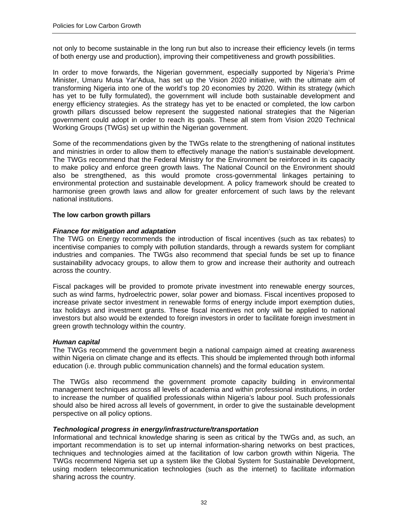not only to become sustainable in the long run but also to increase their efficiency levels (in terms of both energy use and production), improving their competitiveness and growth possibilities.

In order to move forwards, the Nigerian government, especially supported by Nigeria's Prime Minister, Umaru Musa Yar'Adua, has set up the Vision 2020 initiative, with the ultimate aim of transforming Nigeria into one of the world's top 20 economies by 2020. Within its strategy (which has yet to be fully formulated), the government will include both sustainable development and energy efficiency strategies. As the strategy has yet to be enacted or completed, the low carbon growth pillars discussed below represent the suggested national strategies that the Nigerian government could adopt in order to reach its goals. These all stem from Vision 2020 Technical Working Groups (TWGs) set up within the Nigerian government.

Some of the recommendations given by the TWGs relate to the strengthening of national institutes and ministries in order to allow them to effectively manage the nation's sustainable development. The TWGs recommend that the Federal Ministry for the Environment be reinforced in its capacity to make policy and enforce green growth laws. The National Council on the Environment should also be strengthened, as this would promote cross-governmental linkages pertaining to environmental protection and sustainable development. A policy framework should be created to harmonise green growth laws and allow for greater enforcement of such laws by the relevant national institutions.

#### **The low carbon growth pillars**

#### *Finance for mitigation and adaptation*

The TWG on Energy recommends the introduction of fiscal incentives (such as tax rebates) to incentivise companies to comply with pollution standards, through a rewards system for compliant industries and companies. The TWGs also recommend that special funds be set up to finance sustainability advocacy groups, to allow them to grow and increase their authority and outreach across the country.

Fiscal packages will be provided to promote private investment into renewable energy sources, such as wind farms, hydroelectric power, solar power and biomass. Fiscal incentives proposed to increase private sector investment in renewable forms of energy include import exemption duties, tax holidays and investment grants. These fiscal incentives not only will be applied to national investors but also would be extended to foreign investors in order to facilitate foreign investment in green growth technology within the country.

#### *Human capital*

The TWGs recommend the government begin a national campaign aimed at creating awareness within Nigeria on climate change and its effects. This should be implemented through both informal education (i.e. through public communication channels) and the formal education system.

The TWGs also recommend the government promote capacity building in environmental management techniques across all levels of academia and within professional institutions, in order to increase the number of qualified professionals within Nigeria's labour pool. Such professionals should also be hired across all levels of government, in order to give the sustainable development perspective on all policy options.

#### *Technological progress in energy/infrastructure/transportation*

Informational and technical knowledge sharing is seen as critical by the TWGs and, as such, an important recommendation is to set up internal information-sharing networks on best practices, techniques and technologies aimed at the facilitation of low carbon growth within Nigeria. The TWGs recommend Nigeria set up a system like the Global System for Sustainable Development, using modern telecommunication technologies (such as the internet) to facilitate information sharing across the country.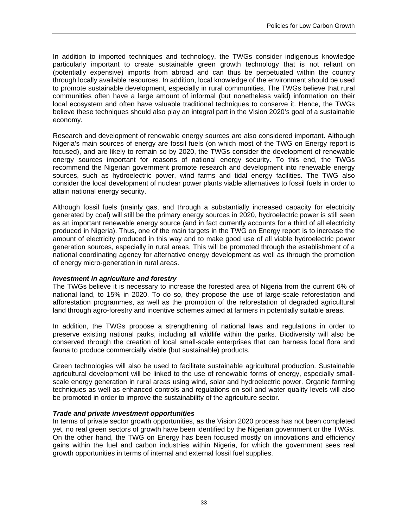In addition to imported techniques and technology, the TWGs consider indigenous knowledge particularly important to create sustainable green growth technology that is not reliant on (potentially expensive) imports from abroad and can thus be perpetuated within the country through locally available resources. In addition, local knowledge of the environment should be used to promote sustainable development, especially in rural communities. The TWGs believe that rural communities often have a large amount of informal (but nonetheless valid) information on their local ecosystem and often have valuable traditional techniques to conserve it. Hence, the TWGs believe these techniques should also play an integral part in the Vision 2020's goal of a sustainable economy.

Research and development of renewable energy sources are also considered important. Although Nigeria's main sources of energy are fossil fuels (on which most of the TWG on Energy report is focused), and are likely to remain so by 2020, the TWGs consider the development of renewable energy sources important for reasons of national energy security. To this end, the TWGs recommend the Nigerian government promote research and development into renewable energy sources, such as hydroelectric power, wind farms and tidal energy facilities. The TWG also consider the local development of nuclear power plants viable alternatives to fossil fuels in order to attain national energy security.

Although fossil fuels (mainly gas, and through a substantially increased capacity for electricity generated by coal) will still be the primary energy sources in 2020, hydroelectric power is still seen as an important renewable energy source (and in fact currently accounts for a third of all electricity produced in Nigeria). Thus, one of the main targets in the TWG on Energy report is to increase the amount of electricity produced in this way and to make good use of all viable hydroelectric power generation sources, especially in rural areas. This will be promoted through the establishment of a national coordinating agency for alternative energy development as well as through the promotion of energy micro-generation in rural areas.

#### *Investment in agriculture and forestry*

The TWGs believe it is necessary to increase the forested area of Nigeria from the current 6% of national land, to 15% in 2020. To do so, they propose the use of large-scale reforestation and afforestation programmes, as well as the promotion of the reforestation of degraded agricultural land through agro-forestry and incentive schemes aimed at farmers in potentially suitable areas.

In addition, the TWGs propose a strengthening of national laws and regulations in order to preserve existing national parks, including all wildlife within the parks. Biodiversity will also be conserved through the creation of local small-scale enterprises that can harness local flora and fauna to produce commercially viable (but sustainable) products.

Green technologies will also be used to facilitate sustainable agricultural production. Sustainable agricultural development will be linked to the use of renewable forms of energy, especially smallscale energy generation in rural areas using wind, solar and hydroelectric power. Organic farming techniques as well as enhanced controls and regulations on soil and water quality levels will also be promoted in order to improve the sustainability of the agriculture sector.

#### *Trade and private investment opportunities*

In terms of private sector growth opportunities, as the Vision 2020 process has not been completed yet, no real green sectors of growth have been identified by the Nigerian government or the TWGs. On the other hand, the TWG on Energy has been focused mostly on innovations and efficiency gains within the fuel and carbon industries within Nigeria, for which the government sees real growth opportunities in terms of internal and external fossil fuel supplies.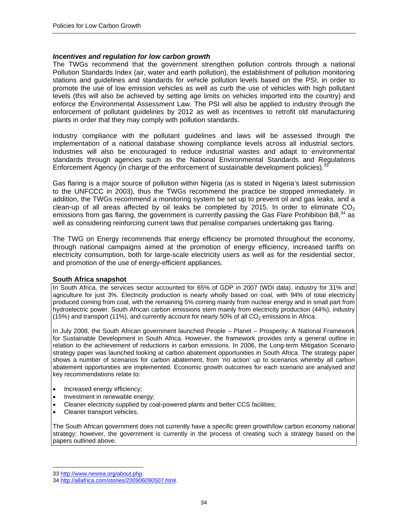#### *Incentives and regulation for low carbon growth*

The TWGs recommend that the government strengthen pollution controls through a national Pollution Standards Index (air, water and earth pollution), the establishment of pollution monitoring stations and guidelines and standards for vehicle pollution levels based on the PSI, in order to promote the use of low emission vehicles as well as curb the use of vehicles with high pollutant levels (this will also be achieved by setting age limits on vehicles imported into the country) and enforce the Environmental Assessment Law. The PSI will also be applied to industry through the enforcement of pollutant guidelines by 2012 as well as incentives to retrofit old manufacturing plants in order that they may comply with pollution standards.

Industry compliance with the pollutant guidelines and laws will be assessed through the implementation of a national database showing compliance levels across all industrial sectors. Industries will also be encouraged to reduce industrial wastes and adapt to environmental standards through agencies such as the National Environmental Standards and Regulations Enforcement Agency (in charge of the enforcement of sustainable development policies).<sup>33</sup>

Gas flaring is a major source of pollution within Nigeria (as is stated in Nigeria's latest submission to the UNFCCC in 2003), thus the TWGs recommend the practice be stopped immediately. In addition, the TWGs recommend a monitoring system be set up to prevent oil and gas leaks, and a clean-up of all areas affected by oil leaks be completed by 2015. In order to eliminate  $CO<sub>2</sub>$ emissions from gas flaring, the government is currently passing the Gas Flare Prohibition Bill,<sup>34</sup> as well as considering reinforcing current laws that penalise companies undertaking gas flaring.

The TWG on Energy recommends that energy efficiency be promoted throughout the economy, through national campaigns aimed at the promotion of energy efficiency, increased tariffs on electricity consumption, both for large-scale electricity users as well as for the residential sector, and promotion of the use of energy-efficient appliances.

#### **South Africa snapshot**

In South Africa, the services sector accounted for 65% of GDP in 2007 (WDI data), industry for 31% and agriculture for just 3%. Electricity production is nearly wholly based on coal, with 94% of total electricity produced coming from coal, with the remaining 5% coming mainly from nuclear energy and in small part from hydroelectric power. South African carbon emissions stem mainly from electricity production (44%), industry (15%) and transport (11%), and currently account for nearly 50% of all  $CO<sub>2</sub>$  emissions in Africa.

In July 2008, the South African government launched People – Planet – Prosperity: A National Framework for Sustainable Development in South Africa. However, the framework provides only a general outline in relation to the achievement of reductions in carbon emissions. In 2006, the Long-term Mitigation Scenario strategy paper was launched looking at carbon abatement opportunities in South Africa. The strategy paper shows a number of scenarios for carbon abatement, from 'no action' up to scenarios whereby all carbon abatement opportunities are implemented. Economic growth outcomes for each scenario are analysed and key recommendations relate to:

- Increased energy efficiency;
- Investment in renewable energy;
- Cleaner electricity supplied by coal-powered plants and better CCS facilities;
- Cleaner transport vehicles.

The South African government does not currently have a specific green growth/low carbon economy national strategy; however, the government is currently in the process of creating such a strategy based on the papers outlined above.

<sup>33</sup> http://www.nesrea.org/about.php.

<sup>34</sup> http://allafrica.com/stories/200906090507.html.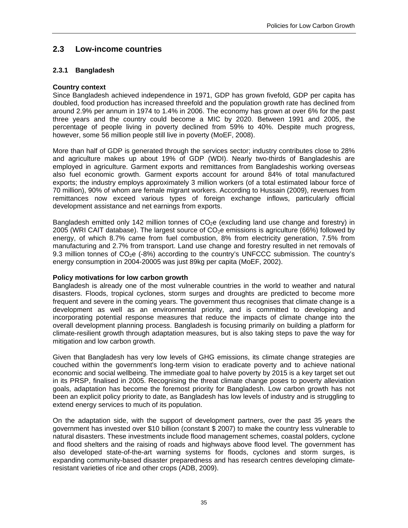# **2.3 Low-income countries**

## **2.3.1 Bangladesh**

## **Country context**

Since Bangladesh achieved independence in 1971, GDP has grown fivefold, GDP per capita has doubled, food production has increased threefold and the population growth rate has declined from around 2.9% per annum in 1974 to 1.4% in 2006. The economy has grown at over 6% for the past three years and the country could become a MIC by 2020. Between 1991 and 2005, the percentage of people living in poverty declined from 59% to 40%. Despite much progress, however, some 56 million people still live in poverty (MoEF, 2008).

More than half of GDP is generated through the services sector; industry contributes close to 28% and agriculture makes up about 19% of GDP (WDI). Nearly two-thirds of Bangladeshis are employed in agriculture. Garment exports and remittances from Bangladeshis working overseas also fuel economic growth. Garment exports account for around 84% of total manufactured exports; the industry employs approximately 3 million workers (of a total estimated labour force of 70 million), 90% of whom are female migrant workers. According to Hussain (2009), revenues from remittances now exceed various types of foreign exchange inflows, particularly official development assistance and net earnings from exports.

Bangladesh emitted only 142 million tonnes of  $CO<sub>2</sub>e$  (excluding land use change and forestry) in 2005 (WRI CAIT database). The largest source of  $CO<sub>2</sub>e$  emissions is agriculture (66%) followed by energy, of which 8.7% came from fuel combustion, 8% from electricity generation, 7.5% from manufacturing and 2.7% from transport. Land use change and forestry resulted in net removals of 9.3 million tonnes of  $CO<sub>2</sub>e$  (-8%) according to the country's UNFCCC submission. The country's energy consumption in 2004-20005 was just 89kg per capita (MoEF, 2002).

#### **Policy motivations for low carbon growth**

Bangladesh is already one of the most vulnerable countries in the world to weather and natural disasters. Floods, tropical cyclones, storm surges and droughts are predicted to become more frequent and severe in the coming years. The government thus recognises that climate change is a development as well as an environmental priority, and is committed to developing and incorporating potential response measures that reduce the impacts of climate change into the overall development planning process. Bangladesh is focusing primarily on building a platform for climate-resilient growth through adaptation measures, but is also taking steps to pave the way for mitigation and low carbon growth.

Given that Bangladesh has very low levels of GHG emissions, its climate change strategies are couched within the government's long-term vision to eradicate poverty and to achieve national economic and social wellbeing. The immediate goal to halve poverty by 2015 is a key target set out in its PRSP, finalised in 2005. Recognising the threat climate change poses to poverty alleviation goals, adaptation has become the foremost priority for Bangladesh. Low carbon growth has not been an explicit policy priority to date, as Bangladesh has low levels of industry and is struggling to extend energy services to much of its population.

On the adaptation side, with the support of development partners, over the past 35 years the government has invested over \$10 billion (constant \$ 2007) to make the country less vulnerable to natural disasters. These investments include flood management schemes, coastal polders, cyclone and flood shelters and the raising of roads and highways above flood level. The government has also developed state-of-the-art warning systems for floods, cyclones and storm surges, is expanding community-based disaster preparedness and has research centres developing climateresistant varieties of rice and other crops (ADB, 2009).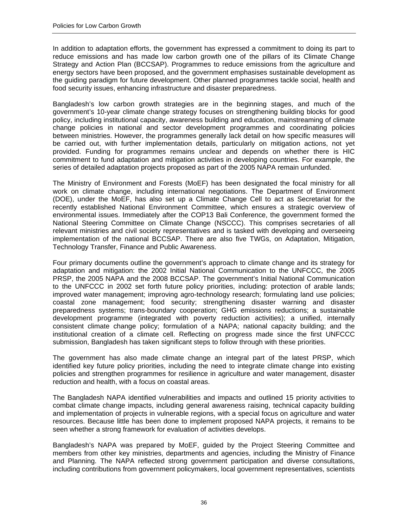In addition to adaptation efforts, the government has expressed a commitment to doing its part to reduce emissions and has made low carbon growth one of the pillars of its Climate Change Strategy and Action Plan (BCCSAP). Programmes to reduce emissions from the agriculture and energy sectors have been proposed, and the government emphasises sustainable development as the guiding paradigm for future development. Other planned programmes tackle social, health and food security issues, enhancing infrastructure and disaster preparedness.

Bangladesh's low carbon growth strategies are in the beginning stages, and much of the government's 10-year climate change strategy focuses on strengthening building blocks for good policy, including institutional capacity, awareness building and education, mainstreaming of climate change policies in national and sector development programmes and coordinating policies between ministries. However, the programmes generally lack detail on how specific measures will be carried out, with further implementation details, particularly on mitigation actions, not yet provided. Funding for programmes remains unclear and depends on whether there is HIC commitment to fund adaptation and mitigation activities in developing countries. For example, the series of detailed adaptation projects proposed as part of the 2005 NAPA remain unfunded.

The Ministry of Environment and Forests (MoEF) has been designated the focal ministry for all work on climate change, including international negotiations. The Department of Environment (DOE), under the MoEF, has also set up a Climate Change Cell to act as Secretariat for the recently established National Environment Committee, which ensures a strategic overview of environmental issues. Immediately after the COP13 Bali Conference, the government formed the National Steering Committee on Climate Change (NSCCC). This comprises secretaries of all relevant ministries and civil society representatives and is tasked with developing and overseeing implementation of the national BCCSAP. There are also five TWGs, on Adaptation, Mitigation, Technology Transfer, Finance and Public Awareness.

Four primary documents outline the government's approach to climate change and its strategy for adaptation and mitigation: the 2002 Initial National Communication to the UNFCCC, the 2005 PRSP, the 2005 NAPA and the 2008 BCCSAP. The government's Initial National Communication to the UNFCCC in 2002 set forth future policy priorities, including: protection of arable lands; improved water management; improving agro-technology research; formulating land use policies; coastal zone management; food security; strengthening disaster warning and disaster preparedness systems; trans-boundary cooperation; GHG emissions reductions; a sustainable development programme (integrated with poverty reduction activities); a unified, internally consistent climate change policy; formulation of a NAPA; national capacity building; and the institutional creation of a climate cell. Reflecting on progress made since the first UNFCCC submission, Bangladesh has taken significant steps to follow through with these priorities.

The government has also made climate change an integral part of the latest PRSP, which identified key future policy priorities, including the need to integrate climate change into existing policies and strengthen programmes for resilience in agriculture and water management, disaster reduction and health, with a focus on coastal areas.

The Bangladesh NAPA identified vulnerabilities and impacts and outlined 15 priority activities to combat climate change impacts, including general awareness raising, technical capacity building and implementation of projects in vulnerable regions, with a special focus on agriculture and water resources. Because little has been done to implement proposed NAPA projects, it remains to be seen whether a strong framework for evaluation of activities develops.

Bangladesh's NAPA was prepared by MoEF, guided by the Project Steering Committee and members from other key ministries, departments and agencies, including the Ministry of Finance and Planning. The NAPA reflected strong government participation and diverse consultations, including contributions from government policymakers, local government representatives, scientists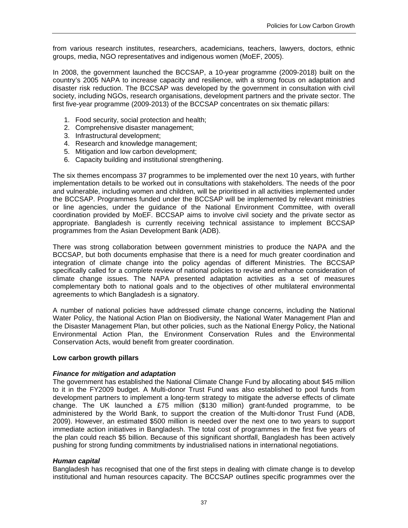from various research institutes, researchers, academicians, teachers, lawyers, doctors, ethnic groups, media, NGO representatives and indigenous women (MoEF, 2005).

In 2008, the government launched the BCCSAP, a 10-year programme (2009-2018) built on the country's 2005 NAPA to increase capacity and resilience, with a strong focus on adaptation and disaster risk reduction. The BCCSAP was developed by the government in consultation with civil society, including NGOs, research organisations, development partners and the private sector. The first five-year programme (2009-2013) of the BCCSAP concentrates on six thematic pillars:

- 1. Food security, social protection and health;
- 2. Comprehensive disaster management;
- 3. Infrastructural development;
- 4. Research and knowledge management;
- 5. Mitigation and low carbon development;
- 6. Capacity building and institutional strengthening.

The six themes encompass 37 programmes to be implemented over the next 10 years, with further implementation details to be worked out in consultations with stakeholders. The needs of the poor and vulnerable, including women and children, will be prioritised in all activities implemented under the BCCSAP. Programmes funded under the BCCSAP will be implemented by relevant ministries or line agencies, under the guidance of the National Environment Committee, with overall coordination provided by MoEF. BCCSAP aims to involve civil society and the private sector as appropriate. Bangladesh is currently receiving technical assistance to implement BCCSAP programmes from the Asian Development Bank (ADB).

There was strong collaboration between government ministries to produce the NAPA and the BCCSAP, but both documents emphasise that there is a need for much greater coordination and integration of climate change into the policy agendas of different Ministries. The BCCSAP specifically called for a complete review of national policies to revise and enhance consideration of climate change issues. The NAPA presented adaptation activities as a set of measures complementary both to national goals and to the objectives of other multilateral environmental agreements to which Bangladesh is a signatory.

A number of national policies have addressed climate change concerns, including the National Water Policy, the National Action Plan on Biodiversity, the National Water Management Plan and the Disaster Management Plan, but other policies, such as the National Energy Policy, the National Environmental Action Plan, the Environment Conservation Rules and the Environmental Conservation Acts, would benefit from greater coordination.

#### **Low carbon growth pillars**

#### *Finance for mitigation and adaptation*

The government has established the National Climate Change Fund by allocating about \$45 million to it in the FY2009 budget. A Multi-donor Trust Fund was also established to pool funds from development partners to implement a long-term strategy to mitigate the adverse effects of climate change. The UK launched a £75 million (\$130 million) grant-funded programme, to be administered by the World Bank, to support the creation of the Multi-donor Trust Fund (ADB, 2009). However, an estimated \$500 million is needed over the next one to two years to support immediate action initiatives in Bangladesh. The total cost of programmes in the first five years of the plan could reach \$5 billion. Because of this significant shortfall, Bangladesh has been actively pushing for strong funding commitments by industrialised nations in international negotiations.

#### *Human capital*

Bangladesh has recognised that one of the first steps in dealing with climate change is to develop institutional and human resources capacity. The BCCSAP outlines specific programmes over the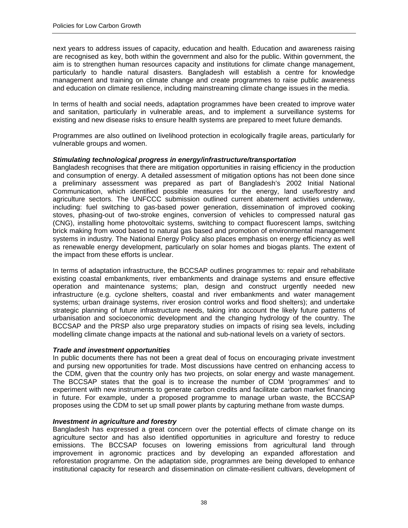next years to address issues of capacity, education and health. Education and awareness raising are recognised as key, both within the government and also for the public. Within government, the aim is to strengthen human resources capacity and institutions for climate change management, particularly to handle natural disasters. Bangladesh will establish a centre for knowledge management and training on climate change and create programmes to raise public awareness and education on climate resilience, including mainstreaming climate change issues in the media.

In terms of health and social needs, adaptation programmes have been created to improve water and sanitation, particularly in vulnerable areas, and to implement a surveillance systems for existing and new disease risks to ensure health systems are prepared to meet future demands.

Programmes are also outlined on livelihood protection in ecologically fragile areas, particularly for vulnerable groups and women.

#### *Stimulating technological progress in energy/infrastructure/transportation*

Bangladesh recognises that there are mitigation opportunities in raising efficiency in the production and consumption of energy. A detailed assessment of mitigation options has not been done since a preliminary assessment was prepared as part of Bangladesh's 2002 Initial National Communication, which identified possible measures for the energy, land use/forestry and agriculture sectors. The UNFCCC submission outlined current abatement activities underway, including: fuel switching to gas-based power generation, dissemination of improved cooking stoves, phasing-out of two-stroke engines, conversion of vehicles to compressed natural gas (CNG), installing home photovoltaic systems, switching to compact fluorescent lamps, switching brick making from wood based to natural gas based and promotion of environmental management systems in industry. The National Energy Policy also places emphasis on energy efficiency as well as renewable energy development, particularly on solar homes and biogas plants. The extent of the impact from these efforts is unclear.

In terms of adaptation infrastructure, the BCCSAP outlines programmes to: repair and rehabilitate existing coastal embankments, river embankments and drainage systems and ensure effective operation and maintenance systems; plan, design and construct urgently needed new infrastructure (e.g. cyclone shelters, coastal and river embankments and water management systems; urban drainage systems, river erosion control works and flood shelters); and undertake strategic planning of future infrastructure needs, taking into account the likely future patterns of urbanisation and socioeconomic development and the changing hydrology of the country. The BCCSAP and the PRSP also urge preparatory studies on impacts of rising sea levels, including modelling climate change impacts at the national and sub-national levels on a variety of sectors.

#### *Trade and investment opportunities*

In public documents there has not been a great deal of focus on encouraging private investment and pursing new opportunities for trade. Most discussions have centred on enhancing access to the CDM, given that the country only has two projects, on solar energy and waste management. The BCCSAP states that the goal is to increase the number of CDM 'programmes' and to experiment with new instruments to generate carbon credits and facilitate carbon market financing in future. For example, under a proposed programme to manage urban waste, the BCCSAP proposes using the CDM to set up small power plants by capturing methane from waste dumps.

#### *Investment in agriculture and forestry*

Bangladesh has expressed a great concern over the potential effects of climate change on its agriculture sector and has also identified opportunities in agriculture and forestry to reduce emissions. The BCCSAP focuses on lowering emissions from agricultural land through improvement in agronomic practices and by developing an expanded afforestation and reforestation programme. On the adaptation side, programmes are being developed to enhance institutional capacity for research and dissemination on climate-resilient cultivars, development of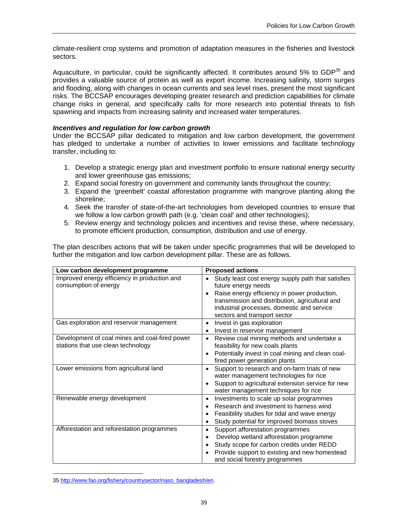climate-resilient crop systems and promotion of adaptation measures in the fisheries and livestock sectors.

Aquaculture, in particular, could be significantly affected. It contributes around 5% to GDP<sup>35</sup> and provides a valuable source of protein as well as export income. Increasing salinity, storm surges and flooding, along with changes in ocean currents and sea level rises, present the most significant risks. The BCCSAP encourages developing greater research and prediction capabilities for climate change risks in general, and specifically calls for more research into potential threats to fish spawning and impacts from increasing salinity and increased water temperatures.

#### *Incentives and regulation for low carbon growth*

Under the BCCSAP pillar dedicated to mitigation and low carbon development, the government has pledged to undertake a number of activities to lower emissions and facilitate technology transfer, including to:

- 1. Develop a strategic energy plan and investment portfolio to ensure national energy security and lower greenhouse gas emissions;
- 2. Expand social forestry on government and community lands throughout the country;
- 3. Expand the 'greenbelt' coastal afforestation programme with mangrove planting along the shoreline;
- 4. Seek the transfer of state-of-the-art technologies from developed countries to ensure that we follow a low carbon growth path (e.g. 'clean coal' and other technologies);
- 5. Review energy and technology policies and incentives and revise these, where necessary, to promote efficient production, consumption, distribution and use of energy.

The plan describes actions that will be taken under specific programmes that will be developed to further the mitigation and low carbon development pillar. These are as follows.

| Low carbon development programme                                                     | <b>Proposed actions</b>                                                                                                                                                                                                                                         |
|--------------------------------------------------------------------------------------|-----------------------------------------------------------------------------------------------------------------------------------------------------------------------------------------------------------------------------------------------------------------|
| Improved energy efficiency in production and<br>consumption of energy                | Study least cost energy supply path that satisfies<br>٠<br>future energy needs<br>Raise energy efficiency in power production,<br>transmission and distribution, agricultural and<br>industrial processes, domestic and service<br>sectors and transport sector |
| Gas exploration and reservoir management                                             | Invest in gas exploration<br>٠<br>Invest in reservoir management<br>٠                                                                                                                                                                                           |
| Development of coal mines and coal-fired power<br>stations that use clean technology | Review coal mining methods and undertake a<br>٠<br>feasibility for new coals plants<br>Potentially invest in coal mining and clean coal-<br>fired power generation plants                                                                                       |
| Lower emissions from agricultural land                                               | Support to research and on-farm trials of new<br>water management technologies for rice<br>Support to agricultural extension service for new<br>water management techniques for rice                                                                            |
| Renewable energy development                                                         | Investments to scale up solar programmes<br>٠<br>Research and investment to harness wind<br>Feasibility studies for tidal and wave energy<br>Study potential for improved biomass stoves                                                                        |
| Afforestation and reforestation programmes                                           | Support afforestation programmes<br>٠<br>Develop wetland afforestation programme<br>Study scope for carbon credits under REDD<br>٠<br>Provide support to existing and new homestead<br>and social forestry programmes                                           |

 $\overline{a}$ 35 http://www.fao.org/fishery/countrysector/naso\_bangladesh/en.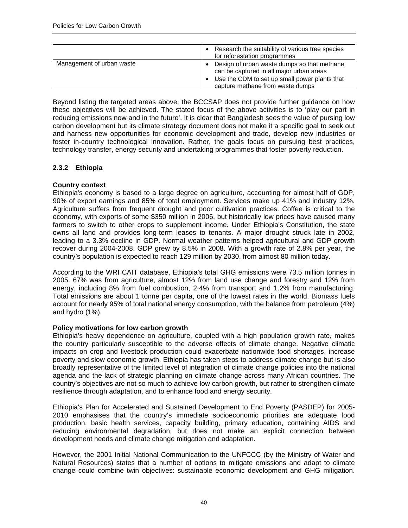|                           | Research the suitability of various tree species<br>for reforestation programmes                                                                                             |
|---------------------------|------------------------------------------------------------------------------------------------------------------------------------------------------------------------------|
| Management of urban waste | Design of urban waste dumps so that methane<br>can be captured in all major urban areas<br>Use the CDM to set up small power plants that<br>capture methane from waste dumps |

Beyond listing the targeted areas above, the BCCSAP does not provide further guidance on how these objectives will be achieved. The stated focus of the above activities is to 'play our part in reducing emissions now and in the future'. It is clear that Bangladesh sees the value of pursing low carbon development but its climate strategy document does not make it a specific goal to seek out and harness new opportunities for economic development and trade, develop new industries or foster in-country technological innovation. Rather, the goals focus on pursuing best practices, technology transfer, energy security and undertaking programmes that foster poverty reduction.

## **2.3.2 Ethiopia**

#### **Country context**

Ethiopia's economy is based to a large degree on agriculture, accounting for almost half of GDP, 90% of export earnings and 85% of total employment. Services make up 41% and industry 12%. Agriculture suffers from frequent drought and poor cultivation practices. Coffee is critical to the economy, with exports of some \$350 million in 2006, but historically low prices have caused many farmers to switch to other crops to supplement income. Under Ethiopia's Constitution, the state owns all land and provides long-term leases to tenants. A major drought struck late in 2002, leading to a 3.3% decline in GDP. Normal weather patterns helped agricultural and GDP growth recover during 2004-2008. GDP grew by 8.5% in 2008. With a growth rate of 2.8% per year, the country's population is expected to reach 129 million by 2030, from almost 80 million today.

According to the WRI CAIT database, Ethiopia's total GHG emissions were 73.5 million tonnes in 2005. 67% was from agriculture, almost 12% from land use change and forestry and 12% from energy, including 8% from fuel combustion, 2.4% from transport and 1.2% from manufacturing. Total emissions are about 1 tonne per capita, one of the lowest rates in the world. Biomass fuels account for nearly 95% of total national energy consumption, with the balance from petroleum (4%) and hydro (1%).

#### **Policy motivations for low carbon growth**

Ethiopia's heavy dependence on agriculture, coupled with a high population growth rate, makes the country particularly susceptible to the adverse effects of climate change. Negative climatic impacts on crop and livestock production could exacerbate nationwide food shortages, increase poverty and slow economic growth. Ethiopia has taken steps to address climate change but is also broadly representative of the limited level of integration of climate change policies into the national agenda and the lack of strategic planning on climate change across many African countries. The country's objectives are not so much to achieve low carbon growth, but rather to strengthen climate resilience through adaptation, and to enhance food and energy security.

Ethiopia's Plan for Accelerated and Sustained Development to End Poverty (PASDEP) for 2005- 2010 emphasises that the country's immediate socioeconomic priorities are adequate food production, basic health services, capacity building, primary education, containing AIDS and reducing environmental degradation, but does not make an explicit connection between development needs and climate change mitigation and adaptation.

However, the 2001 Initial National Communication to the UNFCCC (by the Ministry of Water and Natural Resources) states that a number of options to mitigate emissions and adapt to climate change could combine twin objectives: sustainable economic development and GHG mitigation.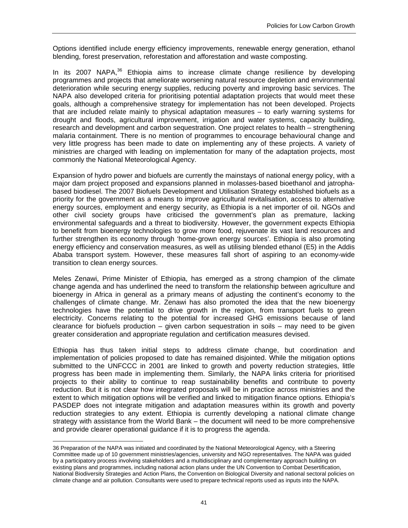Options identified include energy efficiency improvements, renewable energy generation, ethanol blending, forest preservation, reforestation and afforestation and waste composting.

In its 2007 NAPA, $36$  Ethiopia aims to increase climate change resilience by developing programmes and projects that ameliorate worsening natural resource depletion and environmental deterioration while securing energy supplies, reducing poverty and improving basic services. The NAPA also developed criteria for prioritising potential adaptation projects that would meet these goals, although a comprehensive strategy for implementation has not been developed. Projects that are included relate mainly to physical adaptation measures – to early warning systems for drought and floods, agricultural improvement, irrigation and water systems, capacity building, research and development and carbon sequestration. One project relates to health – strengthening malaria containment. There is no mention of programmes to encourage behavioural change and very little progress has been made to date on implementing any of these projects. A variety of ministries are charged with leading on implementation for many of the adaptation projects, most commonly the National Meteorological Agency.

Expansion of hydro power and biofuels are currently the mainstays of national energy policy, with a major dam project proposed and expansions planned in molasses-based bioethanol and jatrophabased biodiesel. The 2007 Biofuels Development and Utilisation Strategy established biofuels as a priority for the government as a means to improve agricultural revitalisation, access to alternative energy sources, employment and energy security, as Ethiopia is a net importer of oil. NGOs and other civil society groups have criticised the government's plan as premature, lacking environmental safeguards and a threat to biodiversity. However, the government expects Ethiopia to benefit from bioenergy technologies to grow more food, rejuvenate its vast land resources and further strengthen its economy through 'home-grown energy sources'. Ethiopia is also promoting energy efficiency and conservation measures, as well as utilising blended ethanol (E5) in the Addis Ababa transport system. However, these measures fall short of aspiring to an economy-wide transition to clean energy sources.

Meles Zenawi, Prime Minister of Ethiopia, has emerged as a strong champion of the climate change agenda and has underlined the need to transform the relationship between agriculture and bioenergy in Africa in general as a primary means of adjusting the continent's economy to the challenges of climate change. Mr. Zenawi has also promoted the idea that the new bioenergy technologies have the potential to drive growth in the region, from transport fuels to green electricity. Concerns relating to the potential for increased GHG emissions because of land clearance for biofuels production – given carbon sequestration in soils – may need to be given greater consideration and appropriate regulation and certification measures devised.

Ethiopia has thus taken initial steps to address climate change, but coordination and implementation of policies proposed to date has remained disjointed. While the mitigation options submitted to the UNFCCC in 2001 are linked to growth and poverty reduction strategies, little progress has been made in implementing them. Similarly, the NAPA links criteria for prioritised projects to their ability to continue to reap sustainability benefits and contribute to poverty reduction. But it is not clear how integrated proposals will be in practice across ministries and the extent to which mitigation options will be verified and linked to mitigation finance options. Ethiopia's PASDEP does not integrate mitigation and adaptation measures within its growth and poverty reduction strategies to any extent. Ethiopia is currently developing a national climate change strategy with assistance from the World Bank – the document will need to be more comprehensive and provide clearer operational guidance if it is to progress the agenda.

<sup>36</sup> Preparation of the NAPA was initiated and coordinated by the National Meteorological Agency, with a Steering Committee made up of 10 government ministries/agencies, university and NGO representatives. The NAPA was guided by a participatory process involving stakeholders and a multidisciplinary and complementary approach building on existing plans and programmes, including national action plans under the UN Convention to Combat Desertification, National Biodiversity Strategies and Action Plans, the Convention on Biological Diversity and national sectoral policies on climate change and air pollution. Consultants were used to prepare technical reports used as inputs into the NAPA.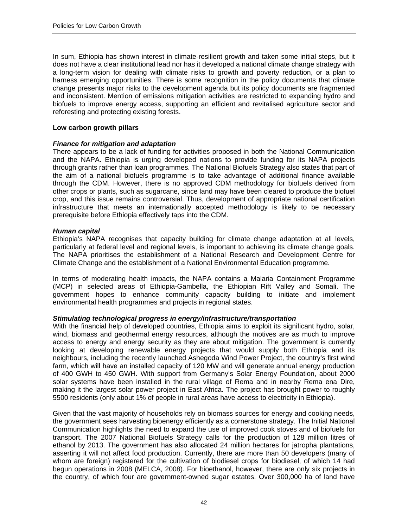In sum, Ethiopia has shown interest in climate-resilient growth and taken some initial steps, but it does not have a clear institutional lead nor has it developed a national climate change strategy with a long-term vision for dealing with climate risks to growth and poverty reduction, or a plan to harness emerging opportunities. There is some recognition in the policy documents that climate change presents major risks to the development agenda but its policy documents are fragmented and inconsistent. Mention of emissions mitigation activities are restricted to expanding hydro and biofuels to improve energy access, supporting an efficient and revitalised agriculture sector and reforesting and protecting existing forests.

#### **Low carbon growth pillars**

#### *Finance for mitigation and adaptation*

There appears to be a lack of funding for activities proposed in both the National Communication and the NAPA. Ethiopia is urging developed nations to provide funding for its NAPA projects through grants rather than loan programmes. The National Biofuels Strategy also states that part of the aim of a national biofuels programme is to take advantage of additional finance available through the CDM. However, there is no approved CDM methodology for biofuels derived from other crops or plants, such as sugarcane, since land may have been cleared to produce the biofuel crop, and this issue remains controversial. Thus, development of appropriate national certification infrastructure that meets an internationally accepted methodology is likely to be necessary prerequisite before Ethiopia effectively taps into the CDM.

#### *Human capital*

Ethiopia's NAPA recognises that capacity building for climate change adaptation at all levels, particularly at federal level and regional levels, is important to achieving its climate change goals. The NAPA prioritises the establishment of a National Research and Development Centre for Climate Change and the establishment of a National Environmental Education programme.

In terms of moderating health impacts, the NAPA contains a Malaria Containment Programme (MCP) in selected areas of Ethiopia-Gambella, the Ethiopian Rift Valley and Somali. The government hopes to enhance community capacity building to initiate and implement environmental health programmes and projects in regional states.

#### *Stimulating technological progress in energy/infrastructure/transportation*

With the financial help of developed countries, Ethiopia aims to exploit its significant hydro, solar, wind, biomass and geothermal energy resources, although the motives are as much to improve access to energy and energy security as they are about mitigation. The government is currently looking at developing renewable energy projects that would supply both Ethiopia and its neighbours, including the recently launched Ashegoda Wind Power Project, the country's first wind farm, which will have an installed capacity of 120 MW and will generate annual energy production of 400 GWH to 450 GWH. With support from Germany's Solar Energy Foundation, about 2000 solar systems have been installed in the rural village of Rema and in nearby Rema ena Dire, making it the largest solar power project in East Africa. The project has brought power to roughly 5500 residents (only about 1% of people in rural areas have access to electricity in Ethiopia).

Given that the vast majority of households rely on biomass sources for energy and cooking needs, the government sees harvesting bioenergy efficiently as a cornerstone strategy. The Initial National Communication highlights the need to expand the use of improved cook stoves and of biofuels for transport. The 2007 National Biofuels Strategy calls for the production of 128 million litres of ethanol by 2013. The government has also allocated 24 million hectares for jatropha plantations, asserting it will not affect food production. Currently, there are more than 50 developers (many of whom are foreign) registered for the cultivation of biodiesel crops for biodiesel, of which 14 had begun operations in 2008 (MELCA, 2008). For bioethanol, however, there are only six projects in the country, of which four are government-owned sugar estates. Over 300,000 ha of land have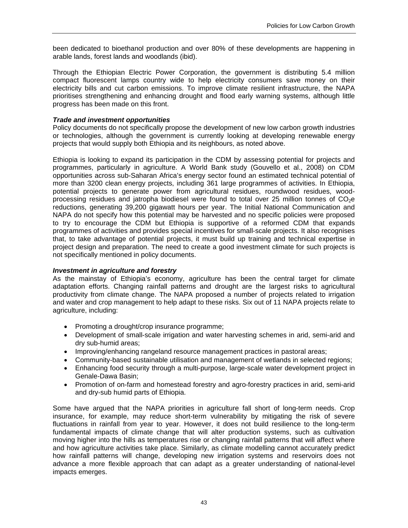been dedicated to bioethanol production and over 80% of these developments are happening in arable lands, forest lands and woodlands (ibid).

Through the Ethiopian Electric Power Corporation, the government is distributing 5.4 million compact fluorescent lamps country wide to help electricity consumers save money on their electricity bills and cut carbon emissions. To improve climate resilient infrastructure, the NAPA prioritises strengthening and enhancing drought and flood early warning systems, although little progress has been made on this front.

## *Trade and investment opportunities*

Policy documents do not specifically propose the development of new low carbon growth industries or technologies, although the government is currently looking at developing renewable energy projects that would supply both Ethiopia and its neighbours, as noted above.

Ethiopia is looking to expand its participation in the CDM by assessing potential for projects and programmes, particularly in agriculture. A World Bank study (Gouvello et al., 2008) on CDM opportunities across sub-Saharan Africa's energy sector found an estimated technical potential of more than 3200 clean energy projects, including 361 large programmes of activities. In Ethiopia, potential projects to generate power from agricultural residues, roundwood residues, woodprocessing residues and jatropha biodiesel were found to total over 25 million tonnes of  $CO<sub>2</sub>e$ reductions, generating 39,200 gigawatt hours per year. The Initial National Communication and NAPA do not specify how this potential may be harvested and no specific policies were proposed to try to encourage the CDM but Ethiopia is supportive of a reformed CDM that expands programmes of activities and provides special incentives for small-scale projects. It also recognises that, to take advantage of potential projects, it must build up training and technical expertise in project design and preparation. The need to create a good investment climate for such projects is not specifically mentioned in policy documents.

#### *Investment in agriculture and forestry*

As the mainstay of Ethiopia's economy, agriculture has been the central target for climate adaptation efforts. Changing rainfall patterns and drought are the largest risks to agricultural productivity from climate change. The NAPA proposed a number of projects related to irrigation and water and crop management to help adapt to these risks. Six out of 11 NAPA projects relate to agriculture, including:

- Promoting a drought/crop insurance programme;
- Development of small-scale irrigation and water harvesting schemes in arid, semi-arid and dry sub-humid areas;
- Improving/enhancing rangeland resource management practices in pastoral areas;
- Community-based sustainable utilisation and management of wetlands in selected regions;
- Enhancing food security through a multi-purpose, large-scale water development project in Genale-Dawa Basin;
- Promotion of on-farm and homestead forestry and agro-forestry practices in arid, semi-arid and dry-sub humid parts of Ethiopia.

Some have argued that the NAPA priorities in agriculture fall short of long-term needs. Crop insurance, for example, may reduce short-term vulnerability by mitigating the risk of severe fluctuations in rainfall from year to year. However, it does not build resilience to the long-term fundamental impacts of climate change that will alter production systems, such as cultivation moving higher into the hills as temperatures rise or changing rainfall patterns that will affect where and how agriculture activities take place. Similarly, as climate modelling cannot accurately predict how rainfall patterns will change, developing new irrigation systems and reservoirs does not advance a more flexible approach that can adapt as a greater understanding of national-level impacts emerges.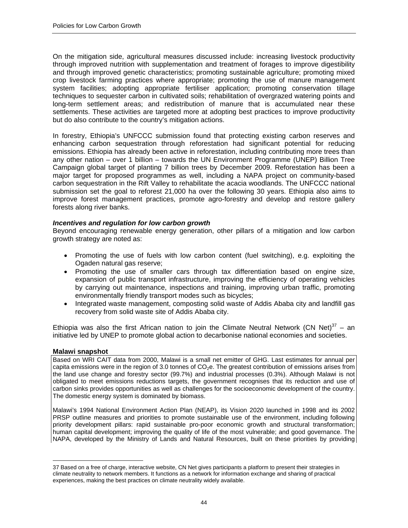On the mitigation side, agricultural measures discussed include: increasing livestock productivity through improved nutrition with supplementation and treatment of forages to improve digestibility and through improved genetic characteristics; promoting sustainable agriculture; promoting mixed crop livestock farming practices where appropriate; promoting the use of manure management system facilities; adopting appropriate fertiliser application; promoting conservation tillage techniques to sequester carbon in cultivated soils; rehabilitation of overgrazed watering points and long-term settlement areas; and redistribution of manure that is accumulated near these settlements. These activities are targeted more at adopting best practices to improve productivity but do also contribute to the country's mitigation actions.

In forestry, Ethiopia's UNFCCC submission found that protecting existing carbon reserves and enhancing carbon sequestration through reforestation had significant potential for reducing emissions. Ethiopia has already been active in reforestation, including contributing more trees than any other nation – over 1 billion – towards the UN Environment Programme (UNEP) Billion Tree Campaign global target of planting 7 billion trees by December 2009. Reforestation has been a major target for proposed programmes as well, including a NAPA project on community-based carbon sequestration in the Rift Valley to rehabilitate the acacia woodlands. The UNFCCC national submission set the goal to reforest 21,000 ha over the following 30 years. Ethiopia also aims to improve forest management practices, promote agro-forestry and develop and restore gallery forests along river banks.

#### *Incentives and regulation for low carbon growth*

Beyond encouraging renewable energy generation, other pillars of a mitigation and low carbon growth strategy are noted as:

- Promoting the use of fuels with low carbon content (fuel switching), e.g. exploiting the Ogaden natural gas reserve;
- Promoting the use of smaller cars through tax differentiation based on engine size, expansion of public transport infrastructure, improving the efficiency of operating vehicles by carrying out maintenance, inspections and training, improving urban traffic, promoting environmentally friendly transport modes such as bicycles;
- Integrated waste management, composting solid waste of Addis Ababa city and landfill gas recovery from solid waste site of Addis Ababa city.

Ethiopia was also the first African nation to join the Climate Neutral Network (CN Net)<sup>37</sup> – an initiative led by UNEP to promote global action to decarbonise national economies and societies.

#### **Malawi snapshot**

 $\overline{a}$ 

Based on WRI CAIT data from 2000, Malawi is a small net emitter of GHG. Last estimates for annual per capita emissions were in the region of 3.0 tonnes of  $CO<sub>2</sub>e$ . The greatest contribution of emissions arises from the land use change and forestry sector (99.7%) and industrial processes (0.3%). Although Malawi is not obligated to meet emissions reductions targets, the government recognises that its reduction and use of carbon sinks provides opportunities as well as challenges for the socioeconomic development of the country. The domestic energy system is dominated by biomass.

Malawi's 1994 National Environment Action Plan (NEAP), its Vision 2020 launched in 1998 and its 2002 PRSP outline measures and priorities to promote sustainable use of the environment, including following priority development pillars: rapid sustainable pro-poor economic growth and structural transformation; human capital development; improving the quality of life of the most vulnerable; and good governance. The NAPA, developed by the Ministry of Lands and Natural Resources, built on these priorities by providing

<sup>37</sup> Based on a free of charge, interactive website, CN Net gives participants a platform to present their strategies in climate neutrality to network members. It functions as a network for information exchange and sharing of practical experiences, making the best practices on climate neutrality widely available.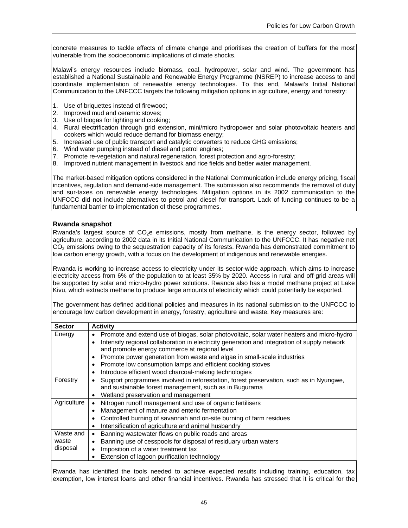concrete measures to tackle effects of climate change and prioritises the creation of buffers for the most vulnerable from the socioeconomic implications of climate shocks.

Malawi's energy resources include biomass, coal, hydropower, solar and wind. The government has established a National Sustainable and Renewable Energy Programme (NSREP) to increase access to and coordinate implementation of renewable energy technologies. To this end, Malawi's Initial National Communication to the UNFCCC targets the following mitigation options in agriculture, energy and forestry:

- 1. Use of briquettes instead of firewood;
- 2. Improved mud and ceramic stoves;
- 3. Use of biogas for lighting and cooking;
- 4. Rural electrification through grid extension, mini/micro hydropower and solar photovoltaic heaters and cookers which would reduce demand for biomass energy;
- 5. Increased use of public transport and catalytic converters to reduce GHG emissions;
- 6. Wind water pumping instead of diesel and petrol engines;
- 7. Promote re-vegetation and natural regeneration, forest protection and agro-forestry;
- 8. Improved nutrient management in livestock and rice fields and better water management.

The market-based mitigation options considered in the National Communication include energy pricing, fiscal incentives, regulation and demand-side management. The submission also recommends the removal of duty and sur-taxes on renewable energy technologies. Mitigation options in its 2002 communication to the UNFCCC did not include alternatives to petrol and diesel for transport. Lack of funding continues to be a fundamental barrier to implementation of these programmes.

#### **Rwanda snapshot**

Rwanda's largest source of CO<sub>2</sub>e emissions, mostly from methane, is the energy sector, followed by agriculture, according to 2002 data in its Initial National Communication to the UNFCCC. It has negative net  $CO<sub>2</sub>$  emissions owing to the sequestration capacity of its forests. Rwanda has demonstrated commitment to low carbon energy growth, with a focus on the development of indigenous and renewable energies.

Rwanda is working to increase access to electricity under its sector-wide approach, which aims to increase electricity access from 6% of the population to at least 35% by 2020. Access in rural and off-grid areas will be supported by solar and micro-hydro power solutions. Rwanda also has a model methane project at Lake Kivu, which extracts methane to produce large amounts of electricity which could potentially be exported.

The government has defined additional policies and measures in its national submission to the UNFCCC to encourage low carbon development in energy, forestry, agriculture and waste. Key measures are:

| <b>Sector</b> | <b>Activity</b>                                                                                           |  |  |  |  |  |  |  |
|---------------|-----------------------------------------------------------------------------------------------------------|--|--|--|--|--|--|--|
| Energy        | Promote and extend use of biogas, solar photovoltaic, solar water heaters and micro-hydro                 |  |  |  |  |  |  |  |
|               | Intensify regional collaboration in electricity generation and integration of supply network<br>$\bullet$ |  |  |  |  |  |  |  |
|               | and promote energy commerce at regional level                                                             |  |  |  |  |  |  |  |
|               | Promote power generation from waste and algae in small-scale industries<br>٠                              |  |  |  |  |  |  |  |
|               | Promote low consumption lamps and efficient cooking stoves<br>٠                                           |  |  |  |  |  |  |  |
|               | Introduce efficient wood charcoal-making technologies<br>٠                                                |  |  |  |  |  |  |  |
| Forestry      | Support programmes involved in reforestation, forest preservation, such as in Nyungwe,<br>$\bullet$       |  |  |  |  |  |  |  |
|               | and sustainable forest management, such as in Bugurama                                                    |  |  |  |  |  |  |  |
|               | Wetland preservation and management                                                                       |  |  |  |  |  |  |  |
| Agriculture   | Nitrogen runoff management and use of organic fertilisers<br>٠                                            |  |  |  |  |  |  |  |
|               | Management of manure and enteric fermentation<br>$\bullet$                                                |  |  |  |  |  |  |  |
|               | Controlled burning of savannah and on-site burning of farm residues<br>٠                                  |  |  |  |  |  |  |  |
|               | Intensification of agriculture and animal husbandry<br>٠                                                  |  |  |  |  |  |  |  |
| Waste and     | Banning wastewater flows on public roads and areas<br>٠                                                   |  |  |  |  |  |  |  |
| waste         | Banning use of cesspools for disposal of residuary urban waters                                           |  |  |  |  |  |  |  |
| disposal      | Imposition of a water treatment tax<br>٠                                                                  |  |  |  |  |  |  |  |
|               | Extension of lagoon purification technology                                                               |  |  |  |  |  |  |  |

Rwanda has identified the tools needed to achieve expected results including training, education, tax exemption, low interest loans and other financial incentives. Rwanda has stressed that it is critical for the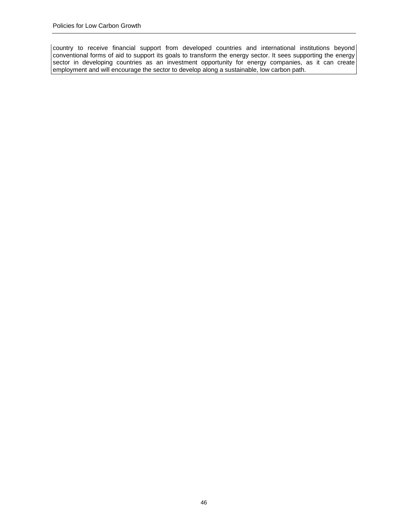country to receive financial support from developed countries and international institutions beyond conventional forms of aid to support its goals to transform the energy sector. It sees supporting the energy sector in developing countries as an investment opportunity for energy companies, as it can create employment and will encourage the sector to develop along a sustainable, low carbon path.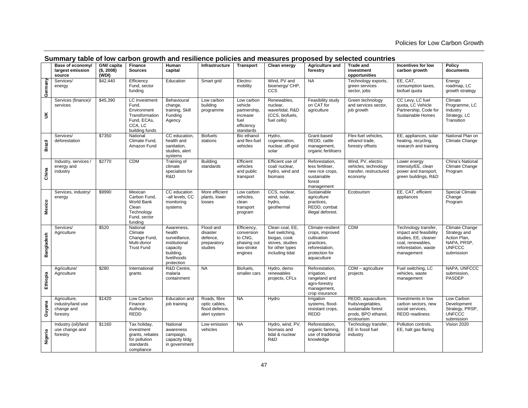|                      | Base of economy/<br>largest emission<br>source              | GNI/ capita<br>(\$, 2008)<br>(WDI) | <b>Finance</b><br><b>Sources</b>                                                                           | Human<br>capital                                                                                             | Infrastructure                                                  | <b>Transport</b>                                                                     | Clean energy                                                                                                | Agriculture and<br>forestry                                                                                          | <b>Trade and</b><br>investment<br>opportunities                                                     | Incentives for low<br>carbon growth                                                                                               | Policy<br>documents                                                                          |
|----------------------|-------------------------------------------------------------|------------------------------------|------------------------------------------------------------------------------------------------------------|--------------------------------------------------------------------------------------------------------------|-----------------------------------------------------------------|--------------------------------------------------------------------------------------|-------------------------------------------------------------------------------------------------------------|----------------------------------------------------------------------------------------------------------------------|-----------------------------------------------------------------------------------------------------|-----------------------------------------------------------------------------------------------------------------------------------|----------------------------------------------------------------------------------------------|
| Germany              | Services/<br>energy                                         | \$42,440                           | Efficiency<br>Fund, sector<br>funding                                                                      | Education                                                                                                    | Smart grid                                                      | Electro-<br>mobility                                                                 | Wind, PV and<br>bioenergy/ CHP,<br><b>CCS</b>                                                               | <b>NA</b>                                                                                                            | Technology exports,<br>green services<br>sector, jobs                                               | EE, CAT,<br>consumption taxes,<br>biofuel quota                                                                                   | Energy<br>roadmap, LC<br>growth strategy                                                     |
| $\check{\mathbf{s}}$ | Services (finance)/<br>services                             | \$45,390                           | <b>LC</b> Investment<br>Fund,<br>Environment<br>Transformation<br>Fund, ECAs,<br>CCA, LC<br>building funds | Behavioural<br>change,<br>training, Skill<br>Funding<br>Agency                                               | Low carbon<br>building<br>programme                             | Low carbon<br>vehicle<br>partnership.<br>increase<br>fuel<br>efficiency<br>standards | Renewables,<br>nuclear,<br>wave/tidal, R&D<br>(CCS, biofuels,<br>fuel cells)                                | Feasibility study<br>on CAT for<br>agriculture                                                                       | Green technology<br>and services sector,<br>job growth                                              | CC Levy, LC fuel<br>quota, LC Vehicle<br>Partnership, Code for<br>Sustainable Homes                                               | Climate<br>Programme, LC<br>Industry<br>Strategy, LC<br>Transition                           |
| Brazil               | Services/<br>deforestation                                  | \$7350                             | National<br>Climate Fund,<br>Amazon Fund                                                                   | CC education,<br>health and<br>sanitation,<br>studies, alert<br>systems                                      | <b>Biofuels</b><br>stations                                     | Bio ethanol<br>and flex-fuel<br>vehicles                                             | Hydro,<br>cogeneration,<br>nuclear, off-grid<br>solar                                                       | Grant-based<br>REDD, cattle<br>management,<br>organic fertilisers                                                    | Flex-fuel vehicles,<br>ethanol trade,<br>forestry offsets                                           | EE, appliances, solar<br>heating, recycling,<br>research and training                                                             | National Plan on<br>Climate Change                                                           |
| China                | Industry, services /<br>energy and<br>industry              | \$2770                             | <b>CDM</b>                                                                                                 | Training of<br>climate<br>specialists for<br>R&D                                                             | Building<br>standards                                           | Efficient<br>vehicles<br>and public<br>transport                                     | Efficient use of<br>coal/ nuclear,<br>hydro, wind and<br>biomass                                            | Reforestation,<br>less fertiliser,<br>new rice crops,<br>sustainable<br>forest<br>management                         | Wind, PV, electric<br>vehicles, technology<br>transfer, restructured<br>economy                     | Lower energy<br>intensity/EE, clean<br>power and transport,<br>green buildings, R&D                                               | China's National<br>Climate Change<br>Program                                                |
| Mexico               | Services, industry/<br>energy                               | \$9990                             | Mexican<br>Carbon Fund,<br><b>World Bank</b><br>Clean<br>Technology<br>Fund, sector<br>funding             | CC education<br>-all levels, CC<br>monitoring<br>systems                                                     | More efficient<br>plants, lower<br>losses                       | Low carbon<br>vehicles,<br>clean<br>transport<br>program                             | CCS, nuclear,<br>wind, solar,<br>hydro,<br>geothermal                                                       | Sustainable<br>agriculture<br>practices,<br>REDD, combat<br>illegal deforest.                                        | Ecotourism                                                                                          | EE, CAT, efficient<br>appliances                                                                                                  | <b>Special Climate</b><br>Change<br>Program                                                  |
| Bangladesh           | Services/<br>Agriculture                                    | \$520                              | National<br>Climate<br>Change Fund,<br>Multi-donor<br><b>Trust Fund</b>                                    | Awareness,<br>health<br>surveillance,<br>institutional<br>capacity<br>building,<br>livelihoods<br>protection | Flood and<br>disaster<br>defence.<br>preparatory<br>studies     | Efficiency,<br>conversion<br>to CNG.<br>phasing out<br>two-stroke<br>engines         | Clean coal, EE,<br>fuel switching,<br>biogas, cook<br>stoves, studies<br>for other types<br>including tidal | Climate-resilient<br>crops, improved<br>cultivation<br>practices,<br>reforestation,<br>protection for<br>aquaculture | <b>CDM</b>                                                                                          | Technology transfer,<br>impact and feasibility<br>studies, EE, cleaner<br>coal, renewables,<br>reforestation, waste<br>management | Climate Change<br>Strategy and<br>Action Plan,<br>NAPA, PRSP,<br><b>UNFCCC</b><br>submission |
| Ethiopia             | Agriculture/<br>Agriculture                                 | \$280                              | International<br>grants                                                                                    | R&D Centre,<br>malaria<br>containment                                                                        | <b>NA</b>                                                       | Biofuels,<br>smaller cars                                                            | Hydro, demo<br>renewables<br>projects, CFLs                                                                 | Reforestation,<br>irrigation,<br>rangeland and<br>agro-forestry<br>management,<br>crop insurance                     | CDM - agriculture<br>projects                                                                       | Fuel switching, LC<br>vehicles, waste<br>management                                                                               | NAPA, UNFCCC<br>submission,<br>PASDEP                                                        |
| Guyana               | Agriculture,<br>industry/land use<br>change and<br>forestry | \$1420                             | Low Carbon<br>Finance<br>Authority,<br>REDD                                                                | Education and<br>job training                                                                                | Roads, fibre<br>optic cables.<br>flood defence,<br>alert system | <b>NA</b>                                                                            | Hydro                                                                                                       | Irrigation<br>systems, flood-<br>resistant crops,<br><b>REDD</b>                                                     | REDD, aquaculture,<br>fruits/vegetables,<br>sustainable forest<br>prods, BPO ethanol,<br>ecotourism | Investments in low<br>carbon sectors, new<br>social services,<br><b>REDD</b> readiness                                            | Low Carbon<br>Development<br>Strategy, PRSP,<br><b>UNFCCC</b><br>submission                  |
| Nigeria              | Industry (oil)/land<br>use change and<br>forestry           | \$1160                             | Tax holiday,<br>investment<br>grants, rebates<br>for pollution<br>standards<br>compliance                  | National<br>awareness<br>campaign,<br>capacity bldg<br>in government                                         | Low emission<br>vehicles                                        | <b>NA</b>                                                                            | Hydro, wind, PV,<br>biomass and<br>tidal & nuclear<br>R&D                                                   | Reforestation,<br>organic farming,<br>use of traditional<br>knowledge                                                | Technology transfer,<br>EE in fossil fuel<br>industry                                               | Pollution controls,<br>EE, halt gas flaring                                                                                       | Vision 2020                                                                                  |

## **Summary table of low carbon growth and resilience policies and measures proposed by selected countries**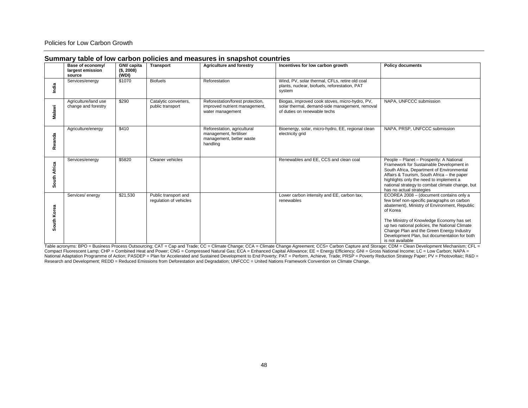#### Policies for Low Carbon Growth

|              | <u> Cammary tasho on four canson ponoico ana moacarco in chaponot coammoc</u> |                                   |                                                |                                                                                               |                                                                                                                                  |                                                                                                                                                                                                                                                                                                                                                                     |  |  |  |  |
|--------------|-------------------------------------------------------------------------------|-----------------------------------|------------------------------------------------|-----------------------------------------------------------------------------------------------|----------------------------------------------------------------------------------------------------------------------------------|---------------------------------------------------------------------------------------------------------------------------------------------------------------------------------------------------------------------------------------------------------------------------------------------------------------------------------------------------------------------|--|--|--|--|
|              | Base of economy/<br>largest emission<br>source                                | GNI/ capita<br>(S, 2008)<br>(WDI) | <b>Transport</b>                               | <b>Agriculture and forestry</b>                                                               | Incentives for low carbon growth                                                                                                 | <b>Policy documents</b>                                                                                                                                                                                                                                                                                                                                             |  |  |  |  |
| India        | Services/energy                                                               | \$1070                            | <b>Biofuels</b>                                | Reforestation                                                                                 | Wind, PV, solar thermal, CFLs, retire old coal<br>plants, nuclear, biofuels, reforestation, PAT<br>system                        |                                                                                                                                                                                                                                                                                                                                                                     |  |  |  |  |
| Malawi       | Agriculture/land use<br>change and forestry                                   | \$290                             | Catalytic converters,<br>public transport      | Reforestation/forest protection,<br>improved nutrient management,<br>water management         | Biogas, improved cook stoves, micro-hydro, PV,<br>solar thermal, demand-side management, removal<br>of duties on renewable techs | NAPA, UNFCCC submission                                                                                                                                                                                                                                                                                                                                             |  |  |  |  |
| Rwanda       | Agriculture/energy                                                            | \$410                             |                                                | Reforestation, agricultural<br>management, fertiliser<br>management, better waste<br>handling | Bioenergy, solar, micro-hydro, EE, regional clean<br>electricity grid                                                            | NAPA, PRSP, UNFCCC submission                                                                                                                                                                                                                                                                                                                                       |  |  |  |  |
| South Africa | Services/energy                                                               | \$5820                            | Cleaner vehicles                               |                                                                                               | Renewables and EE, CCS and clean coal                                                                                            | People - Planet - Prosperity: A National<br>Framework for Sustainable Development in<br>South Africa, Department of Environmental<br>Affairs & Tourism, South Africa - the paper<br>highlights only the need to implement a<br>national strategy to combat climate change, but<br>has no actual strategies                                                          |  |  |  |  |
| South Korea  | Services/ energy                                                              | \$21,530                          | Public transport and<br>regulation of vehicles |                                                                                               | Lower carbon intensity and EE, carbon tax,<br>renewables                                                                         | ECOREA 2008 - (document contains only a<br>few brief non-specific paragraphs on carbon<br>abatement), Ministry of Environment, Republic<br>of Korea<br>The Ministry of Knowledge Economy has set<br>up two national policies, the National Climate<br>Change Plan and the Green Energy Industry<br>Development Plan, but documentation for both<br>is not available |  |  |  |  |

#### **Summary table of low carbon policies and measures in snapshot countries**

is not available Table acronyms: BPO = Business Process Outsourcing; CAT = Cap and Trade; CC = Climate Change; CCA = Climate Change Agreement; CCS= Carbon Capture and Storage; CDM = Clean Development Mechanism; CFL = Compact Fluorescent Lamp; CHP = Combined Heat and Power; CNG = Compressed Natural Gas; ECA = Enhanced Capital Allowance; EE = Energy Efficiency; GNI = Gross National Income; LC = Low Carbon; NAPA = National Adaptation Programme of Action; PASDEP = Plan for Accelerated and Sustained Development to End Poverty; PAT = Perform, Achieve, Trade; PRSP = Poverty Reduction Strategy Paper; PV = Photovoltaic; R&D =<br>Research and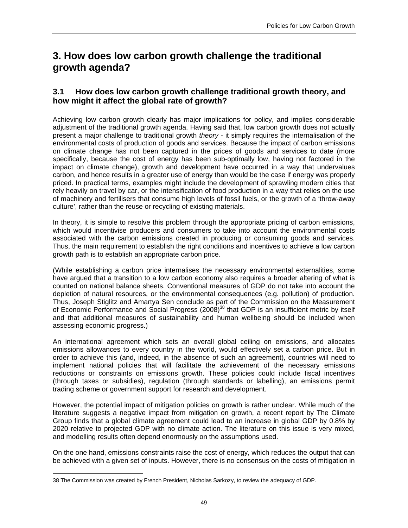# **3. How does low carbon growth challenge the traditional growth agenda?**

## **3.1 How does low carbon growth challenge traditional growth theory, and how might it affect the global rate of growth?**

Achieving low carbon growth clearly has major implications for policy, and implies considerable adjustment of the traditional growth agenda. Having said that, low carbon growth does not actually present a major challenge to traditional growth *theory* - it simply requires the internalisation of the environmental costs of production of goods and services. Because the impact of carbon emissions on climate change has not been captured in the prices of goods and services to date (more specifically, because the cost of energy has been sub-optimally low, having not factored in the impact on climate change), growth and development have occurred in a way that undervalues carbon, and hence results in a greater use of energy than would be the case if energy was properly priced. In practical terms, examples might include the development of sprawling modern cities that rely heavily on travel by car, or the intensification of food production in a way that relies on the use of machinery and fertilisers that consume high levels of fossil fuels, or the growth of a 'throw-away culture', rather than the reuse or recycling of existing materials.

In theory, it is simple to resolve this problem through the appropriate pricing of carbon emissions, which would incentivise producers and consumers to take into account the environmental costs associated with the carbon emissions created in producing or consuming goods and services. Thus, the main requirement to establish the right conditions and incentives to achieve a low carbon growth path is to establish an appropriate carbon price.

(While establishing a carbon price internalises the necessary environmental externalities, some have argued that a transition to a low carbon economy also requires a broader altering of what is counted on national balance sheets. Conventional measures of GDP do not take into account the depletion of natural resources, or the environmental consequences (e.g. pollution) of production. Thus, Joseph Stiglitz and Amartya Sen conclude as part of the Commission on the Measurement of Economic Performance and Social Progress (2008)<sup>38</sup> that GDP is an insufficient metric by itself and that additional measures of sustainability and human wellbeing should be included when assessing economic progress.)

An international agreement which sets an overall global ceiling on emissions, and allocates emissions allowances to every country in the world, would effectively set a carbon price. But in order to achieve this (and, indeed, in the absence of such an agreement), countries will need to implement national policies that will facilitate the achievement of the necessary emissions reductions or constraints on emissions growth. These policies could include fiscal incentives (through taxes or subsidies), regulation (through standards or labelling), an emissions permit trading scheme or government support for research and development.

However, the potential impact of mitigation policies on growth is rather unclear. While much of the literature suggests a negative impact from mitigation on growth, a recent report by The Climate Group finds that a global climate agreement could lead to an increase in global GDP by 0.8% by 2020 relative to projected GDP with no climate action. The literature on this issue is very mixed, and modelling results often depend enormously on the assumptions used.

On the one hand, emissions constraints raise the cost of energy, which reduces the output that can be achieved with a given set of inputs. However, there is no consensus on the costs of mitigation in

<sup>38</sup> The Commission was created by French President, Nicholas Sarkozy, to review the adequacy of GDP.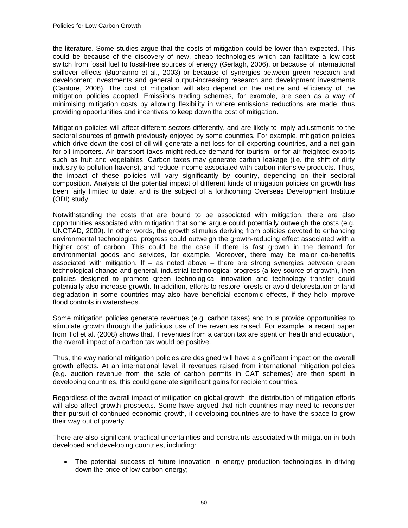the literature. Some studies argue that the costs of mitigation could be lower than expected. This could be because of the discovery of new, cheap technologies which can facilitate a low-cost switch from fossil fuel to fossil-free sources of energy (Gerlagh, 2006), or because of international spillover effects (Buonanno et al., 2003) or because of synergies between green research and development investments and general output-increasing research and development investments (Cantore, 2006). The cost of mitigation will also depend on the nature and efficiency of the mitigation policies adopted. Emissions trading schemes, for example, are seen as a way of minimising mitigation costs by allowing flexibility in where emissions reductions are made, thus providing opportunities and incentives to keep down the cost of mitigation.

Mitigation policies will affect different sectors differently, and are likely to imply adjustments to the sectoral sources of growth previously enjoyed by some countries. For example, mitigation policies which drive down the cost of oil will generate a net loss for oil-exporting countries, and a net gain for oil importers. Air transport taxes might reduce demand for tourism, or for air-freighted exports such as fruit and vegetables. Carbon taxes may generate carbon leakage (i.e. the shift of dirty industry to pollution havens), and reduce income associated with carbon-intensive products. Thus, the impact of these policies will vary significantly by country, depending on their sectoral composition. Analysis of the potential impact of different kinds of mitigation policies on growth has been fairly limited to date, and is the subject of a forthcoming Overseas Development Institute (ODI) study.

Notwithstanding the costs that are bound to be associated with mitigation, there are also opportunities associated with mitigation that some argue could potentially outweigh the costs (e.g. UNCTAD, 2009). In other words, the growth stimulus deriving from policies devoted to enhancing environmental technological progress could outweigh the growth-reducing effect associated with a higher cost of carbon. This could be the case if there is fast growth in the demand for environmental goods and services, for example. Moreover, there may be major co-benefits associated with mitigation. If – as noted above – there are strong synergies between green technological change and general, industrial technological progress (a key source of growth), then policies designed to promote green technological innovation and technology transfer could potentially also increase growth. In addition, efforts to restore forests or avoid deforestation or land degradation in some countries may also have beneficial economic effects, if they help improve flood controls in watersheds.

Some mitigation policies generate revenues (e.g. carbon taxes) and thus provide opportunities to stimulate growth through the judicious use of the revenues raised. For example, a recent paper from Tol et al. (2008) shows that, if revenues from a carbon tax are spent on health and education, the overall impact of a carbon tax would be positive.

Thus, the way national mitigation policies are designed will have a significant impact on the overall growth effects. At an international level, if revenues raised from international mitigation policies (e.g. auction revenue from the sale of carbon permits in CAT schemes) are then spent in developing countries, this could generate significant gains for recipient countries.

Regardless of the overall impact of mitigation on global growth, the distribution of mitigation efforts will also affect growth prospects. Some have argued that rich countries may need to reconsider their pursuit of continued economic growth, if developing countries are to have the space to grow their way out of poverty.

There are also significant practical uncertainties and constraints associated with mitigation in both developed and developing countries, including:

The potential success of future innovation in energy production technologies in driving down the price of low carbon energy;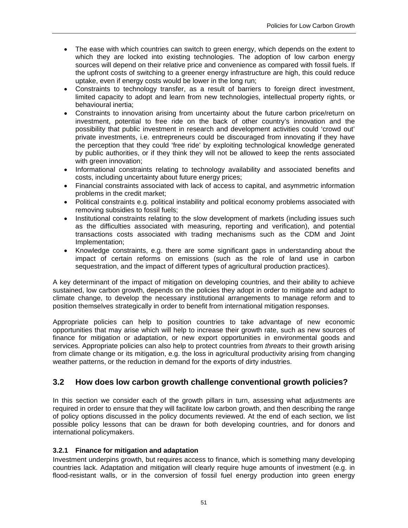- The ease with which countries can switch to green energy, which depends on the extent to which they are locked into existing technologies. The adoption of low carbon energy sources will depend on their relative price and convenience as compared with fossil fuels. If the upfront costs of switching to a greener energy infrastructure are high, this could reduce uptake, even if energy costs would be lower in the long run;
- Constraints to technology transfer, as a result of barriers to foreign direct investment, limited capacity to adopt and learn from new technologies, intellectual property rights, or behavioural inertia;
- Constraints to innovation arising from uncertainty about the future carbon price/return on investment, potential to free ride on the back of other country's innovation and the possibility that public investment in research and development activities could 'crowd out' private investments, i.e. entrepreneurs could be discouraged from innovating if they have the perception that they could 'free ride' by exploiting technological knowledge generated by public authorities, or if they think they will not be allowed to keep the rents associated with green innovation;
- Informational constraints relating to technology availability and associated benefits and costs, including uncertainty about future energy prices;
- Financial constraints associated with lack of access to capital, and asymmetric information problems in the credit market;
- Political constraints e.g. political instability and political economy problems associated with removing subsidies to fossil fuels;
- Institutional constraints relating to the slow development of markets (including issues such as the difficulties associated with measuring, reporting and verification), and potential transactions costs associated with trading mechanisms such as the CDM and Joint Implementation;
- Knowledge constraints, e.g. there are some significant gaps in understanding about the impact of certain reforms on emissions (such as the role of land use in carbon sequestration, and the impact of different types of agricultural production practices).

A key determinant of the impact of mitigation on developing countries, and their ability to achieve sustained, low carbon growth, depends on the policies they adopt in order to mitigate and adapt to climate change, to develop the necessary institutional arrangements to manage reform and to position themselves strategically in order to benefit from international mitigation responses.

Appropriate policies can help to position countries to take advantage of new economic opportunities that may arise which will help to increase their growth rate, such as new sources of finance for mitigation or adaptation, or new export opportunities in environmental goods and services. Appropriate policies can also help to protect countries from *threats* to their growth arising from climate change or its mitigation, e.g. the loss in agricultural productivity arising from changing weather patterns, or the reduction in demand for the exports of dirty industries.

# **3.2 How does low carbon growth challenge conventional growth policies?**

In this section we consider each of the growth pillars in turn, assessing what adjustments are required in order to ensure that they will facilitate low carbon growth, and then describing the range of policy options discussed in the policy documents reviewed. At the end of each section, we list possible policy lessons that can be drawn for both developing countries, and for donors and international policymakers.

#### **3.2.1 Finance for mitigation and adaptation**

Investment underpins growth, but requires access to finance, which is something many developing countries lack. Adaptation and mitigation will clearly require huge amounts of investment (e.g. in flood-resistant walls, or in the conversion of fossil fuel energy production into green energy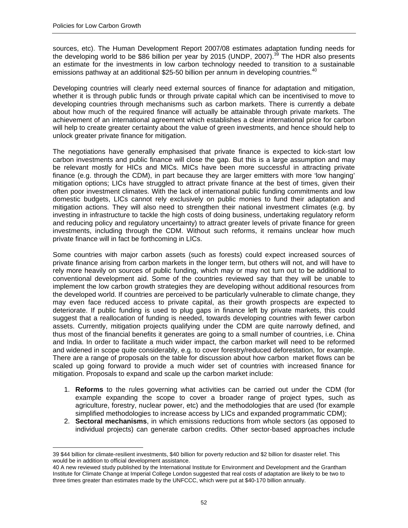$\overline{a}$ 

sources, etc). The Human Development Report 2007/08 estimates adaptation funding needs for the developing world to be \$86 billion per year by 2015 (UNDP, 2007).<sup>39</sup> The HDR also presents an estimate for the investments in low carbon technology needed to transition to a sustainable emissions pathway at an additional \$25-50 billion per annum in developing countries.<sup>40</sup>

Developing countries will clearly need external sources of finance for adaptation and mitigation, whether it is through public funds or through private capital which can be incentivised to move to developing countries through mechanisms such as carbon markets. There is currently a debate about how much of the required finance will actually be attainable through private markets. The achievement of an international agreement which establishes a clear international price for carbon will help to create greater certainty about the value of green investments, and hence should help to unlock greater private finance for mitigation.

The negotiations have generally emphasised that private finance is expected to kick-start low carbon investments and public finance will close the gap. But this is a large assumption and may be relevant mostly for HICs and MICs. MICs have been more successful in attracting private finance (e.g. through the CDM), in part because they are larger emitters with more 'low hanging' mitigation options; LICs have struggled to attract private finance at the best of times, given their often poor investment climates. With the lack of international public funding commitments and low domestic budgets, LICs cannot rely exclusively on public monies to fund their adaptation and mitigation actions. They will also need to strengthen their national investment climates (e.g. by investing in infrastructure to tackle the high costs of doing business, undertaking regulatory reform and reducing policy and regulatory uncertainty) to attract greater levels of private finance for green investments, including through the CDM. Without such reforms, it remains unclear how much private finance will in fact be forthcoming in LICs.

Some countries with major carbon assets (such as forests) could expect increased sources of private finance arising from carbon markets in the longer term, but others will not, and will have to rely more heavily on sources of public funding, which may or may not turn out to be additional to conventional development aid. Some of the countries reviewed say that they will be unable to implement the low carbon growth strategies they are developing without additional resources from the developed world. If countries are perceived to be particularly vulnerable to climate change, they may even face reduced access to private capital, as their growth prospects are expected to deteriorate. If public funding is used to plug gaps in finance left by private markets, this could suggest that a reallocation of funding is needed, towards developing countries with fewer carbon assets. Currently, mitigation projects qualifying under the CDM are quite narrowly defined, and thus most of the financial benefits it generates are going to a small number of countries, i.e. China and India. In order to facilitate a much wider impact, the carbon market will need to be reformed and widened in scope quite considerably, e.g. to cover forestry/reduced deforestation, for example. There are a range of proposals on the table for discussion about how carbon market flows can be scaled up going forward to provide a much wider set of countries with increased finance for mitigation. Proposals to expand and scale up the carbon market include:

- 1. **Reforms** to the rules governing what activities can be carried out under the CDM (for example expanding the scope to cover a broader range of project types, such as agriculture, forestry, nuclear power, etc) and the methodologies that are used (for example simplified methodologies to increase access by LICs and expanded programmatic CDM);
- 2. **Sectoral mechanisms**, in which emissions reductions from whole sectors (as opposed to individual projects) can generate carbon credits. Other sector-based approaches include

<sup>39 \$44</sup> billion for climate-resilient investments, \$40 billion for poverty reduction and \$2 billion for disaster relief. This would be in addition to official development assistance.

<sup>40</sup> A new reviewed study published by the International Institute for Environment and Development and the Grantham Institute for Climate Change at Imperial College London suggested that real costs of adaptation are likely to be two to three times greater than estimates made by the UNFCCC, which were put at \$40-170 billion annually.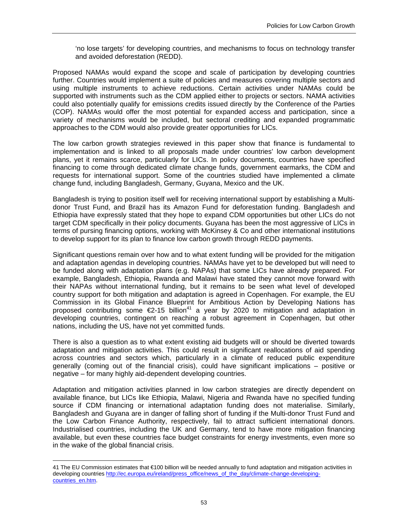'no lose targets' for developing countries, and mechanisms to focus on technology transfer and avoided deforestation (REDD).

Proposed NAMAs would expand the scope and scale of participation by developing countries further. Countries would implement a suite of policies and measures covering multiple sectors and using multiple instruments to achieve reductions. Certain activities under NAMAs could be supported with instruments such as the CDM applied either to projects or sectors. NAMA activities could also potentially qualify for emissions credits issued directly by the Conference of the Parties (COP). NAMAs would offer the most potential for expanded access and participation, since a variety of mechanisms would be included, but sectoral crediting and expanded programmatic approaches to the CDM would also provide greater opportunities for LICs.

The low carbon growth strategies reviewed in this paper show that finance is fundamental to implementation and is linked to all proposals made under countries' low carbon development plans, yet it remains scarce, particularly for LICs. In policy documents, countries have specified financing to come through dedicated climate change funds, government earmarks, the CDM and requests for international support. Some of the countries studied have implemented a climate change fund, including Bangladesh, Germany, Guyana, Mexico and the UK.

Bangladesh is trying to position itself well for receiving international support by establishing a Multidonor Trust Fund, and Brazil has its Amazon Fund for deforestation funding. Bangladesh and Ethiopia have expressly stated that they hope to expand CDM opportunities but other LICs do not target CDM specifically in their policy documents. Guyana has been the most aggressive of LICs in terms of pursing financing options, working with McKinsey & Co and other international institutions to develop support for its plan to finance low carbon growth through REDD payments.

Significant questions remain over how and to what extent funding will be provided for the mitigation and adaptation agendas in developing countries. NAMAs have yet to be developed but will need to be funded along with adaptation plans (e.g. NAPAs) that some LICs have already prepared. For example, Bangladesh, Ethiopia, Rwanda and Malawi have stated they cannot move forward with their NAPAs without international funding, but it remains to be seen what level of developed country support for both mitigation and adaptation is agreed in Copenhagen. For example, the EU Commission in its Global Finance Blueprint for Ambitious Action by Developing Nations has proposed contributing some  $\epsilon$ 2-15 billion<sup>41</sup> a year by 2020 to mitigation and adaptation in developing countries, contingent on reaching a robust agreement in Copenhagen, but other nations, including the US, have not yet committed funds.

There is also a question as to what extent existing aid budgets will or should be diverted towards adaptation and mitigation activities. This could result in significant reallocations of aid spending across countries and sectors which, particularly in a climate of reduced public expenditure generally (coming out of the financial crisis), could have significant implications – positive or negative – for many highly aid-dependent developing countries.

Adaptation and mitigation activities planned in low carbon strategies are directly dependent on available finance, but LICs like Ethiopia, Malawi, Nigeria and Rwanda have no specified funding source if CDM financing or international adaptation funding does not materialise. Similarly, Bangladesh and Guyana are in danger of falling short of funding if the Multi-donor Trust Fund and the Low Carbon Finance Authority, respectively, fail to attract sufficient international donors. Industrialised countries, including the UK and Germany, tend to have more mitigation financing available, but even these countries face budget constraints for energy investments, even more so in the wake of the global financial crisis.

<sup>41</sup> The EU Commission estimates that €100 billion will be needed annually to fund adaptation and mitigation activities in developing countries http://ec.europa.eu/ireland/press\_office/news\_of\_the\_day/climate-change-developingcountries\_en.htm.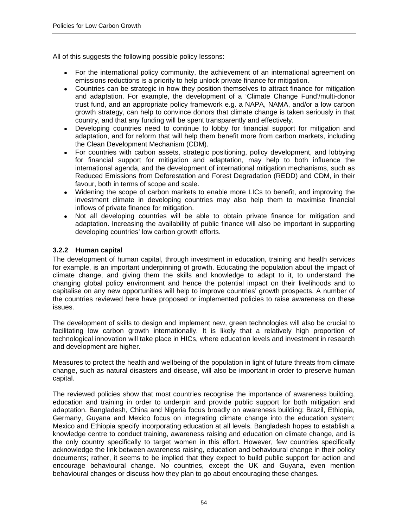All of this suggests the following possible policy lessons:

- For the international policy community, the achievement of an international agreement on emissions reductions is a priority to help unlock private finance for mitigation.
- Countries can be strategic in how they position themselves to attract finance for mitigation and adaptation. For example, the development of a 'Climate Change Fund'/multi-donor trust fund, and an appropriate policy framework e.g. a NAPA, NAMA, and/or a low carbon growth strategy, can help to convince donors that climate change is taken seriously in that country, and that any funding will be spent transparently and effectively.
- Developing countries need to continue to lobby for financial support for mitigation and adaptation, and for reform that will help them benefit more from carbon markets, including the Clean Development Mechanism (CDM).
- For countries with carbon assets, strategic positioning, policy development, and lobbying for financial support for mitigation and adaptation, may help to both influence the international agenda, and the development of international mitigation mechanisms, such as Reduced Emissions from Deforestation and Forest Degradation (REDD) and CDM, in their favour, both in terms of scope and scale.
- Widening the scope of carbon markets to enable more LICs to benefit, and improving the investment climate in developing countries may also help them to maximise financial inflows of private finance for mitigation.
- Not all developing countries will be able to obtain private finance for mitigation and adaptation. Increasing the availability of public finance will also be important in supporting developing countries' low carbon growth efforts.

## **3.2.2 Human capital**

The development of human capital, through investment in education, training and health services for example, is an important underpinning of growth. Educating the population about the impact of climate change, and giving them the skills and knowledge to adapt to it, to understand the changing global policy environment and hence the potential impact on their livelihoods and to capitalise on any new opportunities will help to improve countries' growth prospects. A number of the countries reviewed here have proposed or implemented policies to raise awareness on these issues.

The development of skills to design and implement new, green technologies will also be crucial to facilitating low carbon growth internationally. It is likely that a relatively high proportion of technological innovation will take place in HICs, where education levels and investment in research and development are higher.

Measures to protect the health and wellbeing of the population in light of future threats from climate change, such as natural disasters and disease, will also be important in order to preserve human capital.

The reviewed policies show that most countries recognise the importance of awareness building, education and training in order to underpin and provide public support for both mitigation and adaptation. Bangladesh, China and Nigeria focus broadly on awareness building; Brazil, Ethiopia, Germany, Guyana and Mexico focus on integrating climate change into the education system; Mexico and Ethiopia specify incorporating education at all levels. Bangladesh hopes to establish a knowledge centre to conduct training, awareness raising and education on climate change, and is the only country specifically to target women in this effort. However, few countries specifically acknowledge the link between awareness raising, education and behavioural change in their policy documents; rather, it seems to be implied that they expect to build public support for action and encourage behavioural change. No countries, except the UK and Guyana, even mention behavioural changes or discuss how they plan to go about encouraging these changes.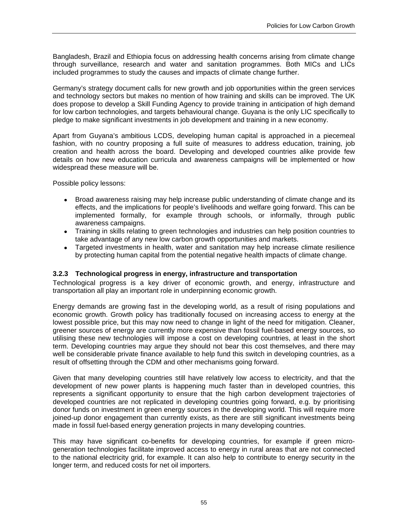Bangladesh, Brazil and Ethiopia focus on addressing health concerns arising from climate change through surveillance, research and water and sanitation programmes. Both MICs and LICs included programmes to study the causes and impacts of climate change further.

Germany's strategy document calls for new growth and job opportunities within the green services and technology sectors but makes no mention of how training and skills can be improved. The UK does propose to develop a Skill Funding Agency to provide training in anticipation of high demand for low carbon technologies, and targets behavioural change. Guyana is the only LIC specifically to pledge to make significant investments in job development and training in a new economy.

Apart from Guyana's ambitious LCDS, developing human capital is approached in a piecemeal fashion, with no country proposing a full suite of measures to address education, training, job creation and health across the board. Developing and developed countries alike provide few details on how new education curricula and awareness campaigns will be implemented or how widespread these measure will be.

Possible policy lessons:

- Broad awareness raising may help increase public understanding of climate change and its effects, and the implications for people's livelihoods and welfare going forward. This can be implemented formally, for example through schools, or informally, through public awareness campaigns.
- Training in skills relating to green technologies and industries can help position countries to take advantage of any new low carbon growth opportunities and markets.
- Targeted investments in health, water and sanitation may help increase climate resilience by protecting human capital from the potential negative health impacts of climate change.

#### **3.2.3 Technological progress in energy, infrastructure and transportation**

Technological progress is a key driver of economic growth, and energy, infrastructure and transportation all play an important role in underpinning economic growth.

Energy demands are growing fast in the developing world, as a result of rising populations and economic growth. Growth policy has traditionally focused on increasing access to energy at the lowest possible price, but this may now need to change in light of the need for mitigation. Cleaner, greener sources of energy are currently more expensive than fossil fuel-based energy sources, so utilising these new technologies will impose a cost on developing countries, at least in the short term. Developing countries may argue they should not bear this cost themselves, and there may well be considerable private finance available to help fund this switch in developing countries, as a result of offsetting through the CDM and other mechanisms going forward.

Given that many developing countries still have relatively low access to electricity, and that the development of new power plants is happening much faster than in developed countries, this represents a significant opportunity to ensure that the high carbon development trajectories of developed countries are not replicated in developing countries going forward, e.g. by prioritising donor funds on investment in green energy sources in the developing world. This will require more joined-up donor engagement than currently exists, as there are still significant investments being made in fossil fuel-based energy generation projects in many developing countries.

This may have significant co-benefits for developing countries, for example if green microgeneration technologies facilitate improved access to energy in rural areas that are not connected to the national electricity grid, for example. It can also help to contribute to energy security in the longer term, and reduced costs for net oil importers.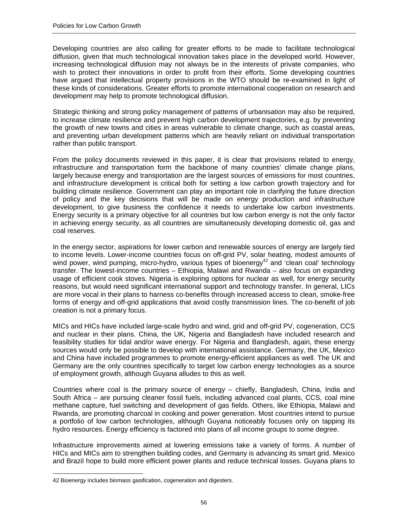Developing countries are also calling for greater efforts to be made to facilitate technological diffusion, given that much technological innovation takes place in the developed world. However, increasing technological diffusion may not always be in the interests of private companies, who wish to protect their innovations in order to profit from their efforts. Some developing countries have argued that intellectual property provisions in the WTO should be re-examined in light of these kinds of considerations. Greater efforts to promote international cooperation on research and development may help to promote technological diffusion.

Strategic thinking and strong policy management of patterns of urbanisation may also be required, to increase climate resilience and prevent high carbon development trajectories, e.g. by preventing the growth of new towns and cities in areas vulnerable to climate change, such as coastal areas, and preventing urban development patterns which are heavily reliant on individual transportation rather than public transport.

From the policy documents reviewed in this paper, it is clear that provisions related to energy, infrastructure and transportation form the backbone of many countries' climate change plans, largely because energy and transportation are the largest sources of emissions for most countries, and infrastructure development is critical both for setting a low carbon growth trajectory and for building climate resilience. Government can play an important role in clarifying the future direction of policy and the key decisions that will be made on energy production and infrastructure development, to give business the confidence it needs to undertake low carbon investments. Energy security is a primary objective for all countries but low carbon energy is not the only factor in achieving energy security, as all countries are simultaneously developing domestic oil, gas and coal reserves.

In the energy sector, aspirations for lower carbon and renewable sources of energy are largely tied to income levels. Lower-income countries focus on off-grid PV, solar heating, modest amounts of wind power, wind pumping, micro-hydro, various types of bioenergy<sup>42</sup> and 'clean coal' technology transfer. The lowest-income countries – Ethiopia, Malawi and Rwanda – also focus on expanding usage of efficient cook stoves. Nigeria is exploring options for nuclear as well, for energy security reasons, but would need significant international support and technology transfer. In general, LICs are more vocal in their plans to harness co-benefits through increased access to clean, smoke-free forms of energy and off-grid applications that avoid costly transmission lines. The co-benefit of job creation is not a primary focus.

MICs and HICs have included large-scale hydro and wind, grid and off-grid PV, cogeneration, CCS and nuclear in their plans. China, the UK, Nigeria and Bangladesh have included research and feasibility studies for tidal and/or wave energy. For Nigeria and Bangladesh, again, these energy sources would only be possible to develop with international assistance. Germany, the UK, Mexico and China have included programmes to promote energy-efficient appliances as well. The UK and Germany are the only countries specifically to target low carbon energy technologies as a source of employment growth, although Guyana alludes to this as well.

Countries where coal is the primary source of energy – chiefly, Bangladesh, China, India and South Africa – are pursuing cleaner fossil fuels, including advanced coal plants, CCS, coal mine methane capture, fuel switching and development of gas fields. Others, like Ethiopia, Malawi and Rwanda, are promoting charcoal in cooking and power generation. Most countries intend to pursue a portfolio of low carbon technologies, although Guyana noticeably focuses only on tapping its hydro resources. Energy efficiency is factored into plans of all income groups to some degree.

Infrastructure improvements aimed at lowering emissions take a variety of forms. A number of HICs and MICs aim to strengthen building codes, and Germany is advancing its smart grid. Mexico and Brazil hope to build more efficient power plants and reduce technical losses. Guyana plans to

<sup>42</sup> Bioenergy includes biomass gasification, cogeneration and digesters.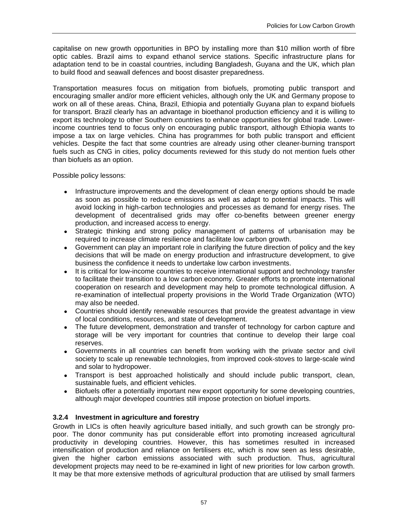capitalise on new growth opportunities in BPO by installing more than \$10 million worth of fibre optic cables. Brazil aims to expand ethanol service stations. Specific infrastructure plans for adaptation tend to be in coastal countries, including Bangladesh, Guyana and the UK, which plan to build flood and seawall defences and boost disaster preparedness.

Transportation measures focus on mitigation from biofuels, promoting public transport and encouraging smaller and/or more efficient vehicles, although only the UK and Germany propose to work on all of these areas. China, Brazil, Ethiopia and potentially Guyana plan to expand biofuels for transport. Brazil clearly has an advantage in bioethanol production efficiency and it is willing to export its technology to other Southern countries to enhance opportunities for global trade. Lowerincome countries tend to focus only on encouraging public transport, although Ethiopia wants to impose a tax on large vehicles. China has programmes for both public transport and efficient vehicles. Despite the fact that some countries are already using other cleaner-burning transport fuels such as CNG in cities, policy documents reviewed for this study do not mention fuels other than biofuels as an option.

Possible policy lessons:

- Infrastructure improvements and the development of clean energy options should be made as soon as possible to reduce emissions as well as adapt to potential impacts. This will avoid locking in high-carbon technologies and processes as demand for energy rises. The development of decentralised grids may offer co-benefits between greener energy production, and increased access to energy.
- Strategic thinking and strong policy management of patterns of urbanisation may be required to increase climate resilience and facilitate low carbon growth.
- Government can play an important role in clarifying the future direction of policy and the key decisions that will be made on energy production and infrastructure development, to give business the confidence it needs to undertake low carbon investments.
- It is critical for low-income countries to receive international support and technology transfer to facilitate their transition to a low carbon economy. Greater efforts to promote international cooperation on research and development may help to promote technological diffusion. A re-examination of intellectual property provisions in the World Trade Organization (WTO) may also be needed.
- Countries should identify renewable resources that provide the greatest advantage in view of local conditions, resources, and state of development.
- The future development, demonstration and transfer of technology for carbon capture and storage will be very important for countries that continue to develop their large coal reserves.
- Governments in all countries can benefit from working with the private sector and civil society to scale up renewable technologies, from improved cook-stoves to large-scale wind and solar to hydropower.
- Transport is best approached holistically and should include public transport, clean, sustainable fuels, and efficient vehicles.
- Biofuels offer a potentially important new export opportunity for some developing countries, although major developed countries still impose protection on biofuel imports.

#### **3.2.4 Investment in agriculture and forestry**

Growth in LICs is often heavily agriculture based initially, and such growth can be strongly propoor. The donor community has put considerable effort into promoting increased agricultural productivity in developing countries. However, this has sometimes resulted in increased intensification of production and reliance on fertilisers etc, which is now seen as less desirable, given the higher carbon emissions associated with such production. Thus, agricultural development projects may need to be re-examined in light of new priorities for low carbon growth. It may be that more extensive methods of agricultural production that are utilised by small farmers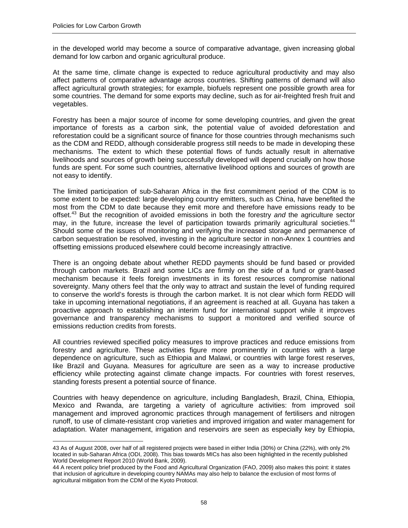$\overline{a}$ 

in the developed world may become a source of comparative advantage, given increasing global demand for low carbon and organic agricultural produce.

At the same time, climate change is expected to reduce agricultural productivity and may also affect patterns of comparative advantage across countries. Shifting patterns of demand will also affect agricultural growth strategies; for example, biofuels represent one possible growth area for some countries. The demand for some exports may decline, such as for air-freighted fresh fruit and vegetables.

Forestry has been a major source of income for some developing countries, and given the great importance of forests as a carbon sink, the potential value of avoided deforestation and reforestation could be a significant source of finance for those countries through mechanisms such as the CDM and REDD, although considerable progress still needs to be made in developing these mechanisms. The extent to which these potential flows of funds actually result in alternative livelihoods and sources of growth being successfully developed will depend crucially on how those funds are spent. For some such countries, alternative livelihood options and sources of growth are not easy to identify.

The limited participation of sub-Saharan Africa in the first commitment period of the CDM is to some extent to be expected: large developing country emitters, such as China, have benefited the most from the CDM to date because they emit more and therefore have emissions ready to be offset.43 But the recognition of avoided emissions in both the forestry *and* the agriculture sector may, in the future, increase the level of participation towards primarily agricultural societies.<sup>44</sup> Should some of the issues of monitoring and verifying the increased storage and permanence of carbon sequestration be resolved, investing in the agriculture sector in non-Annex 1 countries and offsetting emissions produced elsewhere could become increasingly attractive.

There is an ongoing debate about whether REDD payments should be fund based or provided through carbon markets. Brazil and some LICs are firmly on the side of a fund or grant-based mechanism because it feels foreign investments in its forest resources compromise national sovereignty. Many others feel that the only way to attract and sustain the level of funding required to conserve the world's forests is through the carbon market. It is not clear which form REDD will take in upcoming international negotiations, if an agreement is reached at all. Guyana has taken a proactive approach to establishing an interim fund for international support while it improves governance and transparency mechanisms to support a monitored and verified source of emissions reduction credits from forests.

All countries reviewed specified policy measures to improve practices and reduce emissions from forestry and agriculture. These activities figure more prominently in countries with a large dependence on agriculture, such as Ethiopia and Malawi, or countries with large forest reserves, like Brazil and Guyana. Measures for agriculture are seen as a way to increase productive efficiency while protecting against climate change impacts. For countries with forest reserves, standing forests present a potential source of finance.

Countries with heavy dependence on agriculture, including Bangladesh, Brazil, China, Ethiopia, Mexico and Rwanda, are targeting a variety of agriculture activities: from improved soil management and improved agronomic practices through management of fertilisers and nitrogen runoff, to use of climate-resistant crop varieties and improved irrigation and water management for adaptation. Water management, irrigation and reservoirs are seen as especially key by Ethiopia,

<sup>43</sup> As of August 2008, over half of all registered projects were based in either India (30%) or China (22%), with only 2% located in sub-Saharan Africa (ODI, 2008). This bias towards MICs has also been highlighted in the recently published World Development Report 2010 (World Bank, 2009).

<sup>44</sup> A recent policy brief produced by the Food and Agricultural Organization (FAO, 2009) also makes this point: it states that inclusion of agriculture in developing country NAMAs may also help to balance the exclusion of most forms of agricultural mitigation from the CDM of the Kyoto Protocol.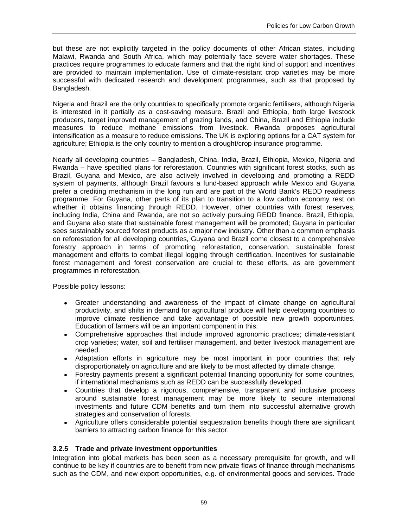but these are not explicitly targeted in the policy documents of other African states, including Malawi, Rwanda and South Africa, which may potentially face severe water shortages. These practices require programmes to educate farmers and that the right kind of support and incentives are provided to maintain implementation. Use of climate-resistant crop varieties may be more successful with dedicated research and development programmes, such as that proposed by Bangladesh.

Nigeria and Brazil are the only countries to specifically promote organic fertilisers, although Nigeria is interested in it partially as a cost-saving measure. Brazil and Ethiopia, both large livestock producers, target improved management of grazing lands, and China, Brazil and Ethiopia include measures to reduce methane emissions from livestock. Rwanda proposes agricultural intensification as a measure to reduce emissions. The UK is exploring options for a CAT system for agriculture; Ethiopia is the only country to mention a drought/crop insurance programme.

Nearly all developing countries – Bangladesh, China, India, Brazil, Ethiopia, Mexico, Nigeria and Rwanda – have specified plans for reforestation. Countries with significant forest stocks, such as Brazil, Guyana and Mexico, are also actively involved in developing and promoting a REDD system of payments, although Brazil favours a fund-based approach while Mexico and Guyana prefer a crediting mechanism in the long run and are part of the World Bank's REDD readiness programme. For Guyana, other parts of its plan to transition to a low carbon economy rest on whether it obtains financing through REDD. However, other countries with forest reserves, including India, China and Rwanda, are not so actively pursuing REDD finance. Brazil, Ethiopia, and Guyana also state that sustainable forest management will be promoted; Guyana in particular sees sustainably sourced forest products as a major new industry. Other than a common emphasis on reforestation for all developing countries, Guyana and Brazil come closest to a comprehensive forestry approach in terms of promoting reforestation, conservation, sustainable forest management and efforts to combat illegal logging through certification. Incentives for sustainable forest management and forest conservation are crucial to these efforts, as are government programmes in reforestation.

Possible policy lessons:

- Greater understanding and awareness of the impact of climate change on agricultural productivity, and shifts in demand for agricultural produce will help developing countries to improve climate resilience and take advantage of possible new growth opportunities. Education of farmers will be an important component in this.
- Comprehensive approaches that include improved agronomic practices; climate-resistant crop varieties; water, soil and fertiliser management, and better livestock management are needed.
- Adaptation efforts in agriculture may be most important in poor countries that rely disproportionately on agriculture and are likely to be most affected by climate change.
- Forestry payments present a significant potential financing opportunity for some countries, if international mechanisms such as REDD can be successfully developed.
- Countries that develop a rigorous, comprehensive, transparent and inclusive process around sustainable forest management may be more likely to secure international investments and future CDM benefits and turn them into successful alternative growth strategies and conservation of forests.
- Agriculture offers considerable potential sequestration benefits though there are significant barriers to attracting carbon finance for this sector.

#### **3.2.5 Trade and private investment opportunities**

Integration into global markets has been seen as a necessary prerequisite for growth, and will continue to be key if countries are to benefit from new private flows of finance through mechanisms such as the CDM, and new export opportunities, e.g. of environmental goods and services. Trade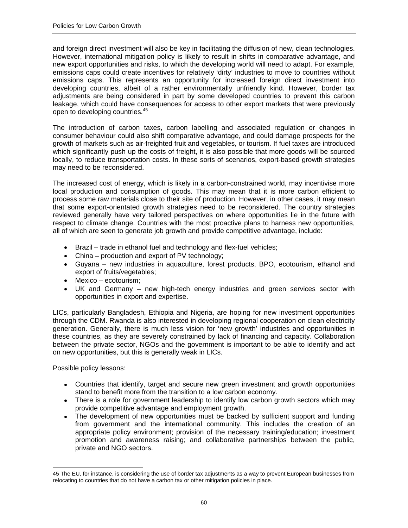and foreign direct investment will also be key in facilitating the diffusion of new, clean technologies. However, international mitigation policy is likely to result in shifts in comparative advantage, and new export opportunities and risks, to which the developing world will need to adapt. For example, emissions caps could create incentives for relatively 'dirty' industries to move to countries without emissions caps. This represents an opportunity for increased foreign direct investment into developing countries, albeit of a rather environmentally unfriendly kind. However, border tax adjustments are being considered in part by some developed countries to prevent this carbon leakage, which could have consequences for access to other export markets that were previously open to developing countries.<sup>45</sup>

The introduction of carbon taxes, carbon labelling and associated regulation or changes in consumer behaviour could also shift comparative advantage, and could damage prospects for the growth of markets such as air-freighted fruit and vegetables, or tourism. If fuel taxes are introduced which significantly push up the costs of freight, it is also possible that more goods will be sourced locally, to reduce transportation costs. In these sorts of scenarios, export-based growth strategies may need to be reconsidered.

The increased cost of energy, which is likely in a carbon-constrained world, may incentivise more local production and consumption of goods. This may mean that it is more carbon efficient to process some raw materials close to their site of production. However, in other cases, it may mean that some export-orientated growth strategies need to be reconsidered. The country strategies reviewed generally have very tailored perspectives on where opportunities lie in the future with respect to climate change. Countries with the most proactive plans to harness new opportunities, all of which are seen to generate job growth and provide competitive advantage, include:

- Brazil trade in ethanol fuel and technology and flex-fuel vehicles;
- China production and export of PV technology;
- Guyana new industries in aquaculture, forest products, BPO, ecotourism, ethanol and export of fruits/vegetables;
- Mexico ecotourism;
- UK and Germany new high-tech energy industries and green services sector with opportunities in export and expertise.

LICs, particularly Bangladesh, Ethiopia and Nigeria, are hoping for new investment opportunities through the CDM. Rwanda is also interested in developing regional cooperation on clean electricity generation. Generally, there is much less vision for 'new growth' industries and opportunities in these countries, as they are severely constrained by lack of financing and capacity. Collaboration between the private sector, NGOs and the government is important to be able to identify and act on new opportunities, but this is generally weak in LICs.

Possible policy lessons:

- Countries that identify, target and secure new green investment and growth opportunities stand to benefit more from the transition to a low carbon economy.
- There is a role for government leadership to identify low carbon growth sectors which may provide competitive advantage and employment growth.
- The development of new opportunities must be backed by sufficient support and funding from government and the international community. This includes the creation of an appropriate policy environment; provision of the necessary training/education; investment promotion and awareness raising; and collaborative partnerships between the public, private and NGO sectors.

<sup>45</sup> The EU, for instance, is considering the use of border tax adjustments as a way to prevent European businesses from relocating to countries that do not have a carbon tax or other mitigation policies in place.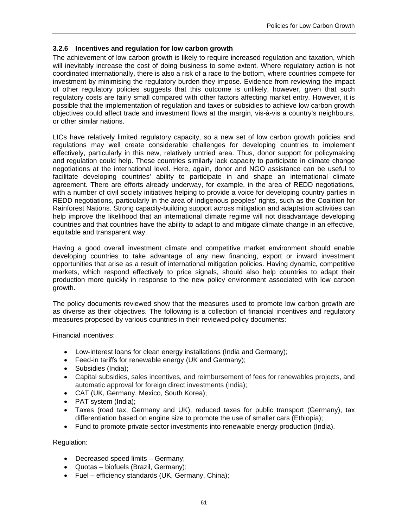### **3.2.6 Incentives and regulation for low carbon growth**

The achievement of low carbon growth is likely to require increased regulation and taxation, which will inevitably increase the cost of doing business to some extent. Where regulatory action is not coordinated internationally, there is also a risk of a race to the bottom, where countries compete for investment by minimising the regulatory burden they impose. Evidence from reviewing the impact of other regulatory policies suggests that this outcome is unlikely, however, given that such regulatory costs are fairly small compared with other factors affecting market entry. However, it is possible that the implementation of regulation and taxes or subsidies to achieve low carbon growth objectives could affect trade and investment flows at the margin, vis-à-vis a country's neighbours, or other similar nations.

LICs have relatively limited regulatory capacity, so a new set of low carbon growth policies and regulations may well create considerable challenges for developing countries to implement effectively, particularly in this new, relatively untried area. Thus, donor support for policymaking and regulation could help. These countries similarly lack capacity to participate in climate change negotiations at the international level. Here, again, donor and NGO assistance can be useful to facilitate developing countries' ability to participate in and shape an international climate agreement. There are efforts already underway, for example, in the area of REDD negotiations, with a number of civil society initiatives helping to provide a voice for developing country parties in REDD negotiations, particularly in the area of indigenous peoples' rights, such as the Coalition for Rainforest Nations. Strong capacity-building support across mitigation and adaptation activities can help improve the likelihood that an international climate regime will not disadvantage developing countries and that countries have the ability to adapt to and mitigate climate change in an effective, equitable and transparent way.

Having a good overall investment climate and competitive market environment should enable developing countries to take advantage of any new financing, export or inward investment opportunities that arise as a result of international mitigation policies. Having dynamic, competitive markets, which respond effectively to price signals, should also help countries to adapt their production more quickly in response to the new policy environment associated with low carbon growth.

The policy documents reviewed show that the measures used to promote low carbon growth are as diverse as their objectives. The following is a collection of financial incentives and regulatory measures proposed by various countries in their reviewed policy documents:

Financial incentives:

- Low-interest loans for clean energy installations (India and Germany);
- Feed-in tariffs for renewable energy (UK and Germany);
- Subsidies (India);
- Capital subsidies, sales incentives, and reimbursement of fees for renewables projects, and automatic approval for foreign direct investments (India);
- CAT (UK, Germany, Mexico, South Korea);
- PAT system (India);
- Taxes (road tax, Germany and UK), reduced taxes for public transport (Germany), tax differentiation based on engine size to promote the use of smaller cars (Ethiopia);
- Fund to promote private sector investments into renewable energy production (India).

Regulation:

- Decreased speed limits Germany;
- Quotas biofuels (Brazil, Germany);
- Fuel efficiency standards (UK, Germany, China);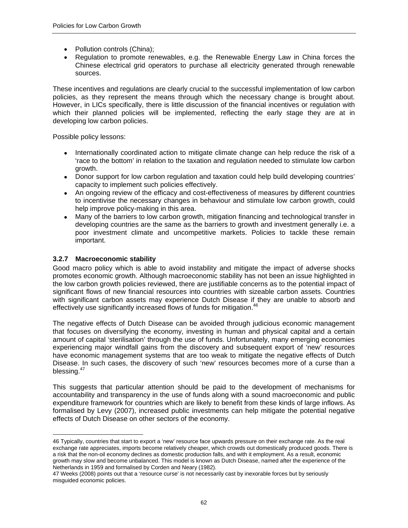- Pollution controls (China);
- Regulation to promote renewables, e.g. the Renewable Energy Law in China forces the Chinese electrical grid operators to purchase all electricity generated through renewable sources.

These incentives and regulations are clearly crucial to the successful implementation of low carbon policies, as they represent the means through which the necessary change is brought about. However, in LICs specifically, there is little discussion of the financial incentives or regulation with which their planned policies will be implemented, reflecting the early stage they are at in developing low carbon policies.

Possible policy lessons:

- Internationally coordinated action to mitigate climate change can help reduce the risk of a 'race to the bottom' in relation to the taxation and regulation needed to stimulate low carbon growth.
- Donor support for low carbon regulation and taxation could help build developing countries' capacity to implement such policies effectively.
- An ongoing review of the efficacy and cost-effectiveness of measures by different countries to incentivise the necessary changes in behaviour and stimulate low carbon growth, could help improve policy-making in this area.
- Many of the barriers to low carbon growth, mitigation financing and technological transfer in developing countries are the same as the barriers to growth and investment generally i.e. a poor investment climate and uncompetitive markets. Policies to tackle these remain important.

### **3.2.7 Macroeconomic stability**

 $\overline{a}$ 

Good macro policy which is able to avoid instability and mitigate the impact of adverse shocks promotes economic growth. Although macroeconomic stability has not been an issue highlighted in the low carbon growth policies reviewed, there are justifiable concerns as to the potential impact of significant flows of new financial resources into countries with sizeable carbon assets. Countries with significant carbon assets may experience Dutch Disease if they are unable to absorb and effectively use significantly increased flows of funds for mitigation.<sup>46</sup>

The negative effects of Dutch Disease can be avoided through judicious economic management that focuses on diversifying the economy, investing in human and physical capital and a certain amount of capital 'sterilisation' through the use of funds. Unfortunately, many emerging economies experiencing major windfall gains from the discovery and subsequent export of 'new' resources have economic management systems that are too weak to mitigate the negative effects of Dutch Disease. In such cases, the discovery of such 'new' resources becomes more of a curse than a blessing.<sup>47</sup>

This suggests that particular attention should be paid to the development of mechanisms for accountability and transparency in the use of funds along with a sound macroeconomic and public expenditure framework for countries which are likely to benefit from these kinds of large inflows. As formalised by Levy (2007), increased public investments can help mitigate the potential negative effects of Dutch Disease on other sectors of the economy.

<sup>46</sup> Typically, countries that start to export a 'new' resource face upwards pressure on their exchange rate. As the real exchange rate appreciates, imports become relatively cheaper, which crowds out domestically produced goods. There is a risk that the non-oil economy declines as domestic production falls, and with it employment. As a result, economic growth may slow and become unbalanced. This model is known as Dutch Disease, named after the experience of the Netherlands in 1959 and formalised by Corden and Neary (1982).

<sup>47</sup> Weeks (2008) points out that a 'resource curse' is not necessarily cast by inexorable forces but by seriously misguided economic policies.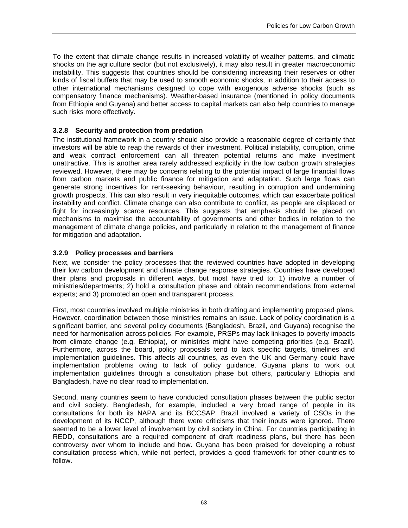To the extent that climate change results in increased volatility of weather patterns, and climatic shocks on the agriculture sector (but not exclusively), it may also result in greater macroeconomic instability. This suggests that countries should be considering increasing their reserves or other kinds of fiscal buffers that may be used to smooth economic shocks, in addition to their access to other international mechanisms designed to cope with exogenous adverse shocks (such as compensatory finance mechanisms). Weather-based insurance (mentioned in policy documents from Ethiopia and Guyana) and better access to capital markets can also help countries to manage such risks more effectively.

# **3.2.8 Security and protection from predation**

The institutional framework in a country should also provide a reasonable degree of certainty that investors will be able to reap the rewards of their investment. Political instability, corruption, crime and weak contract enforcement can all threaten potential returns and make investment unattractive. This is another area rarely addressed explicitly in the low carbon growth strategies reviewed. However, there may be concerns relating to the potential impact of large financial flows from carbon markets and public finance for mitigation and adaptation. Such large flows can generate strong incentives for rent-seeking behaviour, resulting in corruption and undermining growth prospects. This can also result in very inequitable outcomes, which can exacerbate political instability and conflict. Climate change can also contribute to conflict, as people are displaced or fight for increasingly scarce resources. This suggests that emphasis should be placed on mechanisms to maximise the accountability of governments and other bodies in relation to the management of climate change policies, and particularly in relation to the management of finance for mitigation and adaptation.

# **3.2.9 Policy processes and barriers**

Next, we consider the policy processes that the reviewed countries have adopted in developing their low carbon development and climate change response strategies. Countries have developed their plans and proposals in different ways, but most have tried to: 1) involve a number of ministries/departments; 2) hold a consultation phase and obtain recommendations from external experts; and 3) promoted an open and transparent process.

First, most countries involved multiple ministries in both drafting and implementing proposed plans. However, coordination between those ministries remains an issue. Lack of policy coordination is a significant barrier, and several policy documents (Bangladesh, Brazil, and Guyana) recognise the need for harmonisation across policies. For example, PRSPs may lack linkages to poverty impacts from climate change (e.g. Ethiopia), or ministries might have competing priorities (e.g. Brazil). Furthermore, across the board, policy proposals tend to lack specific targets, timelines and implementation guidelines. This affects all countries, as even the UK and Germany could have implementation problems owing to lack of policy guidance. Guyana plans to work out implementation guidelines through a consultation phase but others, particularly Ethiopia and Bangladesh, have no clear road to implementation.

Second, many countries seem to have conducted consultation phases between the public sector and civil society. Bangladesh, for example, included a very broad range of people in its consultations for both its NAPA and its BCCSAP. Brazil involved a variety of CSOs in the development of its NCCP, although there were criticisms that their inputs were ignored. There seemed to be a lower level of involvement by civil society in China. For countries participating in REDD, consultations are a required component of draft readiness plans, but there has been controversy over whom to include and how. Guyana has been praised for developing a robust consultation process which, while not perfect, provides a good framework for other countries to follow.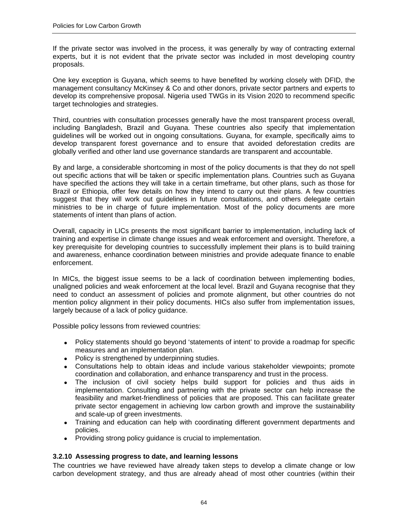If the private sector was involved in the process, it was generally by way of contracting external experts, but it is not evident that the private sector was included in most developing country proposals.

One key exception is Guyana, which seems to have benefited by working closely with DFID, the management consultancy McKinsey & Co and other donors, private sector partners and experts to develop its comprehensive proposal. Nigeria used TWGs in its Vision 2020 to recommend specific target technologies and strategies.

Third, countries with consultation processes generally have the most transparent process overall, including Bangladesh, Brazil and Guyana. These countries also specify that implementation guidelines will be worked out in ongoing consultations. Guyana, for example, specifically aims to develop transparent forest governance and to ensure that avoided deforestation credits are globally verified and other land use governance standards are transparent and accountable.

By and large, a considerable shortcoming in most of the policy documents is that they do not spell out specific actions that will be taken or specific implementation plans. Countries such as Guyana have specified the actions they will take in a certain timeframe, but other plans, such as those for Brazil or Ethiopia, offer few details on how they intend to carry out their plans. A few countries suggest that they will work out guidelines in future consultations, and others delegate certain ministries to be in charge of future implementation. Most of the policy documents are more statements of intent than plans of action.

Overall, capacity in LICs presents the most significant barrier to implementation, including lack of training and expertise in climate change issues and weak enforcement and oversight. Therefore, a key prerequisite for developing countries to successfully implement their plans is to build training and awareness, enhance coordination between ministries and provide adequate finance to enable enforcement.

In MICs, the biggest issue seems to be a lack of coordination between implementing bodies, unaligned policies and weak enforcement at the local level. Brazil and Guyana recognise that they need to conduct an assessment of policies and promote alignment, but other countries do not mention policy alignment in their policy documents. HICs also suffer from implementation issues, largely because of a lack of policy guidance.

Possible policy lessons from reviewed countries:

- Policy statements should go beyond 'statements of intent' to provide a roadmap for specific measures and an implementation plan.
- Policy is strengthened by underpinning studies.
- Consultations help to obtain ideas and include various stakeholder viewpoints; promote coordination and collaboration, and enhance transparency and trust in the process.
- The inclusion of civil society helps build support for policies and thus aids in implementation. Consulting and partnering with the private sector can help increase the feasibility and market-friendliness of policies that are proposed. This can facilitate greater private sector engagement in achieving low carbon growth and improve the sustainability and scale-up of green investments.
- Training and education can help with coordinating different government departments and policies.
- Providing strong policy guidance is crucial to implementation.

#### **3.2.10 Assessing progress to date, and learning lessons**

The countries we have reviewed have already taken steps to develop a climate change or low carbon development strategy, and thus are already ahead of most other countries (within their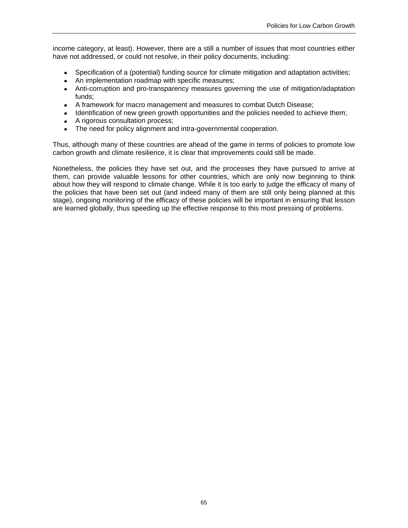income category, at least). However, there are a still a number of issues that most countries either have not addressed, or could not resolve, in their policy documents, including:

- Specification of a (potential) funding source for climate mitigation and adaptation activities;
- An implementation roadmap with specific measures;
- Anti-corruption and pro-transparency measures governing the use of mitigation/adaptation funds;
- A framework for macro management and measures to combat Dutch Disease;
- Identification of new green growth opportunities and the policies needed to achieve them;
- A rigorous consultation process;
- The need for policy alignment and intra-governmental cooperation.

Thus, although many of these countries are ahead of the game in terms of policies to promote low carbon growth and climate resilience, it is clear that improvements could still be made.

Nonetheless, the policies they have set out, and the processes they have pursued to arrive at them, can provide valuable lessons for other countries, which are only now beginning to think about how they will respond to climate change. While it is too early to judge the efficacy of many of the policies that have been set out (and indeed many of them are still only being planned at this stage), ongoing monitoring of the efficacy of these policies will be important in ensuring that lesson are learned globally, thus speeding up the effective response to this most pressing of problems.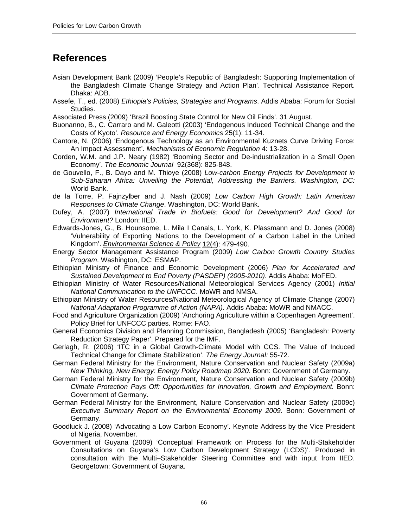# **References**

- Asian Development Bank (2009) 'People's Republic of Bangladesh: Supporting Implementation of the Bangladesh Climate Change Strategy and Action Plan'. Technical Assistance Report. Dhaka: ADB.
- Assefe, T., ed. (2008) *Ethiopia's Policies, Strategies and Programs*. Addis Ababa: Forum for Social Studies.
- Associated Press (2009) 'Brazil Boosting State Control for New Oil Finds'. 31 August.
- Buonanno, B., C. Carraro and M. Galeotti (2003) 'Endogenous Induced Technical Change and the Costs of Kyoto'. *Resource and Energy Economics* 25(1): 11-34.
- Cantore, N. (2006) 'Endogenous Technology as an Environmental Kuznets Curve Driving Force: An Impact Assessment'. *Mechanisms of Economic Regulation* 4: 13-28.
- Corden, W.M. and J.P. Neary (1982) 'Booming Sector and De-industrialization in a Small Open Economy'. *The Economic Journal* 92(368): 825-848.
- de Gouvello, F., B. Dayo and M. Thioye (2008) *Low-carbon Energy Projects for Development in Sub-Saharan Africa: Unveiling the Potential, Addressing the Barriers. Washington, DC:* World Bank.
- de la Torre, P. Fajnzylber and J. Nash (2009) *Low Carbon High Growth: Latin American Responses to Climate Change*. Washington, DC: World Bank.
- Dufey, A. (2007) *International Trade in Biofuels: Good for Development? And Good for Environment?* London: IIED.
- Edwards-Jones, G., B. Hounsome, L. Mila I Canals, L. York, K. Plassmann and D. Jones (2008) 'Vulnerability of Exporting Nations to the Development of a Carbon Label in the United Kingdom'. *Environmental Science & Policy* 12(4): 479-490.
- Energy Sector Management Assistance Program (2009) *Low Carbon Growth Country Studies Program*. Washington, DC: ESMAP.
- Ethiopian Ministry of Finance and Economic Development (2006) *Plan for Accelerated and Sustained Development to End Poverty (PASDEP) (2005-2010)*. Addis Ababa: MoFED.
- Ethiopian Ministry of Water Resources/National Meteorological Services Agency (2001) *Initial National Communication to the UNFCCC*. MoWR and NMSA.
- Ethiopian Ministry of Water Resources/National Meteorological Agency of Climate Change (2007) *National Adaptation Programme of Action (NAPA)*. Addis Ababa: MoWR and NMACC.
- Food and Agriculture Organization (2009) 'Anchoring Agriculture within a Copenhagen Agreement'. Policy Brief for UNFCCC parties. Rome: FAO.
- General Economics Division and Planning Commission, Bangladesh (2005) 'Bangladesh: Poverty Reduction Strategy Paper'. Prepared for the IMF.
- Gerlagh, R. (2006) 'ITC in a Global Growth-Climate Model with CCS. The Value of Induced Technical Change for Climate Stabilization'. *The Energy Journal:* 55-72.
- German Federal Ministry for the Environment, Nature Conservation and Nuclear Safety (2009a) *New Thinking, New Energy: Energy Policy Roadmap 2020.* Bonn: Government of Germany.
- German Federal Ministry for the Environment, Nature Conservation and Nuclear Safety (2009b) *Climate Protection Pays Off: Opportunities for Innovation, Growth and Employment.* Bonn: Government of Germany.
- German Federal Ministry for the Environment, Nature Conservation and Nuclear Safety (2009c) *Executive Summary Report on the Environmental Economy 2009*. Bonn: Government of Germany.
- Goodluck J. (2008) 'Advocating a Low Carbon Economy'. Keynote Address by the Vice President of Nigeria, November.
- Government of Guyana (2009) 'Conceptual Framework on Process for the Multi-Stakeholder Consultations on Guyana's Low Carbon Development Strategy (LCDS)'. Produced in consultation with the Multi–Stakeholder Steering Committee and with input from IIED. Georgetown: Government of Guyana.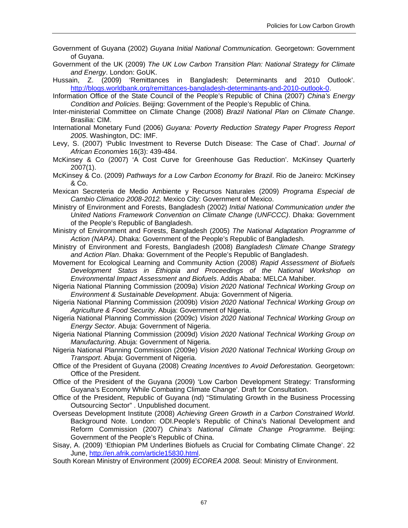- Government of Guyana (2002) *Guyana Initial National Communication.* Georgetown: Government of Guyana.
- Government of the UK (2009) *The UK Low Carbon Transition Plan: National Strategy for Climate and Energy*. London: GoUK.

Hussain, Z. (2009) 'Remittances in Bangladesh: Determinants and 2010 Outlook'. http://blogs.worldbank.org/remittances-bangladesh-determinants-and-2010-outlook-0.

Information Office of the State Council of the People's Republic of China (2007) *China's Energy Condition and Policies*. Beijing: Government of the People's Republic of China.

- Inter-ministerial Committee on Climate Change (2008) *Brazil National Plan on Climate Change*. Brasilia: CIM.
- International Monetary Fund (2006) *Guyana: Poverty Reduction Strategy Paper Progress Report 2005*. Washington, DC: IMF.
- Levy, S. (2007) 'Public Investment to Reverse Dutch Disease: The Case of Chad'. *Journal of African Economies* 16(3): 439-484.
- McKinsey & Co (2007) 'A Cost Curve for Greenhouse Gas Reduction'. McKinsey Quarterly 2007(1).
- McKinsey & Co. (2009) *Pathways for a Low Carbon Economy for Brazil*. Rio de Janeiro: McKinsey & Co.
- Mexican Secreteria de Medio Ambiente y Recursos Naturales (2009) *Programa Especial de Cambio Climatico 2008-2012.* Mexico City: Government of Mexico.
- Ministry of Environment and Forests, Bangladesh (2002) *Initial National Communication under the United Nations Framework Convention on Climate Change (UNFCCC)*. Dhaka: Government of the People's Republic of Bangladesh.
- Ministry of Environment and Forests, Bangladesh (2005) *The National Adaptation Programme of Action (NAPA)*. Dhaka: Government of the People's Republic of Bangladesh.
- Ministry of Environment and Forests, Bangladesh (2008) *Bangladesh Climate Change Strategy and Action Plan*. Dhaka: Government of the People's Republic of Bangladesh.
- Movement for Ecological Learning and Community Action (2008) *Rapid Assessment of Biofuels Development Status in Ethiopia and Proceedings of the National Workshop on Environmental Impact Assessment and Biofuels*. Addis Ababa: MELCA Mahiber.
- Nigeria National Planning Commission (2009a) *Vision 2020 National Technical Working Group on Environment & Sustainable Development*. Abuja: Government of Nigeria.
- Nigeria National Planning Commission (2009b) *Vision 2020 National Technical Working Group on Agriculture & Food Security*. Abuja: Government of Nigeria.
- Nigeria National Planning Commission (2009c) *Vision 2020 National Technical Working Group on Energy Sector*. Abuja: Government of Nigeria.
- Nigeria National Planning Commission (2009d) *Vision 2020 National Technical Working Group on Manufacturing*. Abuja: Government of Nigeria.
- Nigeria National Planning Commission (2009e) *Vision 2020 National Technical Working Group on Transport*. Abuja: Government of Nigeria.
- Office of the President of Guyana (2008) *Creating Incentives to Avoid Deforestation.* Georgetown: Office of the President.
- Office of the President of the Guyana (2009) 'Low Carbon Development Strategy: Transforming Guyana's Economy While Combating Climate Change'. Draft for Consultation.
- Office of the President, Republic of Guyana (nd) "Stimulating Growth in the Business Processing Outsourcing Sector" . Unpublished document.
- Overseas Development Institute (2008) *Achieving Green Growth in a Carbon Constrained World*. Background Note. London: ODI.People's Republic of China's National Development and Reform Commission (2007) *China's National Climate Change Programme.* Beijing: Government of the People's Republic of China.
- Sisay, A. (2009) 'Ethiopian PM Underlines Biofuels as Crucial for Combating Climate Change'. 22 June, http://en.afrik.com/article15830.html.
- South Korean Ministry of Environment (2009) *ECOREA 2008.* Seoul: Ministry of Environment.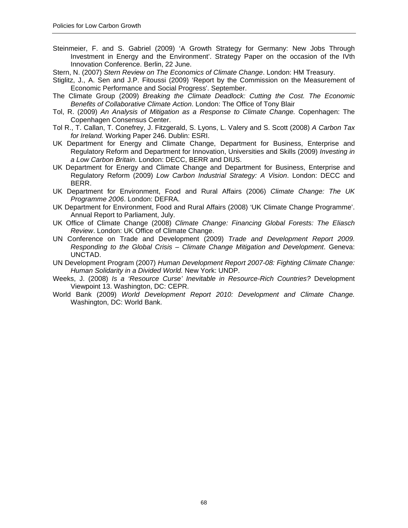- Steinmeier, F. and S. Gabriel (2009) 'A Growth Strategy for Germany: New Jobs Through Investment in Energy and the Environment'. Strategy Paper on the occasion of the IVth Innovation Conference. Berlin, 22 June.
- Stern, N. (2007) *Stern Review on The Economics of Climate Change*. London: HM Treasury.
- Stiglitz, J., A. Sen and J.P. Fitoussi (2009) 'Report by the Commission on the Measurement of Economic Performance and Social Progress'. September.
- The Climate Group (2009) *Breaking the Climate Deadlock: Cutting the Cost. The Economic Benefits of Collaborative Climate Action*. London: The Office of Tony Blair
- Tol, R. (2009) *An Analysis of Mitigation as a Response to Climate Change.* Copenhagen: The Copenhagen Consensus Center.
- Tol R., T. Callan, T. Conefrey, J. Fitzgerald, S. Lyons, L. Valery and S. Scott (2008) *A Carbon Tax for Ireland.* Working Paper 246. Dublin: ESRI.
- UK Department for Energy and Climate Change, Department for Business, Enterprise and Regulatory Reform and Department for Innovation, Universities and Skills (2009) *Investing in a Low Carbon Britain*. London: DECC, BERR and DIUS.
- UK Department for Energy and Climate Change and Department for Business, Enterprise and Regulatory Reform (2009) *Low Carbon Industrial Strategy: A Vision*. London: DECC and BERR.
- UK Department for Environment, Food and Rural Affairs (2006) *Climate Change: The UK Programme 2006*. London: DEFRA.
- UK Department for Environment, Food and Rural Affairs (2008) 'UK Climate Change Programme'. Annual Report to Parliament, July.
- UK Office of Climate Change (2008) *Climate Change: Financing Global Forests: The Eliasch Review*. London: UK Office of Climate Change.
- UN Conference on Trade and Development (2009) *Trade and Development Report 2009. Responding to the Global Crisis – Climate Change Mitigation and Development*. Geneva: UNCTAD.
- UN Development Program (2007) *Human Development Report 2007-08: Fighting Climate Change: Human Solidarity in a Divided World.* New York: UNDP.
- Weeks, J. (2008) *Is a 'Resource Curse' Inevitable in Resource-Rich Countries?* Development Viewpoint 13. Washington, DC: CEPR.
- World Bank (2009) *World Development Report 2010: Development and Climate Change.*  Washington, DC: World Bank.